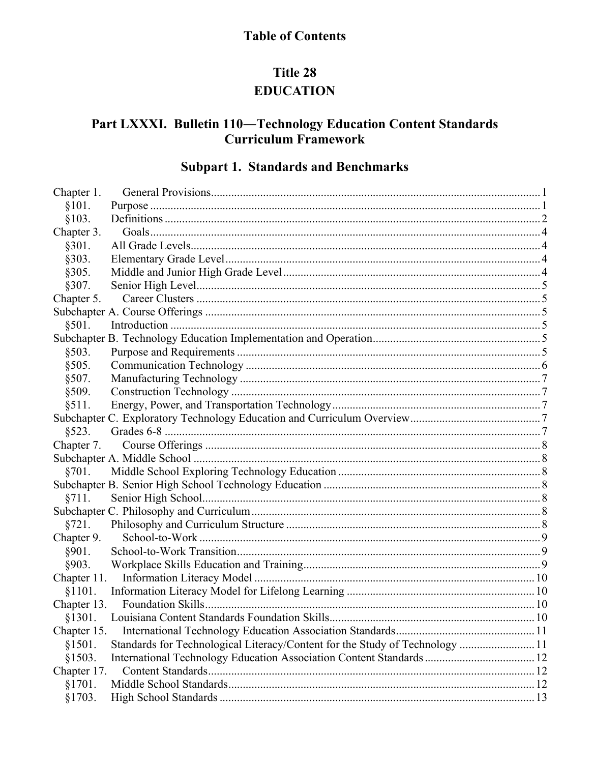# **Table of Contents**

# Title 28 **EDUCATION**

# Part LXXXI. Bulletin 110-Technology Education Content Standards **Curriculum Framework**

# **Subpart 1. Standards and Benchmarks**

| Chapter 1.  |                                                                             |  |
|-------------|-----------------------------------------------------------------------------|--|
| §101.       |                                                                             |  |
| §103.       |                                                                             |  |
| Chapter 3.  |                                                                             |  |
| §301.       |                                                                             |  |
| §303.       |                                                                             |  |
| §305.       |                                                                             |  |
| §307.       |                                                                             |  |
| Chapter 5.  |                                                                             |  |
|             |                                                                             |  |
| §501.       |                                                                             |  |
|             |                                                                             |  |
| §503.       |                                                                             |  |
| §505.       |                                                                             |  |
| §507.       |                                                                             |  |
| §509.       |                                                                             |  |
| §511.       |                                                                             |  |
|             |                                                                             |  |
| §523.       |                                                                             |  |
| Chapter 7.  |                                                                             |  |
|             |                                                                             |  |
| §701.       |                                                                             |  |
|             |                                                                             |  |
| §711.       |                                                                             |  |
|             |                                                                             |  |
| §721.       |                                                                             |  |
| Chapter 9.  |                                                                             |  |
| §901.       |                                                                             |  |
| §903.       |                                                                             |  |
| Chapter 11. |                                                                             |  |
| §1101.      |                                                                             |  |
|             |                                                                             |  |
| §1301.      |                                                                             |  |
| Chapter 15. |                                                                             |  |
| §1501.      | Standards for Technological Literacy/Content for the Study of Technology 11 |  |
| §1503.      |                                                                             |  |
| Chapter 17. |                                                                             |  |
| §1701.      |                                                                             |  |
| §1703.      |                                                                             |  |
|             |                                                                             |  |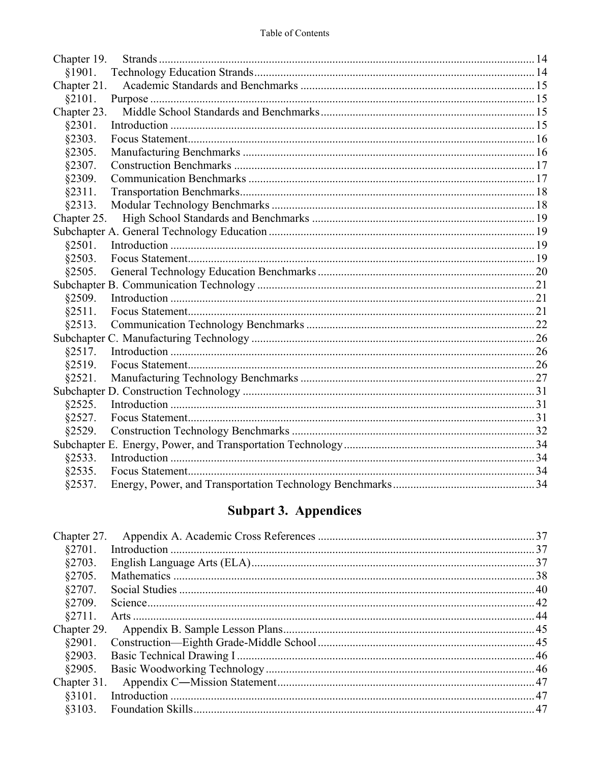| Chapter 19. |  |
|-------------|--|
| §1901.      |  |
| Chapter 21. |  |
| §2101.      |  |
| Chapter 23. |  |
| §2301.      |  |
| §2303.      |  |
| §2305.      |  |
| §2307.      |  |
| §2309.      |  |
| §2311.      |  |
| §2313.      |  |
| Chapter 25. |  |
|             |  |
| §2501.      |  |
| §2503.      |  |
| §2505.      |  |
|             |  |
| §2509.      |  |
| §2511.      |  |
| §2513.      |  |
|             |  |
| §2517.      |  |
| §2519.      |  |
| §2521.      |  |
|             |  |
| §2525.      |  |
| §2527.      |  |
| §2529.      |  |
|             |  |
| §2533.      |  |
| §2535.      |  |
| §2537.      |  |

# **Subpart 3. Appendices**

| Chapter 27. |  |
|-------------|--|
|             |  |
|             |  |
|             |  |
|             |  |
|             |  |
|             |  |
| Chapter 29. |  |
|             |  |
|             |  |
|             |  |
| Chapter 31. |  |
|             |  |
|             |  |
|             |  |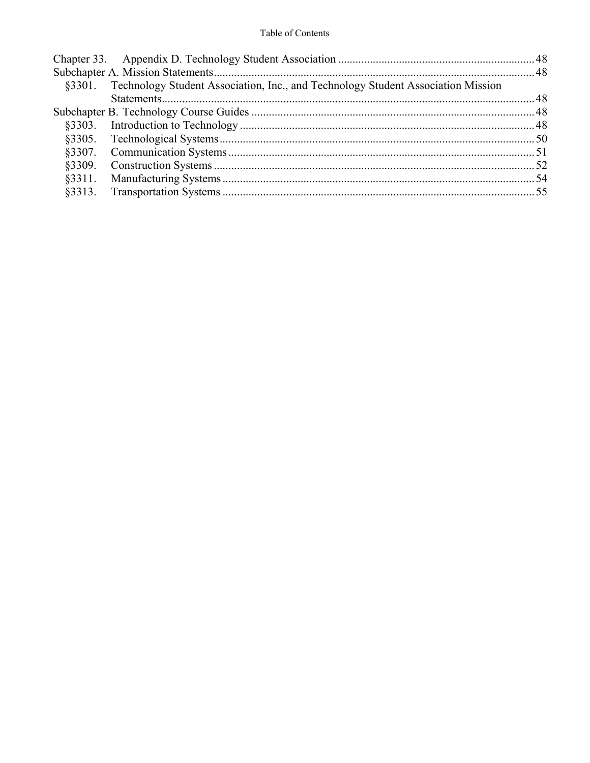| §3301. Technology Student Association, Inc., and Technology Student Association Mission |  |
|-----------------------------------------------------------------------------------------|--|
|                                                                                         |  |
|                                                                                         |  |
|                                                                                         |  |
|                                                                                         |  |
|                                                                                         |  |
|                                                                                         |  |
|                                                                                         |  |
|                                                                                         |  |
|                                                                                         |  |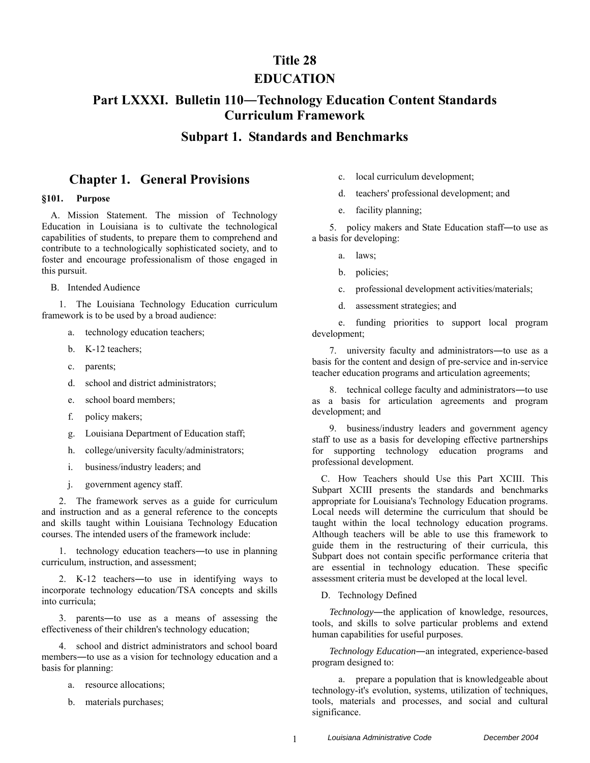### **Title 28**

### **EDUCATION**

# **Part LXXXI. Bulletin 110―Technology Education Content Standards Curriculum Framework**

### **Subpart 1. Standards and Benchmarks**

### **Chapter 1. General Provisions**

### **§101. Purpose**

A. Mission Statement. The mission of Technology Education in Louisiana is to cultivate the technological capabilities of students, to prepare them to comprehend and contribute to a technologically sophisticated society, and to foster and encourage professionalism of those engaged in this pursuit.

B. Intended Audience

1. The Louisiana Technology Education curriculum framework is to be used by a broad audience:

- a. technology education teachers;
- b. K-12 teachers;
- c. parents;
- d. school and district administrators;
- e. school board members;
- f. policy makers;
- g. Louisiana Department of Education staff;
- h. college/university faculty/administrators;
- i. business/industry leaders; and
- j. government agency staff.

2. The framework serves as a guide for curriculum and instruction and as a general reference to the concepts and skills taught within Louisiana Technology Education courses. The intended users of the framework include:

1. technology education teachers―to use in planning curriculum, instruction, and assessment;

2. K-12 teachers―to use in identifying ways to incorporate technology education/TSA concepts and skills into curricula;

3. parents―to use as a means of assessing the effectiveness of their children's technology education;

4. school and district administrators and school board members―to use as a vision for technology education and a basis for planning:

- a. resource allocations;
- b. materials purchases;
- c. local curriculum development;
- d. teachers' professional development; and
- e. facility planning;

5. policy makers and State Education staff―to use as a basis for developing:

- a. laws;
- b. policies;
- c. professional development activities/materials;
- d. assessment strategies; and

e. funding priorities to support local program development;

7. university faculty and administrators―to use as a basis for the content and design of pre-service and in-service teacher education programs and articulation agreements;

8. technical college faculty and administrators―to use as a basis for articulation agreements and program development; and

9. business/industry leaders and government agency staff to use as a basis for developing effective partnerships for supporting technology education programs and professional development.

C. How Teachers should Use this Part XCIII. This Subpart XCIII presents the standards and benchmarks appropriate for Louisiana's Technology Education programs. Local needs will determine the curriculum that should be taught within the local technology education programs. Although teachers will be able to use this framework to guide them in the restructuring of their curricula, this Subpart does not contain specific performance criteria that are essential in technology education. These specific assessment criteria must be developed at the local level.

D. Technology Defined

*Technology*―the application of knowledge, resources, tools, and skills to solve particular problems and extend human capabilities for useful purposes.

*Technology Education*―an integrated, experience-based program designed to:

a. prepare a population that is knowledgeable about technology-it's evolution, systems, utilization of techniques, tools, materials and processes, and social and cultural significance.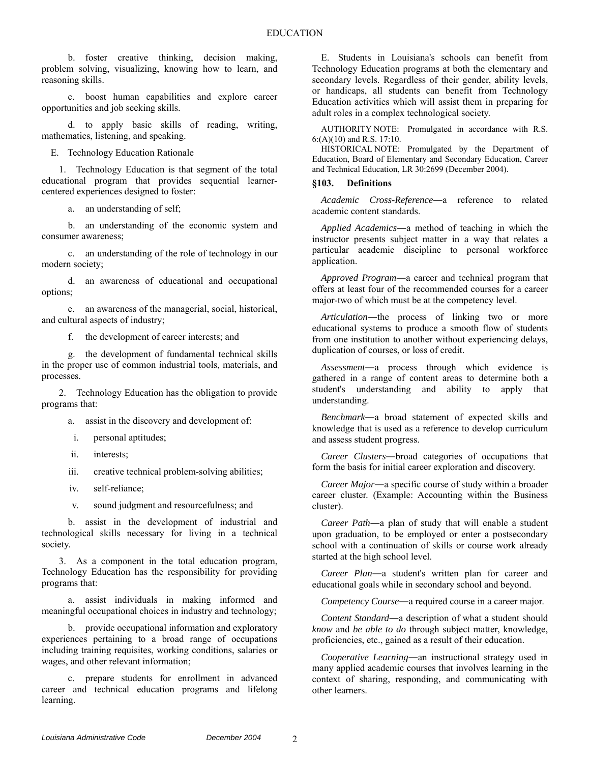b. foster creative thinking, decision making, problem solving, visualizing, knowing how to learn, and reasoning skills.

c. boost human capabilities and explore career opportunities and job seeking skills.

d. to apply basic skills of reading, writing, mathematics, listening, and speaking.

E. Technology Education Rationale

1. Technology Education is that segment of the total educational program that provides sequential learnercentered experiences designed to foster:

a. an understanding of self;

b. an understanding of the economic system and consumer awareness;

c. an understanding of the role of technology in our modern society;

d. an awareness of educational and occupational options;

e. an awareness of the managerial, social, historical, and cultural aspects of industry;

f. the development of career interests; and

g. the development of fundamental technical skills in the proper use of common industrial tools, materials, and processes.

2. Technology Education has the obligation to provide programs that:

a. assist in the discovery and development of:

- i. personal aptitudes;
- ii. interests;

iii. creative technical problem-solving abilities;

iv. self-reliance;

v. sound judgment and resourcefulness; and

b. assist in the development of industrial and technological skills necessary for living in a technical society.

3. As a component in the total education program, Technology Education has the responsibility for providing programs that:

a. assist individuals in making informed and meaningful occupational choices in industry and technology;

b. provide occupational information and exploratory experiences pertaining to a broad range of occupations including training requisites, working conditions, salaries or wages, and other relevant information;

c. prepare students for enrollment in advanced career and technical education programs and lifelong learning.

E. Students in Louisiana's schools can benefit from Technology Education programs at both the elementary and secondary levels. Regardless of their gender, ability levels, or handicaps, all students can benefit from Technology Education activities which will assist them in preparing for adult roles in a complex technological society.

AUTHORITY NOTE: Promulgated in accordance with R.S. 6:(A)(10) and R.S. 17:10.

HISTORICAL NOTE: Promulgated by the Department of Education, Board of Elementary and Secondary Education, Career and Technical Education, LR 30:2699 (December 2004).

### **§103. Definitions**

*Academic Cross-Reference*―a reference to related academic content standards.

*Applied Academics*―a method of teaching in which the instructor presents subject matter in a way that relates a particular academic discipline to personal workforce application.

*Approved Program*―a career and technical program that offers at least four of the recommended courses for a career major-two of which must be at the competency level.

*Articulation*―the process of linking two or more educational systems to produce a smooth flow of students from one institution to another without experiencing delays, duplication of courses, or loss of credit.

*Assessment*―a process through which evidence is gathered in a range of content areas to determine both a student's understanding and ability to apply that understanding.

*Benchmark*―a broad statement of expected skills and knowledge that is used as a reference to develop curriculum and assess student progress.

*Career Clusters*―broad categories of occupations that form the basis for initial career exploration and discovery.

*Career Major*―a specific course of study within a broader career cluster. (Example: Accounting within the Business cluster).

*Career Path*―a plan of study that will enable a student upon graduation, to be employed or enter a postsecondary school with a continuation of skills or course work already started at the high school level.

*Career Plan*―a student's written plan for career and educational goals while in secondary school and beyond.

*Competency Course*―a required course in a career major.

*Content Standard*―a description of what a student should *know* and *be able to do* through subject matter, knowledge, proficiencies, etc., gained as a result of their education.

*Cooperative Learning*―an instructional strategy used in many applied academic courses that involves learning in the context of sharing, responding, and communicating with other learners.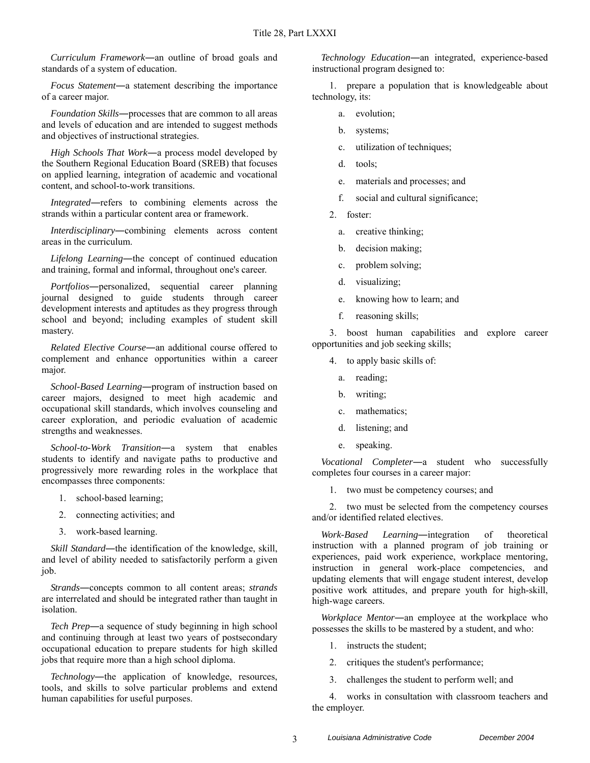*Curriculum Framework*―an outline of broad goals and standards of a system of education.

*Focus Statement*―a statement describing the importance of a career major.

*Foundation Skills*―processes that are common to all areas and levels of education and are intended to suggest methods and objectives of instructional strategies.

*High Schools That Work*―a process model developed by the Southern Regional Education Board (SREB) that focuses on applied learning, integration of academic and vocational content, and school-to-work transitions.

*Integrated*―refers to combining elements across the strands within a particular content area or framework.

*Interdisciplinary*―combining elements across content areas in the curriculum.

*Lifelong Learning*―the concept of continued education and training, formal and informal, throughout one's career.

*Portfolios*―personalized, sequential career planning journal designed to guide students through career development interests and aptitudes as they progress through school and beyond; including examples of student skill mastery.

*Related Elective Course*―an additional course offered to complement and enhance opportunities within a career major.

*School-Based Learning*―program of instruction based on career majors, designed to meet high academic and occupational skill standards, which involves counseling and career exploration, and periodic evaluation of academic strengths and weaknesses.

*School-to-Work Transition*―a system that enables students to identify and navigate paths to productive and progressively more rewarding roles in the workplace that encompasses three components:

- 1. school-based learning;
- 2. connecting activities; and
- 3. work-based learning.

*Skill Standard*—the identification of the knowledge, skill, and level of ability needed to satisfactorily perform a given job.

*Strands*―concepts common to all content areas; *strands* are interrelated and should be integrated rather than taught in isolation.

*Tech Prep*―a sequence of study beginning in high school and continuing through at least two years of postsecondary occupational education to prepare students for high skilled jobs that require more than a high school diploma.

*Technology*―the application of knowledge, resources, tools, and skills to solve particular problems and extend human capabilities for useful purposes.

*Technology Education*―an integrated, experience-based instructional program designed to:

1. prepare a population that is knowledgeable about technology, its:

- a. evolution;
- b. systems;
- c. utilization of techniques;
- d. tools;
- e. materials and processes; and
- f. social and cultural significance;
- 2. foster:
	- a. creative thinking;
	- b. decision making;
	- c. problem solving;
	- d. visualizing;
	- e. knowing how to learn; and
	- f. reasoning skills;

3. boost human capabilities and explore career opportunities and job seeking skills;

- 4. to apply basic skills of:
	- a. reading;
	- b. writing;
	- c. mathematics;
	- d. listening; and
	- e. speaking.

*Vocational Completer*―a student who successfully completes four courses in a career major:

1. two must be competency courses; and

2. two must be selected from the competency courses and/or identified related electives.

*Work-Based Learning*―integration of theoretical instruction with a planned program of job training or experiences, paid work experience, workplace mentoring, instruction in general work-place competencies, and updating elements that will engage student interest, develop positive work attitudes, and prepare youth for high-skill, high-wage careers.

*Workplace Mentor*―an employee at the workplace who possesses the skills to be mastered by a student, and who:

- 1. instructs the student;
- 2. critiques the student's performance;
- 3. challenges the student to perform well; and

4. works in consultation with classroom teachers and the employer.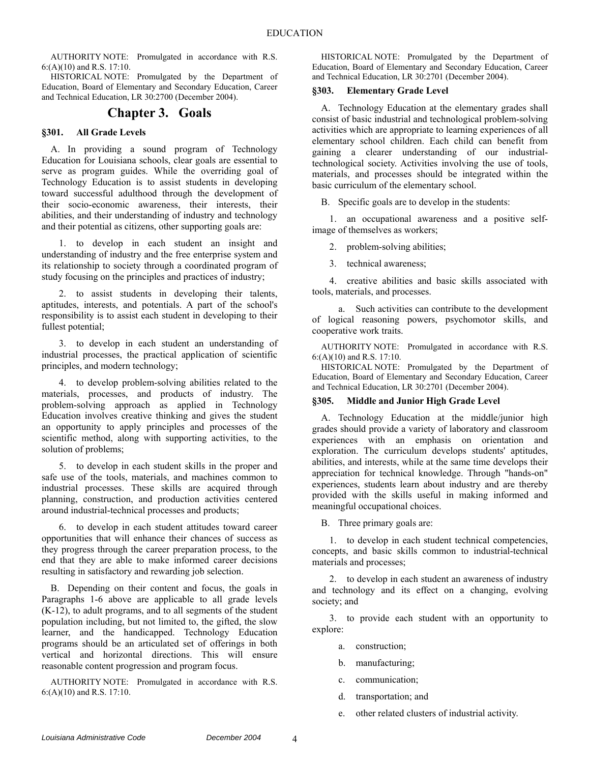HISTORICAL NOTE: Promulgated by the Department of Education, Board of Elementary and Secondary Education, Career and Technical Education, LR 30:2700 (December 2004).

### **Chapter 3. Goals**

### **§301. All Grade Levels**

A. In providing a sound program of Technology Education for Louisiana schools, clear goals are essential to serve as program guides. While the overriding goal of Technology Education is to assist students in developing toward successful adulthood through the development of their socio-economic awareness, their interests, their abilities, and their understanding of industry and technology and their potential as citizens, other supporting goals are:

1. to develop in each student an insight and understanding of industry and the free enterprise system and its relationship to society through a coordinated program of study focusing on the principles and practices of industry;

2. to assist students in developing their talents, aptitudes, interests, and potentials. A part of the school's responsibility is to assist each student in developing to their fullest potential;

3. to develop in each student an understanding of industrial processes, the practical application of scientific principles, and modern technology;

4. to develop problem-solving abilities related to the materials, processes, and products of industry. The problem-solving approach as applied in Technology Education involves creative thinking and gives the student an opportunity to apply principles and processes of the scientific method, along with supporting activities, to the solution of problems;

5. to develop in each student skills in the proper and safe use of the tools, materials, and machines common to industrial processes. These skills are acquired through planning, construction, and production activities centered around industrial-technical processes and products;

6. to develop in each student attitudes toward career opportunities that will enhance their chances of success as they progress through the career preparation process, to the end that they are able to make informed career decisions resulting in satisfactory and rewarding job selection.

B. Depending on their content and focus, the goals in Paragraphs 1-6 above are applicable to all grade levels (K-12), to adult programs, and to all segments of the student population including, but not limited to, the gifted, the slow learner, and the handicapped. Technology Education programs should be an articulated set of offerings in both vertical and horizontal directions. This will ensure reasonable content progression and program focus.

AUTHORITY NOTE: Promulgated in accordance with R.S. 6:(A)(10) and R.S. 17:10.

HISTORICAL NOTE: Promulgated by the Department of Education, Board of Elementary and Secondary Education, Career and Technical Education, LR 30:2701 (December 2004).

### **§303. Elementary Grade Level**

A. Technology Education at the elementary grades shall consist of basic industrial and technological problem-solving activities which are appropriate to learning experiences of all elementary school children. Each child can benefit from gaining a clearer understanding of our industrialtechnological society. Activities involving the use of tools, materials, and processes should be integrated within the basic curriculum of the elementary school.

B. Specific goals are to develop in the students:

1. an occupational awareness and a positive selfimage of themselves as workers;

2. problem-solving abilities;

3. technical awareness;

4. creative abilities and basic skills associated with tools, materials, and processes.

a. Such activities can contribute to the development of logical reasoning powers, psychomotor skills, and cooperative work traits.

AUTHORITY NOTE: Promulgated in accordance with R.S. 6:(A)(10) and R.S. 17:10.

HISTORICAL NOTE: Promulgated by the Department of Education, Board of Elementary and Secondary Education, Career and Technical Education, LR 30:2701 (December 2004).

### **§305. Middle and Junior High Grade Level**

A. Technology Education at the middle/junior high grades should provide a variety of laboratory and classroom experiences with an emphasis on orientation and exploration. The curriculum develops students' aptitudes, abilities, and interests, while at the same time develops their appreciation for technical knowledge. Through "hands-on" experiences, students learn about industry and are thereby provided with the skills useful in making informed and meaningful occupational choices.

B. Three primary goals are:

1. to develop in each student technical competencies, concepts, and basic skills common to industrial-technical materials and processes;

2. to develop in each student an awareness of industry and technology and its effect on a changing, evolving society; and

3. to provide each student with an opportunity to explore:

- a. construction;
- b. manufacturing;
- c. communication;
- d. transportation; and
- e. other related clusters of industrial activity.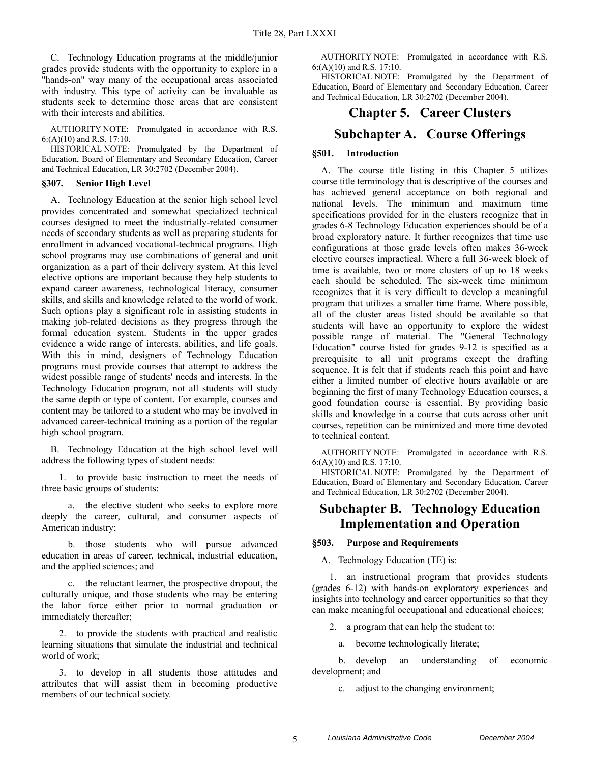C. Technology Education programs at the middle/junior grades provide students with the opportunity to explore in a "hands-on" way many of the occupational areas associated with industry. This type of activity can be invaluable as students seek to determine those areas that are consistent with their interests and abilities.

AUTHORITY NOTE: Promulgated in accordance with R.S. 6:(A)(10) and R.S. 17:10.

HISTORICAL NOTE: Promulgated by the Department of Education, Board of Elementary and Secondary Education, Career and Technical Education, LR 30:2702 (December 2004).

### **§307. Senior High Level**

A. Technology Education at the senior high school level provides concentrated and somewhat specialized technical courses designed to meet the industrially-related consumer needs of secondary students as well as preparing students for enrollment in advanced vocational-technical programs. High school programs may use combinations of general and unit organization as a part of their delivery system. At this level elective options are important because they help students to expand career awareness, technological literacy, consumer skills, and skills and knowledge related to the world of work. Such options play a significant role in assisting students in making job-related decisions as they progress through the formal education system. Students in the upper grades evidence a wide range of interests, abilities, and life goals. With this in mind, designers of Technology Education programs must provide courses that attempt to address the widest possible range of students' needs and interests. In the Technology Education program, not all students will study the same depth or type of content. For example, courses and content may be tailored to a student who may be involved in advanced career-technical training as a portion of the regular high school program.

B. Technology Education at the high school level will address the following types of student needs:

1. to provide basic instruction to meet the needs of three basic groups of students:

a. the elective student who seeks to explore more deeply the career, cultural, and consumer aspects of American industry;

b. those students who will pursue advanced education in areas of career, technical, industrial education, and the applied sciences; and

c. the reluctant learner, the prospective dropout, the culturally unique, and those students who may be entering the labor force either prior to normal graduation or immediately thereafter;

2. to provide the students with practical and realistic learning situations that simulate the industrial and technical world of work;

3. to develop in all students those attitudes and attributes that will assist them in becoming productive members of our technical society.

AUTHORITY NOTE: Promulgated in accordance with R.S. 6:(A)(10) and R.S. 17:10.

HISTORICAL NOTE: Promulgated by the Department of Education, Board of Elementary and Secondary Education, Career and Technical Education, LR 30:2702 (December 2004).

### **Chapter 5. Career Clusters**

### **Subchapter A. Course Offerings**

### **§501. Introduction**

A. The course title listing in this Chapter 5 utilizes course title terminology that is descriptive of the courses and has achieved general acceptance on both regional and national levels. The minimum and maximum time specifications provided for in the clusters recognize that in grades 6-8 Technology Education experiences should be of a broad exploratory nature. It further recognizes that time use configurations at those grade levels often makes 36-week elective courses impractical. Where a full 36-week block of time is available, two or more clusters of up to 18 weeks each should be scheduled. The six-week time minimum recognizes that it is very difficult to develop a meaningful program that utilizes a smaller time frame. Where possible, all of the cluster areas listed should be available so that students will have an opportunity to explore the widest possible range of material. The "General Technology Education" course listed for grades 9-12 is specified as a prerequisite to all unit programs except the drafting sequence. It is felt that if students reach this point and have either a limited number of elective hours available or are beginning the first of many Technology Education courses, a good foundation course is essential. By providing basic skills and knowledge in a course that cuts across other unit courses, repetition can be minimized and more time devoted to technical content.

AUTHORITY NOTE: Promulgated in accordance with R.S. 6:(A)(10) and R.S. 17:10.

HISTORICAL NOTE: Promulgated by the Department of Education, Board of Elementary and Secondary Education, Career and Technical Education, LR 30:2702 (December 2004).

### **Subchapter B. Technology Education Implementation and Operation**

### **§503. Purpose and Requirements**

A. Technology Education (TE) is:

1. an instructional program that provides students (grades 6-12) with hands-on exploratory experiences and insights into technology and career opportunities so that they can make meaningful occupational and educational choices;

2. a program that can help the student to:

a. become technologically literate;

b. develop an understanding of economic development; and

c. adjust to the changing environment;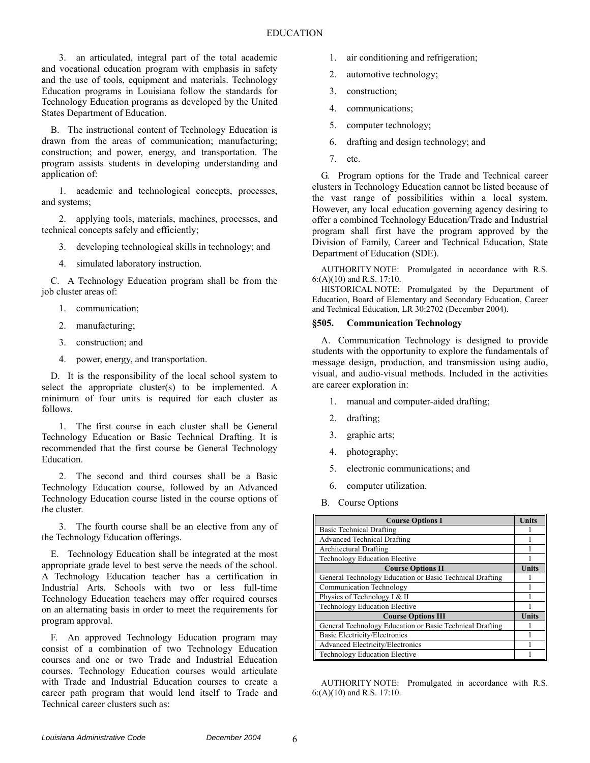3. an articulated, integral part of the total academic and vocational education program with emphasis in safety and the use of tools, equipment and materials. Technology Education programs in Louisiana follow the standards for Technology Education programs as developed by the United States Department of Education.

B. The instructional content of Technology Education is drawn from the areas of communication; manufacturing; construction; and power, energy, and transportation. The program assists students in developing understanding and application of:

1. academic and technological concepts, processes, and systems;

2. applying tools, materials, machines, processes, and technical concepts safely and efficiently;

- 3. developing technological skills in technology; and
- 4. simulated laboratory instruction.

C. A Technology Education program shall be from the job cluster areas of:

- 1. communication;
- 2. manufacturing;
- 3. construction; and
- 4. power, energy, and transportation.

D. It is the responsibility of the local school system to select the appropriate cluster(s) to be implemented. A minimum of four units is required for each cluster as follows.

1. The first course in each cluster shall be General Technology Education or Basic Technical Drafting. It is recommended that the first course be General Technology Education.

2. The second and third courses shall be a Basic Technology Education course, followed by an Advanced Technology Education course listed in the course options of the cluster.

3. The fourth course shall be an elective from any of the Technology Education offerings.

E. Technology Education shall be integrated at the most appropriate grade level to best serve the needs of the school. A Technology Education teacher has a certification in Industrial Arts. Schools with two or less full-time Technology Education teachers may offer required courses on an alternating basis in order to meet the requirements for program approval.

F. An approved Technology Education program may consist of a combination of two Technology Education courses and one or two Trade and Industrial Education courses. Technology Education courses would articulate with Trade and Industrial Education courses to create a career path program that would lend itself to Trade and Technical career clusters such as:

- 1. air conditioning and refrigeration;
- 2. automotive technology;
- 3. construction;
- 4. communications;
- 5. computer technology;
- 6. drafting and design technology; and
- 7. etc.

G. Program options for the Trade and Technical career clusters in Technology Education cannot be listed because of the vast range of possibilities within a local system. However, any local education governing agency desiring to offer a combined Technology Education/Trade and Industrial program shall first have the program approved by the Division of Family, Career and Technical Education, State Department of Education (SDE).

AUTHORITY NOTE: Promulgated in accordance with R.S. 6:(A)(10) and R.S. 17:10.

HISTORICAL NOTE: Promulgated by the Department of Education, Board of Elementary and Secondary Education, Career and Technical Education, LR 30:2702 (December 2004).

### **§505. Communication Technology**

A. Communication Technology is designed to provide students with the opportunity to explore the fundamentals of message design, production, and transmission using audio, visual, and audio-visual methods. Included in the activities are career exploration in:

- 1. manual and computer-aided drafting;
- 2. drafting;
- 3. graphic arts;
- 4. photography;
- 5. electronic communications; and
- 6. computer utilization.
- B. Course Options

| <b>Course Options I</b>                                  | <b>Units</b> |
|----------------------------------------------------------|--------------|
| <b>Basic Technical Drafting</b>                          |              |
| <b>Advanced Technical Drafting</b>                       |              |
| <b>Architectural Drafting</b>                            |              |
| Technology Education Elective                            |              |
| <b>Course Options II</b>                                 | Units        |
| General Technology Education or Basic Technical Drafting |              |
| <b>Communication Technology</b>                          |              |
| Physics of Technology I & II                             |              |
| Technology Education Elective                            |              |
| <b>Course Options III</b>                                | Units        |
| General Technology Education or Basic Technical Drafting |              |
| <b>Basic Electricity/Electronics</b>                     |              |
| Advanced Electricity/Electronics                         |              |
| Technology Education Elective                            |              |

AUTHORITY NOTE: Promulgated in accordance with R.S. 6:(A)(10) and R.S. 17:10.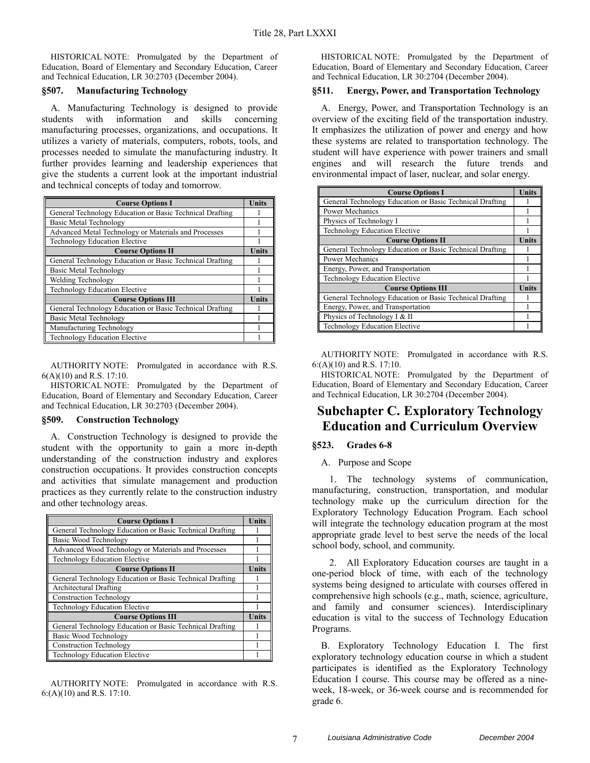HISTORICAL NOTE: Promulgated by the Department of Education, Board of Elementary and Secondary Education, Career and Technical Education, LR 30:2703 (December 2004).

#### **§507. Manufacturing Technology**

A. Manufacturing Technology is designed to provide students with information and skills concerning manufacturing processes, organizations, and occupations. It utilizes a variety of materials, computers, robots, tools, and processes needed to simulate the manufacturing industry. It further provides learning and leadership experiences that give the students a current look at the important industrial and technical concepts of today and tomorrow.

| <b>Course Options I</b>                                  | <b>Units</b> |
|----------------------------------------------------------|--------------|
| General Technology Education or Basic Technical Drafting |              |
| Basic Metal Technology                                   |              |
| Advanced Metal Technology or Materials and Processes     |              |
| Technology Education Elective                            |              |
| <b>Course Options II</b>                                 | Units        |
| General Technology Education or Basic Technical Drafting |              |
| Basic Metal Technology                                   |              |
| Welding Technology                                       |              |
| Technology Education Elective                            |              |
| <b>Course Options III</b>                                | Units        |
| General Technology Education or Basic Technical Drafting |              |
| Basic Metal Technology                                   |              |
| Manufacturing Technology                                 |              |
| Technology Education Elective                            |              |

AUTHORITY NOTE: Promulgated in accordance with R.S. 6(A)(10) and R.S. 17:10.

HISTORICAL NOTE: Promulgated by the Department of Education, Board of Elementary and Secondary Education, Career and Technical Education, LR 30:2703 (December 2004).

#### **§509. Construction Technology**

A. Construction Technology is designed to provide the student with the opportunity to gain a more in-depth understanding of the construction industry and explores construction occupations. It provides construction concepts and activities that simulate management and production practices as they currently relate to the construction industry and other technology areas.

| <b>Course Options I</b>                                  | <b>Units</b> |
|----------------------------------------------------------|--------------|
| General Technology Education or Basic Technical Drafting |              |
| Basic Wood Technology                                    |              |
| Advanced Wood Technology or Materials and Processes      |              |
| <b>Technology Education Elective</b>                     |              |
| <b>Course Options II</b>                                 | <b>Units</b> |
| General Technology Education or Basic Technical Drafting |              |
| Architectural Drafting                                   |              |
| <b>Construction Technology</b>                           |              |
| Technology Education Elective                            |              |
| <b>Course Options III</b>                                | Units        |
| General Technology Education or Basic Technical Drafting |              |
| Basic Wood Technology                                    |              |
| <b>Construction Technology</b>                           |              |
| <b>Technology Education Elective</b>                     |              |

AUTHORITY NOTE: Promulgated in accordance with R.S. 6:(A)(10) and R.S. 17:10.

HISTORICAL NOTE: Promulgated by the Department of Education, Board of Elementary and Secondary Education, Career and Technical Education, LR 30:2704 (December 2004).

#### **§511. Energy, Power, and Transportation Technology**

A. Energy, Power, and Transportation Technology is an overview of the exciting field of the transportation industry. It emphasizes the utilization of power and energy and how these systems are related to transportation technology. The student will have experience with power trainers and small engines and will research the future trends and environmental impact of laser, nuclear, and solar energy.

| <b>Course Options I</b>                                  | Units |
|----------------------------------------------------------|-------|
| General Technology Education or Basic Technical Drafting |       |
| Power Mechanics                                          |       |
| Physics of Technology I                                  |       |
| Technology Education Elective                            |       |
| <b>Course Options II</b>                                 | Units |
| General Technology Education or Basic Technical Drafting |       |
| <b>Power Mechanics</b>                                   |       |
| Energy, Power, and Transportation                        |       |
| Technology Education Elective                            |       |
| <b>Course Options III</b>                                |       |
| General Technology Education or Basic Technical Drafting |       |
| Energy, Power, and Transportation                        |       |
| Physics of Technology I & II                             |       |
| Technology Education Elective                            |       |

AUTHORITY NOTE: Promulgated in accordance with R.S. 6:(A)(10) and R.S. 17:10.

HISTORICAL NOTE: Promulgated by the Department of Education, Board of Elementary and Secondary Education, Career and Technical Education, LR 30:2704 (December 2004).

# **Subchapter C. Exploratory Technology Education and Curriculum Overview**

### **§523. Grades 6-8**

### A. Purpose and Scope

1. The technology systems of communication, manufacturing, construction, transportation, and modular technology make up the curriculum direction for the Exploratory Technology Education Program. Each school will integrate the technology education program at the most appropriate grade level to best serve the needs of the local school body, school, and community.

2. All Exploratory Education courses are taught in a one-period block of time, with each of the technology systems being designed to articulate with courses offered in comprehensive high schools (e.g., math, science, agriculture, and family and consumer sciences). Interdisciplinary education is vital to the success of Technology Education Programs.

B. Exploratory Technology Education I. The first exploratory technology education course in which a student participates is identified as the Exploratory Technology Education I course. This course may be offered as a nineweek, 18-week, or 36-week course and is recommended for grade 6.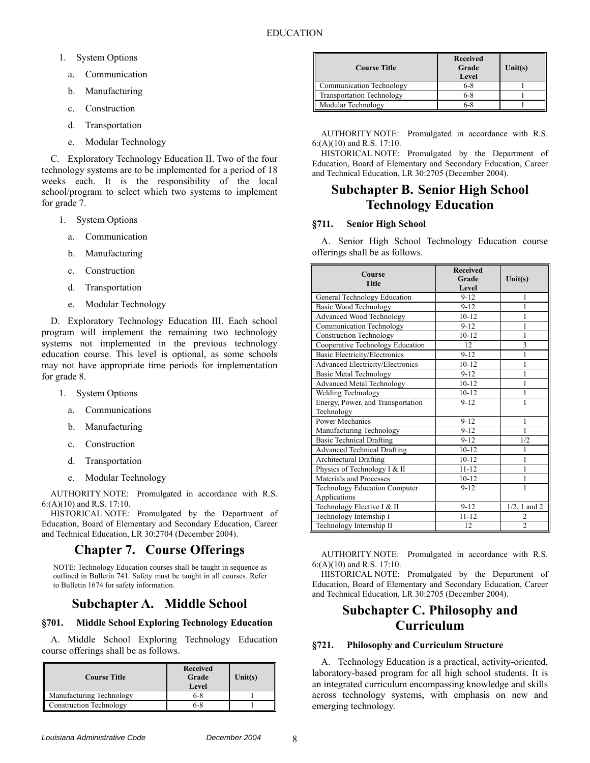- 1. System Options
	- a. Communication
	- b. Manufacturing
	- c. Construction
	- d. Transportation
	- e. Modular Technology

C. Exploratory Technology Education II. Two of the four technology systems are to be implemented for a period of 18 weeks each. It is the responsibility of the local school/program to select which two systems to implement for grade 7.

- 1. System Options
	- a. Communication
	- b. Manufacturing
	- c. Construction
	- d. Transportation
	- e. Modular Technology

D. Exploratory Technology Education III. Each school program will implement the remaining two technology systems not implemented in the previous technology education course. This level is optional, as some schools may not have appropriate time periods for implementation for grade 8.

- 1. System Options
	- a. Communications
	- b. Manufacturing
	- c. Construction
	- d. Transportation
	- e. Modular Technology

AUTHORITY NOTE: Promulgated in accordance with R.S. 6:(A)(10) and R.S. 17:10.

HISTORICAL NOTE: Promulgated by the Department of Education, Board of Elementary and Secondary Education, Career and Technical Education, LR 30:2704 (December 2004).

## **Chapter 7. Course Offerings**

NOTE: Technology Education courses shall be taught in sequence as outlined in Bulletin 741. Safety must be taught in all courses. Refer to Bulletin 1674 for safety information.

# **Subchapter A. Middle School**

### **§701. Middle School Exploring Technology Education**

A. Middle School Exploring Technology Education course offerings shall be as follows.

| <b>Course Title</b>            | Received<br>Grade<br>Level | Unit(s) |
|--------------------------------|----------------------------|---------|
| Manufacturing Technology       | 6-8                        |         |
| <b>Construction Technology</b> | 6-8                        |         |

| <b>Course Title</b>              | Received<br>Grade<br>Level | Unit(s) |
|----------------------------------|----------------------------|---------|
| <b>Communication Technology</b>  | $6 - 8$                    |         |
| <b>Transportation Technology</b> | $6 - 8$                    |         |
| Modular Technology               | $6-8$                      |         |

AUTHORITY NOTE: Promulgated in accordance with R.S. 6:(A)(10) and R.S. 17:10.

HISTORICAL NOTE: Promulgated by the Department of Education, Board of Elementary and Secondary Education, Career and Technical Education, LR 30:2705 (December 2004).

# **Subchapter B. Senior High School Technology Education**

### **§711. Senior High School**

A. Senior High School Technology Education course offerings shall be as follows.

| Course<br>Title                                 | <b>Received</b><br>Grade<br>Level | Unit(s)         |
|-------------------------------------------------|-----------------------------------|-----------------|
| <b>General Technology Education</b>             | $9 - 12$                          | 1               |
| Basic Wood Technology                           | $9 - 12$                          | 1               |
| Advanced Wood Technology                        | $10 - 12$                         |                 |
| <b>Communication Technology</b>                 | $9 - 12$                          |                 |
| Construction Technology                         | $10 - 12$                         |                 |
| Cooperative Technology Education                | 12                                | 3               |
| <b>Basic Electricity/Electronics</b>            | $9 - 12$                          | 1               |
| Advanced Electricity/Electronics                | $10 - 12$                         | 1               |
| <b>Basic Metal Technology</b>                   | $9 - 12$                          |                 |
| Advanced Metal Technology                       | $10 - 12$                         |                 |
| Welding Technology                              | $10 - 12$                         |                 |
| Energy, Power, and Transportation<br>Technology | $9 - 12$                          |                 |
| Power Mechanics                                 | $9 - 12$                          | 1               |
| Manufacturing Technology                        | $9 - 12$                          | 1               |
| <b>Basic Technical Drafting</b>                 | $9 - 12$                          | 1/2             |
| <b>Advanced Technical Drafting</b>              | $10 - 12$                         | 1               |
| <b>Architectural Drafting</b>                   | $10 - 12$                         |                 |
| Physics of Technology I & II                    | $11 - 12$                         | 1               |
| Materials and Processes                         | $10 - 12$                         |                 |
| Technology Education Computer<br>Applications   | $9 - 12$                          |                 |
| Technology Elective I & II                      | $9 - 12$                          | $1/2$ , 1 and 2 |
| Technology Internship I                         | $11 - 12$                         | 2               |
| Technology Internship II                        | 12                                | $\overline{c}$  |

AUTHORITY NOTE: Promulgated in accordance with R.S. 6:(A)(10) and R.S. 17:10.

HISTORICAL NOTE: Promulgated by the Department of Education, Board of Elementary and Secondary Education, Career and Technical Education, LR 30:2705 (December 2004).

# **Subchapter C. Philosophy and Curriculum**

### **§721. Philosophy and Curriculum Structure**

A. Technology Education is a practical, activity-oriented, laboratory-based program for all high school students. It is an integrated curriculum encompassing knowledge and skills across technology systems, with emphasis on new and emerging technology.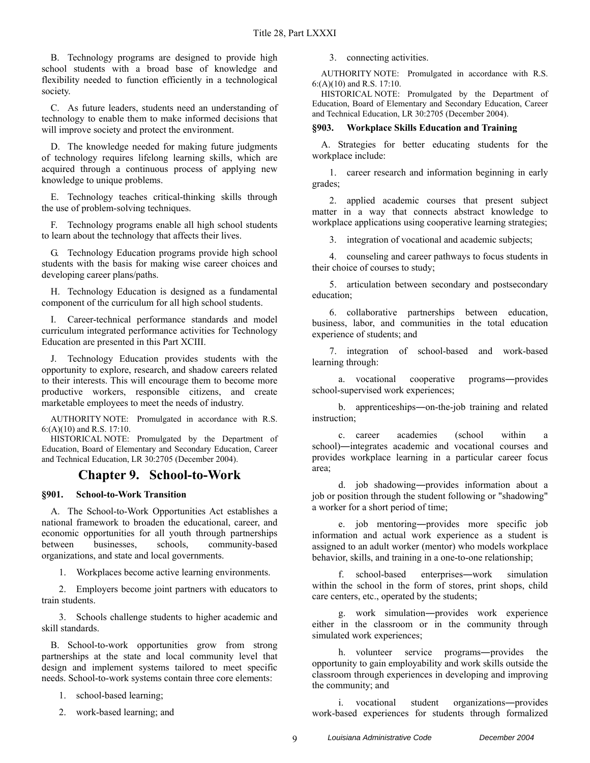B. Technology programs are designed to provide high school students with a broad base of knowledge and flexibility needed to function efficiently in a technological society.

C. As future leaders, students need an understanding of technology to enable them to make informed decisions that will improve society and protect the environment.

D. The knowledge needed for making future judgments of technology requires lifelong learning skills, which are acquired through a continuous process of applying new knowledge to unique problems.

E. Technology teaches critical-thinking skills through the use of problem-solving techniques.

F. Technology programs enable all high school students to learn about the technology that affects their lives.

G. Technology Education programs provide high school students with the basis for making wise career choices and developing career plans/paths.

H. Technology Education is designed as a fundamental component of the curriculum for all high school students.

I. Career-technical performance standards and model curriculum integrated performance activities for Technology Education are presented in this Part XCIII.

J. Technology Education provides students with the opportunity to explore, research, and shadow careers related to their interests. This will encourage them to become more productive workers, responsible citizens, and create marketable employees to meet the needs of industry.

AUTHORITY NOTE: Promulgated in accordance with R.S. 6:(A)(10) and R.S. 17:10.

HISTORICAL NOTE: Promulgated by the Department of Education, Board of Elementary and Secondary Education, Career and Technical Education, LR 30:2705 (December 2004).

### **Chapter 9. School-to-Work**

### **§901. School-to-Work Transition**

A. The School-to-Work Opportunities Act establishes a national framework to broaden the educational, career, and economic opportunities for all youth through partnerships between businesses, schools, community-based organizations, and state and local governments.

1. Workplaces become active learning environments.

2. Employers become joint partners with educators to train students.

3. Schools challenge students to higher academic and skill standards.

B. School-to-work opportunities grow from strong partnerships at the state and local community level that design and implement systems tailored to meet specific needs. School-to-work systems contain three core elements:

1. school-based learning;

2. work-based learning; and

3. connecting activities.

AUTHORITY NOTE: Promulgated in accordance with R.S. 6:(A)(10) and R.S. 17:10.

HISTORICAL NOTE: Promulgated by the Department of Education, Board of Elementary and Secondary Education, Career and Technical Education, LR 30:2705 (December 2004).

### **§903. Workplace Skills Education and Training**

A. Strategies for better educating students for the workplace include:

1. career research and information beginning in early grades;

2. applied academic courses that present subject matter in a way that connects abstract knowledge to workplace applications using cooperative learning strategies;

3. integration of vocational and academic subjects;

4. counseling and career pathways to focus students in their choice of courses to study;

5. articulation between secondary and postsecondary education;

6. collaborative partnerships between education, business, labor, and communities in the total education experience of students; and

7. integration of school-based and work-based learning through:

a. vocational cooperative programs―provides school-supervised work experiences;

b. apprenticeships―on-the-job training and related instruction;

c. career academies (school within a school)―integrates academic and vocational courses and provides workplace learning in a particular career focus area;

d. job shadowing―provides information about a job or position through the student following or "shadowing" a worker for a short period of time;

e. job mentoring―provides more specific job information and actual work experience as a student is assigned to an adult worker (mentor) who models workplace behavior, skills, and training in a one-to-one relationship;

f. school-based enterprises―work simulation within the school in the form of stores, print shops, child care centers, etc., operated by the students;

g. work simulation―provides work experience either in the classroom or in the community through simulated work experiences;

h. volunteer service programs―provides the opportunity to gain employability and work skills outside the classroom through experiences in developing and improving the community; and

i. vocational student organizations―provides work-based experiences for students through formalized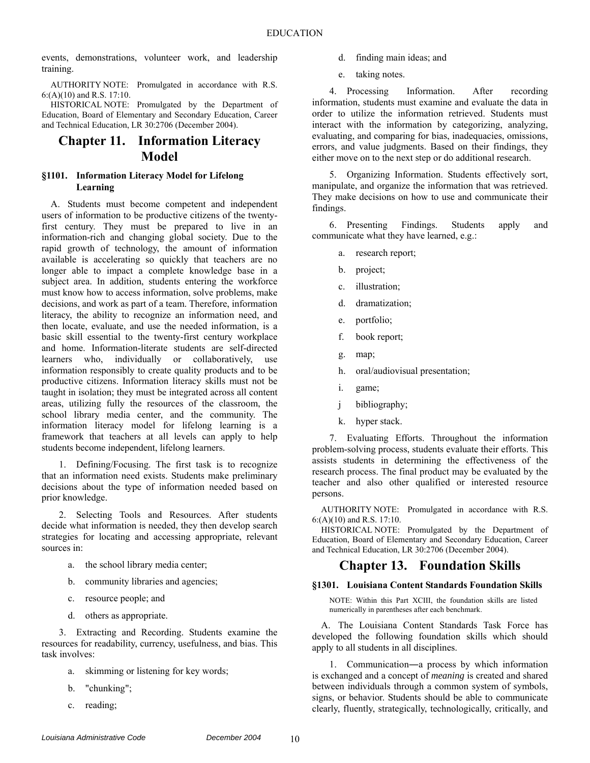events, demonstrations, volunteer work, and leadership training.

AUTHORITY NOTE: Promulgated in accordance with R.S. 6:(A)(10) and R.S. 17:10.

HISTORICAL NOTE: Promulgated by the Department of Education, Board of Elementary and Secondary Education, Career and Technical Education, LR 30:2706 (December 2004).

### **Chapter 11. Information Literacy Model**

### **§1101. Information Literacy Model for Lifelong Learning**

A. Students must become competent and independent users of information to be productive citizens of the twentyfirst century. They must be prepared to live in an information-rich and changing global society. Due to the rapid growth of technology, the amount of information available is accelerating so quickly that teachers are no longer able to impact a complete knowledge base in a subject area. In addition, students entering the workforce must know how to access information, solve problems, make decisions, and work as part of a team. Therefore, information literacy, the ability to recognize an information need, and then locate, evaluate, and use the needed information, is a basic skill essential to the twenty-first century workplace and home. Information-literate students are self-directed learners who, individually or collaboratively, use information responsibly to create quality products and to be productive citizens. Information literacy skills must not be taught in isolation; they must be integrated across all content areas, utilizing fully the resources of the classroom, the school library media center, and the community. The information literacy model for lifelong learning is a framework that teachers at all levels can apply to help students become independent, lifelong learners.

1. Defining/Focusing. The first task is to recognize that an information need exists. Students make preliminary decisions about the type of information needed based on prior knowledge.

2. Selecting Tools and Resources. After students decide what information is needed, they then develop search strategies for locating and accessing appropriate, relevant sources in:

- a. the school library media center;
- b. community libraries and agencies;
- c. resource people; and
- d. others as appropriate.

3. Extracting and Recording. Students examine the resources for readability, currency, usefulness, and bias. This task involves:

- a. skimming or listening for key words;
- b. "chunking";
- c. reading;
- d. finding main ideas; and
- e. taking notes.

4. Processing Information. After recording information, students must examine and evaluate the data in order to utilize the information retrieved. Students must interact with the information by categorizing, analyzing, evaluating, and comparing for bias, inadequacies, omissions, errors, and value judgments. Based on their findings, they either move on to the next step or do additional research.

5. Organizing Information. Students effectively sort, manipulate, and organize the information that was retrieved. They make decisions on how to use and communicate their findings.

6. Presenting Findings. Students apply and communicate what they have learned, e.g.:

- a. research report;
- b. project;
- c. illustration;
- d. dramatization;
- e. portfolio;
- f. book report;
- g. map;
- h. oral/audiovisual presentation;
- i. game;
- j bibliography;
- k. hyper stack.

7. Evaluating Efforts. Throughout the information problem-solving process, students evaluate their efforts. This assists students in determining the effectiveness of the research process. The final product may be evaluated by the teacher and also other qualified or interested resource persons.

AUTHORITY NOTE: Promulgated in accordance with R.S. 6:(A)(10) and R.S. 17:10.

HISTORICAL NOTE: Promulgated by the Department of Education, Board of Elementary and Secondary Education, Career and Technical Education, LR 30:2706 (December 2004).

### **Chapter 13. Foundation Skills**

### **§1301. Louisiana Content Standards Foundation Skills**

NOTE: Within this Part XCIII, the foundation skills are listed numerically in parentheses after each benchmark.

A. The Louisiana Content Standards Task Force has developed the following foundation skills which should apply to all students in all disciplines.

1. Communication―a process by which information is exchanged and a concept of *meaning* is created and shared between individuals through a common system of symbols, signs, or behavior. Students should be able to communicate clearly, fluently, strategically, technologically, critically, and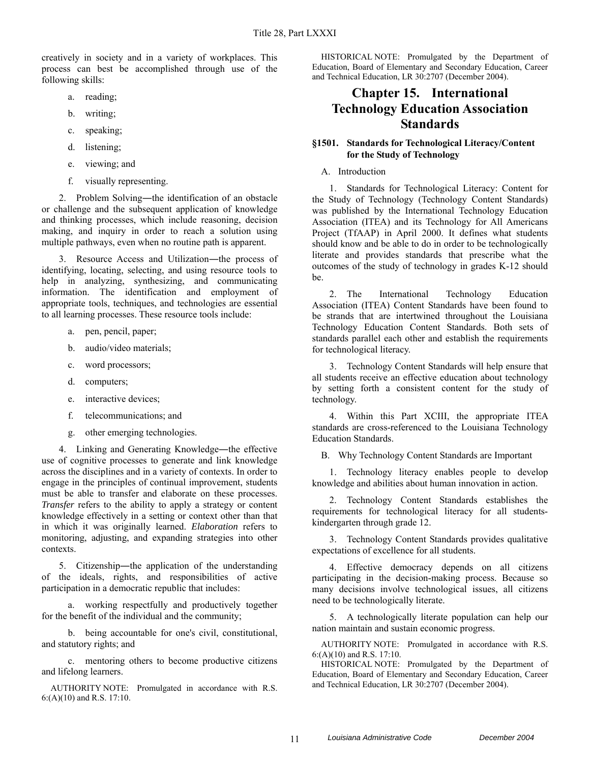creatively in society and in a variety of workplaces. This process can best be accomplished through use of the following skills:

- a. reading;
- b. writing;
- c. speaking;
- d. listening;
- e. viewing; and
- f. visually representing.

2. Problem Solving—the identification of an obstacle or challenge and the subsequent application of knowledge and thinking processes, which include reasoning, decision making, and inquiry in order to reach a solution using multiple pathways, even when no routine path is apparent.

3. Resource Access and Utilization―the process of identifying, locating, selecting, and using resource tools to help in analyzing, synthesizing, and communicating information. The identification and employment of appropriate tools, techniques, and technologies are essential to all learning processes. These resource tools include:

- a. pen, pencil, paper;
- b. audio/video materials;
- c. word processors;
- d. computers;
- e. interactive devices;
- f. telecommunications; and
- g. other emerging technologies.

4. Linking and Generating Knowledge―the effective use of cognitive processes to generate and link knowledge across the disciplines and in a variety of contexts. In order to engage in the principles of continual improvement, students must be able to transfer and elaborate on these processes. *Transfer* refers to the ability to apply a strategy or content knowledge effectively in a setting or context other than that in which it was originally learned. *Elaboration* refers to monitoring, adjusting, and expanding strategies into other contexts.

5. Citizenship―the application of the understanding of the ideals, rights, and responsibilities of active participation in a democratic republic that includes:

a. working respectfully and productively together for the benefit of the individual and the community;

b. being accountable for one's civil, constitutional, and statutory rights; and

c. mentoring others to become productive citizens and lifelong learners.

AUTHORITY NOTE: Promulgated in accordance with R.S. 6:(A)(10) and R.S. 17:10.

HISTORICAL NOTE: Promulgated by the Department of Education, Board of Elementary and Secondary Education, Career and Technical Education, LR 30:2707 (December 2004).

# **Chapter 15. International Technology Education Association Standards**

### **§1501. Standards for Technological Literacy/Content for the Study of Technology**

A. Introduction

1. Standards for Technological Literacy: Content for the Study of Technology (Technology Content Standards) was published by the International Technology Education Association (ITEA) and its Technology for All Americans Project (TfAAP) in April 2000. It defines what students should know and be able to do in order to be technologically literate and provides standards that prescribe what the outcomes of the study of technology in grades K-12 should be.

2. The International Technology Education Association (ITEA) Content Standards have been found to be strands that are intertwined throughout the Louisiana Technology Education Content Standards. Both sets of standards parallel each other and establish the requirements for technological literacy.

3. Technology Content Standards will help ensure that all students receive an effective education about technology by setting forth a consistent content for the study of technology.

4. Within this Part XCIII, the appropriate ITEA standards are cross-referenced to the Louisiana Technology Education Standards.

B. Why Technology Content Standards are Important

1. Technology literacy enables people to develop knowledge and abilities about human innovation in action.

2. Technology Content Standards establishes the requirements for technological literacy for all studentskindergarten through grade 12.

3. Technology Content Standards provides qualitative expectations of excellence for all students.

4. Effective democracy depends on all citizens participating in the decision-making process. Because so many decisions involve technological issues, all citizens need to be technologically literate.

5. A technologically literate population can help our nation maintain and sustain economic progress.

AUTHORITY NOTE: Promulgated in accordance with R.S. 6:(A)(10) and R.S. 17:10.

HISTORICAL NOTE: Promulgated by the Department of Education, Board of Elementary and Secondary Education, Career and Technical Education, LR 30:2707 (December 2004).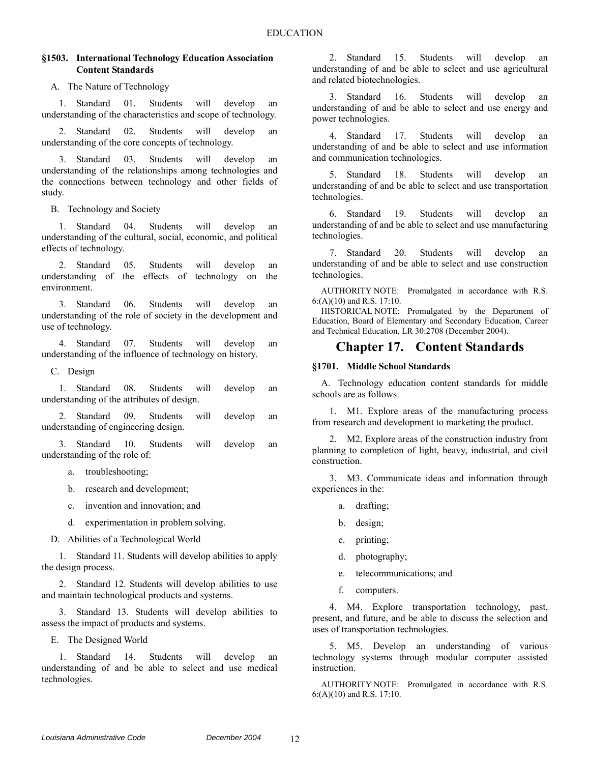### **§1503. International Technology Education Association Content Standards**

A. The Nature of Technology

1. Standard 01. Students will develop an understanding of the characteristics and scope of technology.

2. Standard 02. Students will develop an understanding of the core concepts of technology.

3. Standard 03. Students will develop an understanding of the relationships among technologies and the connections between technology and other fields of study.

B. Technology and Society

1. Standard 04. Students will develop an understanding of the cultural, social, economic, and political effects of technology.

2. Standard 05. Students will develop an understanding of the effects of technology on the environment.

3. Standard 06. Students will develop an understanding of the role of society in the development and use of technology.

4. Standard 07. Students will develop an understanding of the influence of technology on history.

C. Design

1. Standard 08. Students will develop an understanding of the attributes of design.

2. Standard 09. Students will develop an understanding of engineering design.

3. Standard 10. Students will develop an understanding of the role of:

a. troubleshooting;

b. research and development;

- c. invention and innovation; and
- d. experimentation in problem solving.

D. Abilities of a Technological World

1. Standard 11. Students will develop abilities to apply the design process.

2. Standard 12. Students will develop abilities to use and maintain technological products and systems.

3. Standard 13. Students will develop abilities to assess the impact of products and systems.

E. The Designed World

1. Standard 14. Students will develop an understanding of and be able to select and use medical technologies.

2. Standard 15. Students will develop an understanding of and be able to select and use agricultural and related biotechnologies.

3. Standard 16. Students will develop an understanding of and be able to select and use energy and power technologies.

4. Standard 17. Students will develop an understanding of and be able to select and use information and communication technologies.

5. Standard 18. Students will develop an understanding of and be able to select and use transportation technologies.

6. Standard 19. Students will develop an understanding of and be able to select and use manufacturing technologies.

7. Standard 20. Students will develop an understanding of and be able to select and use construction technologies.

AUTHORITY NOTE: Promulgated in accordance with R.S. 6:(A)(10) and R.S. 17:10.

HISTORICAL NOTE: Promulgated by the Department of Education, Board of Elementary and Secondary Education, Career and Technical Education, LR 30:2708 (December 2004).

## **Chapter 17. Content Standards**

### **§1701. Middle School Standards**

A. Technology education content standards for middle schools are as follows.

1. M1. Explore areas of the manufacturing process from research and development to marketing the product.

2. M2. Explore areas of the construction industry from planning to completion of light, heavy, industrial, and civil construction.

3. M3. Communicate ideas and information through experiences in the:

- a. drafting;
- b. design;
- c. printing;
- d. photography;
- e. telecommunications; and
- f. computers.

4. M4. Explore transportation technology, past, present, and future, and be able to discuss the selection and uses of transportation technologies.

5. M5. Develop an understanding of various technology systems through modular computer assisted instruction.

AUTHORITY NOTE: Promulgated in accordance with R.S. 6:(A)(10) and R.S. 17:10.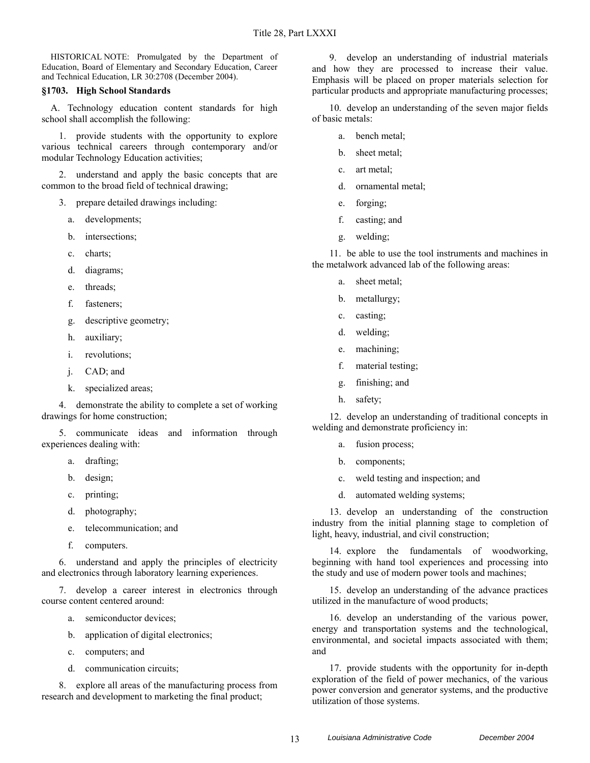HISTORICAL NOTE: Promulgated by the Department of Education, Board of Elementary and Secondary Education, Career and Technical Education, LR 30:2708 (December 2004).

#### **§1703. High School Standards**

A. Technology education content standards for high school shall accomplish the following:

1. provide students with the opportunity to explore various technical careers through contemporary and/or modular Technology Education activities;

2. understand and apply the basic concepts that are common to the broad field of technical drawing;

- 3. prepare detailed drawings including:
	- a. developments;
	- b. intersections;
	- c. charts;
	- d. diagrams;
	- e. threads;
	- f. fasteners;
	- g. descriptive geometry;
	- h. auxiliary;
	- i. revolutions;
	- j. CAD; and
	- k. specialized areas;

4. demonstrate the ability to complete a set of working drawings for home construction;

5. communicate ideas and information through experiences dealing with:

- a. drafting;
- b. design;
- c. printing;
- d. photography;
- e. telecommunication; and
- f. computers.

6. understand and apply the principles of electricity and electronics through laboratory learning experiences.

7. develop a career interest in electronics through course content centered around:

- a. semiconductor devices;
- b. application of digital electronics;
- c. computers; and
- d. communication circuits;

8. explore all areas of the manufacturing process from research and development to marketing the final product;

9. develop an understanding of industrial materials and how they are processed to increase their value. Emphasis will be placed on proper materials selection for particular products and appropriate manufacturing processes;

10. develop an understanding of the seven major fields of basic metals:

- a. bench metal;
- b. sheet metal;
- c. art metal;
- d. ornamental metal;
- e. forging;
- f. casting; and
- g. welding;

11. be able to use the tool instruments and machines in the metalwork advanced lab of the following areas:

- a. sheet metal;
- b. metallurgy;
- c. casting;
- d. welding;
- e. machining;
- f. material testing;
- g. finishing; and
- h. safety;

12. develop an understanding of traditional concepts in welding and demonstrate proficiency in:

- a. fusion process;
- b. components;
- c. weld testing and inspection; and
- d. automated welding systems;

13. develop an understanding of the construction industry from the initial planning stage to completion of light, heavy, industrial, and civil construction;

14. explore the fundamentals of woodworking, beginning with hand tool experiences and processing into the study and use of modern power tools and machines;

15. develop an understanding of the advance practices utilized in the manufacture of wood products;

16. develop an understanding of the various power, energy and transportation systems and the technological, environmental, and societal impacts associated with them; and

17. provide students with the opportunity for in-depth exploration of the field of power mechanics, of the various power conversion and generator systems, and the productive utilization of those systems.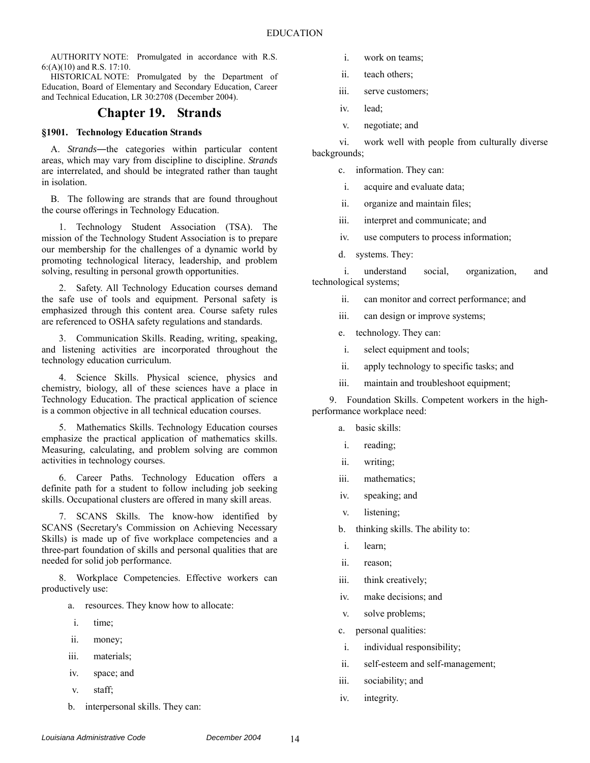HISTORICAL NOTE: Promulgated by the Department of Education, Board of Elementary and Secondary Education, Career and Technical Education, LR 30:2708 (December 2004).

### **Chapter 19. Strands**

#### **§1901. Technology Education Strands**

A. *Strands*―the categories within particular content areas, which may vary from discipline to discipline. *Strands* are interrelated, and should be integrated rather than taught in isolation.

B. The following are strands that are found throughout the course offerings in Technology Education.

1. Technology Student Association (TSA). The mission of the Technology Student Association is to prepare our membership for the challenges of a dynamic world by promoting technological literacy, leadership, and problem solving, resulting in personal growth opportunities.

2. Safety. All Technology Education courses demand the safe use of tools and equipment. Personal safety is emphasized through this content area. Course safety rules are referenced to OSHA safety regulations and standards.

3. Communication Skills. Reading, writing, speaking, and listening activities are incorporated throughout the technology education curriculum.

4. Science Skills. Physical science, physics and chemistry, biology, all of these sciences have a place in Technology Education. The practical application of science is a common objective in all technical education courses.

5. Mathematics Skills. Technology Education courses emphasize the practical application of mathematics skills. Measuring, calculating, and problem solving are common activities in technology courses.

6. Career Paths. Technology Education offers a definite path for a student to follow including job seeking skills. Occupational clusters are offered in many skill areas.

7. SCANS Skills. The know-how identified by SCANS (Secretary's Commission on Achieving Necessary Skills) is made up of five workplace competencies and a three-part foundation of skills and personal qualities that are needed for solid job performance.

8. Workplace Competencies. Effective workers can productively use:

- a. resources. They know how to allocate:
- i. time;
- ii. money;
- iii. materials;
- iv. space; and
- v. staff;
- b. interpersonal skills. They can:
- i. work on teams;
- ii. teach others;
- iii. serve customers;
- iv. lead;
- v. negotiate; and

 vi. work well with people from culturally diverse backgrounds;

- c. information. They can:
	- i. acquire and evaluate data;
- ii. organize and maintain files;
- iii. interpret and communicate; and
- iv. use computers to process information;
- d. systems. They:

 i. understand social, organization, and technological systems;

- ii. can monitor and correct performance; and
- iii. can design or improve systems;
- e. technology. They can:
- i. select equipment and tools;
- ii. apply technology to specific tasks; and
- iii. maintain and troubleshoot equipment;

9. Foundation Skills. Competent workers in the highperformance workplace need:

- a. basic skills:
- i. reading;
- ii. writing;
- iii. mathematics;
- iv. speaking; and
- v. listening;
- b. thinking skills. The ability to:
- i. learn;
- ii. reason;
- iii. think creatively;
- iv. make decisions; and
- v. solve problems;
- c. personal qualities:
	- i. individual responsibility;
- ii. self-esteem and self-management;
- iii. sociability; and
- iv. integrity.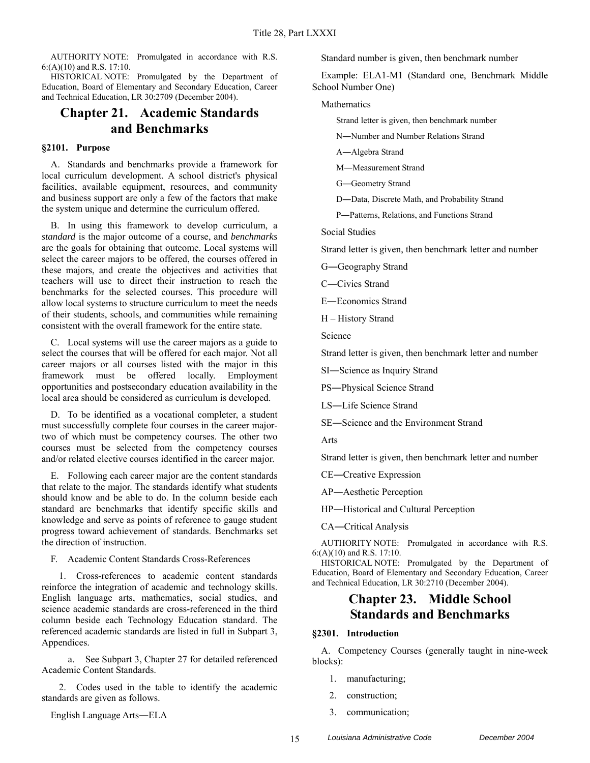HISTORICAL NOTE: Promulgated by the Department of Education, Board of Elementary and Secondary Education, Career and Technical Education, LR 30:2709 (December 2004).

# **Chapter 21. Academic Standards and Benchmarks**

### **§2101. Purpose**

A. Standards and benchmarks provide a framework for local curriculum development. A school district's physical facilities, available equipment, resources, and community and business support are only a few of the factors that make the system unique and determine the curriculum offered.

B. In using this framework to develop curriculum, a *standard* is the major outcome of a course, and *benchmarks* are the goals for obtaining that outcome. Local systems will select the career majors to be offered, the courses offered in these majors, and create the objectives and activities that teachers will use to direct their instruction to reach the benchmarks for the selected courses. This procedure will allow local systems to structure curriculum to meet the needs of their students, schools, and communities while remaining consistent with the overall framework for the entire state.

C. Local systems will use the career majors as a guide to select the courses that will be offered for each major. Not all career majors or all courses listed with the major in this framework must be offered locally. Employment opportunities and postsecondary education availability in the local area should be considered as curriculum is developed.

D. To be identified as a vocational completer, a student must successfully complete four courses in the career majortwo of which must be competency courses. The other two courses must be selected from the competency courses and/or related elective courses identified in the career major.

E. Following each career major are the content standards that relate to the major. The standards identify what students should know and be able to do. In the column beside each standard are benchmarks that identify specific skills and knowledge and serve as points of reference to gauge student progress toward achievement of standards. Benchmarks set the direction of instruction.

F. Academic Content Standards Cross-References

1. Cross-references to academic content standards reinforce the integration of academic and technology skills. English language arts, mathematics, social studies, and science academic standards are cross-referenced in the third column beside each Technology Education standard. The referenced academic standards are listed in full in Subpart 3, Appendices.

a. See Subpart 3, Chapter 27 for detailed referenced Academic Content Standards.

2. Codes used in the table to identify the academic standards are given as follows.

English Language Arts―ELA

Standard number is given, then benchmark number

Example: ELA1-M1 (Standard one, Benchmark Middle School Number One)

Mathematics

Strand letter is given, then benchmark number

N―Number and Number Relations Strand

A―Algebra Strand

M―Measurement Strand

G―Geometry Strand

D―Data, Discrete Math, and Probability Strand

P―Patterns, Relations, and Functions Strand

Social Studies

Strand letter is given, then benchmark letter and number

G―Geography Strand

C―Civics Strand

E―Economics Strand

H – History Strand

Science

Strand letter is given, then benchmark letter and number

SI―Science as Inquiry Strand

PS―Physical Science Strand

LS―Life Science Strand

SE―Science and the Environment Strand

Arts

Strand letter is given, then benchmark letter and number

CE―Creative Expression

AP―Aesthetic Perception

HP―Historical and Cultural Perception

CA―Critical Analysis

AUTHORITY NOTE: Promulgated in accordance with R.S. 6:(A)(10) and R.S. 17:10.

HISTORICAL NOTE: Promulgated by the Department of Education, Board of Elementary and Secondary Education, Career and Technical Education, LR 30:2710 (December 2004).

### **Chapter 23. Middle School Standards and Benchmarks**

### **§2301. Introduction**

A. Competency Courses (generally taught in nine-week blocks):

- 1. manufacturing;
- 2. construction;
- 3. communication;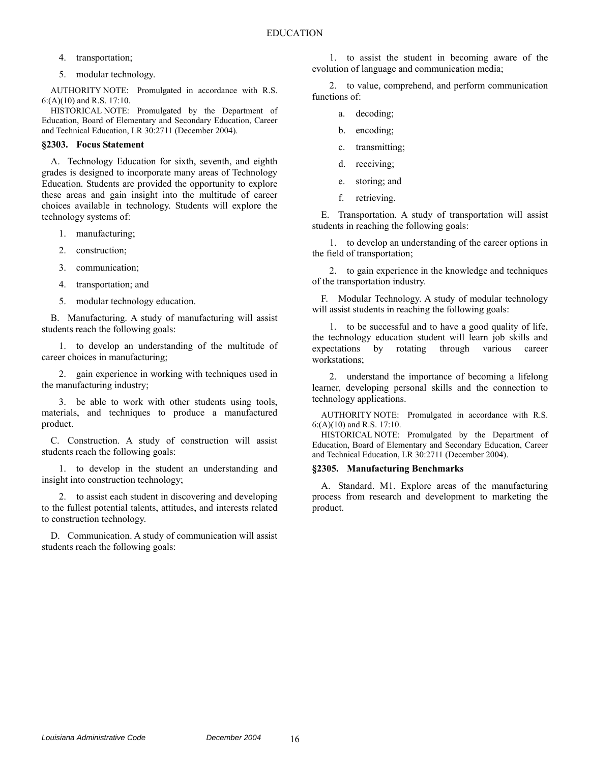- 4. transportation;
- 5. modular technology.

HISTORICAL NOTE: Promulgated by the Department of Education, Board of Elementary and Secondary Education, Career and Technical Education, LR 30:2711 (December 2004).

### **§2303. Focus Statement**

A. Technology Education for sixth, seventh, and eighth grades is designed to incorporate many areas of Technology Education. Students are provided the opportunity to explore these areas and gain insight into the multitude of career choices available in technology. Students will explore the technology systems of:

- 1. manufacturing;
- 2. construction;
- 3. communication;
- 4. transportation; and
- 5. modular technology education.

B. Manufacturing. A study of manufacturing will assist students reach the following goals:

1. to develop an understanding of the multitude of career choices in manufacturing;

2. gain experience in working with techniques used in the manufacturing industry;

3. be able to work with other students using tools, materials, and techniques to produce a manufactured product.

C. Construction. A study of construction will assist students reach the following goals:

1. to develop in the student an understanding and insight into construction technology;

2. to assist each student in discovering and developing to the fullest potential talents, attitudes, and interests related to construction technology.

D. Communication. A study of communication will assist students reach the following goals:

1. to assist the student in becoming aware of the evolution of language and communication media;

2. to value, comprehend, and perform communication functions of:

- a. decoding;
- b. encoding;
- c. transmitting;
- d. receiving;
- e. storing; and
- f. retrieving.

E. Transportation. A study of transportation will assist students in reaching the following goals:

1. to develop an understanding of the career options in the field of transportation;

2. to gain experience in the knowledge and techniques of the transportation industry.

F. Modular Technology. A study of modular technology will assist students in reaching the following goals:

1. to be successful and to have a good quality of life, the technology education student will learn job skills and expectations by rotating through various career workstations;

2. understand the importance of becoming a lifelong learner, developing personal skills and the connection to technology applications.

AUTHORITY NOTE: Promulgated in accordance with R.S. 6:(A)(10) and R.S. 17:10.

HISTORICAL NOTE: Promulgated by the Department of Education, Board of Elementary and Secondary Education, Career and Technical Education, LR 30:2711 (December 2004).

### **§2305. Manufacturing Benchmarks**

A. Standard. M1. Explore areas of the manufacturing process from research and development to marketing the product.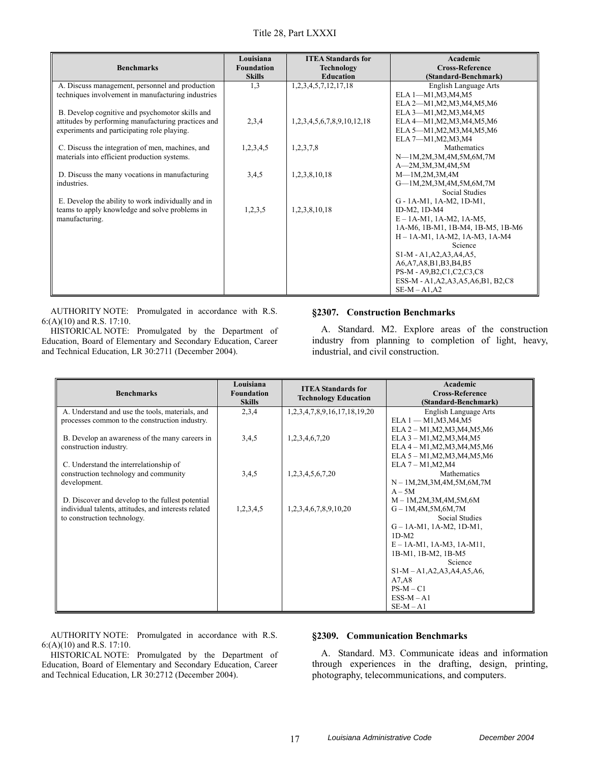| <b>Benchmarks</b>                                   | Louisiana<br><b>Foundation</b><br><b>Skills</b> | <b>ITEA Standards for</b><br><b>Technology</b><br><b>Education</b> | Academic<br><b>Cross-Reference</b>     |
|-----------------------------------------------------|-------------------------------------------------|--------------------------------------------------------------------|----------------------------------------|
|                                                     |                                                 |                                                                    | (Standard-Benchmark)                   |
| A. Discuss management, personnel and production     | 1,3                                             | 1,2,3,4,5,7,12,17,18                                               | English Language Arts                  |
| techniques involvement in manufacturing industries  |                                                 |                                                                    | ELA 1-M1, M3, M4, M5                   |
|                                                     |                                                 |                                                                    | ELA 2-M1, M2, M3, M4, M5, M6           |
| B. Develop cognitive and psychomotor skills and     |                                                 |                                                                    | ELA 3-M1, M2, M3, M4, M5               |
| attitudes by performing manufacturing practices and | 2,3,4                                           | 1,2,3,4,5,6,7,8,9,10,12,18                                         | ELA 4-M1, M2, M3, M4, M5, M6           |
| experiments and participating role playing.         |                                                 |                                                                    | ELA 5-M1, M2, M3, M4, M5, M6           |
|                                                     |                                                 |                                                                    | ELA 7-M1, M2, M3, M4                   |
| C. Discuss the integration of men, machines, and    | 1,2,3,4,5                                       | 1,2,3,7,8                                                          | <b>Mathematics</b>                     |
| materials into efficient production systems.        |                                                 |                                                                    | N-1M,2M,3M,4M,5M,6M,7M                 |
|                                                     |                                                 |                                                                    | A-2M,3M,3M,4M,5M                       |
| D. Discuss the many vocations in manufacturing      | 3,4,5                                           | 1,2,3,8,10,18                                                      | $M$ —1M,2M,3M,4M                       |
| industries.                                         |                                                 |                                                                    | G-1M,2M,3M,4M,5M,6M,7M                 |
|                                                     |                                                 |                                                                    | <b>Social Studies</b>                  |
| E. Develop the ability to work individually and in  |                                                 |                                                                    | G - 1A-M1, 1A-M2, 1D-M1,               |
| teams to apply knowledge and solve problems in      | 1,2,3,5                                         | 1,2,3,8,10,18                                                      | ID-M2, 1D-M4                           |
| manufacturing.                                      |                                                 |                                                                    | $E - 1A-M1$ , 1A-M2, 1A-M5,            |
|                                                     |                                                 |                                                                    | 1A-M6, 1B-M1, 1B-M4, 1B-M5, 1B-M6      |
|                                                     |                                                 |                                                                    | $H - 1A-M1$ , 1A-M2, 1A-M3, 1A-M4      |
|                                                     |                                                 |                                                                    | Science                                |
|                                                     |                                                 |                                                                    | S1-M - A1, A2, A3, A4, A5,             |
|                                                     |                                                 |                                                                    | A6, A7, A8, B1, B3, B4, B5             |
|                                                     |                                                 |                                                                    | PS-M - A9, B2, C1, C2, C3, C8          |
|                                                     |                                                 |                                                                    | ESS-M - A1, A2, A3, A5, A6, B1, B2, C8 |
|                                                     |                                                 |                                                                    | $SE-M - A1, A2$                        |

HISTORICAL NOTE: Promulgated by the Department of Education, Board of Elementary and Secondary Education, Career and Technical Education, LR 30:2711 (December 2004).

#### **§2307. Construction Benchmarks**

A. Standard. M2. Explore areas of the construction industry from planning to completion of light, heavy, industrial, and civil construction.

| <b>Benchmarks</b>                                    | Louisiana<br><b>Foundation</b><br><b>Skills</b> | <b>ITEA Standards for</b><br><b>Technology Education</b> | Academic<br><b>Cross-Reference</b><br>(Standard-Benchmark) |
|------------------------------------------------------|-------------------------------------------------|----------------------------------------------------------|------------------------------------------------------------|
| A. Understand and use the tools, materials, and      | 2,3,4                                           | 1, 2, 3, 4, 7, 8, 9, 16, 17, 18, 19, 20                  | English Language Arts                                      |
| processes common to the construction industry.       |                                                 |                                                          | $ELA 1 - M1, M3, M4, M5$                                   |
|                                                      |                                                 |                                                          | ELA 2 - M1, M2, M3, M4, M5, M6                             |
| B. Develop an awareness of the many careers in       | 3,4,5                                           | 1,2,3,4,6,7,20                                           | ELA 3 - M1, M2, M3, M4, M5                                 |
| construction industry.                               |                                                 |                                                          | ELA 4 - M1, M2, M3, M4, M5, M6                             |
|                                                      |                                                 |                                                          | ELA $5 - M1, M2, M3, M4, M5, M6$                           |
| C. Understand the interrelationship of               |                                                 |                                                          | $ELA 7 - M1, M2, M4$<br>Mathematics                        |
| construction technology and community                | 3,4,5                                           | 1,2,3,4,5,6,7,20                                         |                                                            |
| development.                                         |                                                 |                                                          | $N - 1M, 2M, 3M, 4M, 5M, 6M, 7M$<br>$A - 5M$               |
| D. Discover and develop to the fullest potential     |                                                 |                                                          | $M - 1M, 2M, 3M, 4M, 5M, 6M$                               |
| individual talents, attitudes, and interests related | 1,2,3,4,5                                       | 1,2,3,4,6,7,8,9,10,20                                    | $G - 1M,4M,5M,6M,7M$                                       |
| to construction technology.                          |                                                 |                                                          | <b>Social Studies</b>                                      |
|                                                      |                                                 |                                                          | $G - 1A-M1$ , 1A-M2, 1D-M1,                                |
|                                                      |                                                 |                                                          | $1D-M2$                                                    |
|                                                      |                                                 |                                                          | $E - 1A-M1$ , 1A-M3, 1A-M11,                               |
|                                                      |                                                 |                                                          | 1B-M1, 1B-M2, 1B-M5                                        |
|                                                      |                                                 |                                                          | Science                                                    |
|                                                      |                                                 |                                                          | $S1-M-A1, A2, A3, A4, A5, A6,$                             |
|                                                      |                                                 |                                                          | A7, A8                                                     |
|                                                      |                                                 |                                                          | $PS-M - C1$                                                |
|                                                      |                                                 |                                                          | $ESS-M-A1$                                                 |
|                                                      |                                                 |                                                          | $SE-M - A1$                                                |

AUTHORITY NOTE: Promulgated in accordance with R.S. 6:(A)(10) and R.S. 17:10.

HISTORICAL NOTE: Promulgated by the Department of Education, Board of Elementary and Secondary Education, Career and Technical Education, LR 30:2712 (December 2004).

### **§2309. Communication Benchmarks**

A. Standard. M3. Communicate ideas and information through experiences in the drafting, design, printing, photography, telecommunications, and computers.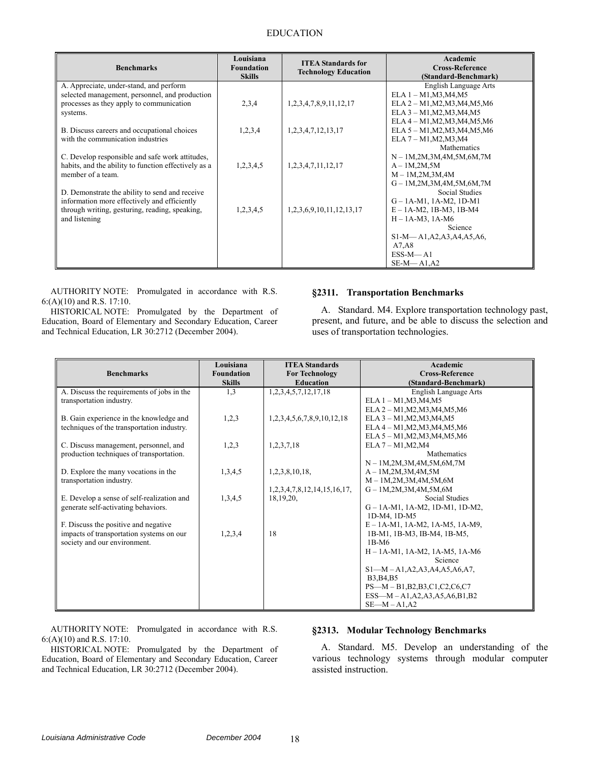### EDUCATION

| <b>Benchmarks</b>                                    | Louisiana<br><b>Foundation</b><br><b>Skills</b> | <b>ITEA Standards for</b><br><b>Technology Education</b> | Academic<br><b>Cross-Reference</b><br>(Standard-Benchmark) |
|------------------------------------------------------|-------------------------------------------------|----------------------------------------------------------|------------------------------------------------------------|
| A. Appreciate, under-stand, and perform              |                                                 |                                                          | English Language Arts                                      |
| selected management, personnel, and production       |                                                 |                                                          | ELA 1 - M1, M3, M4, M5                                     |
| processes as they apply to communication             | 2,3,4                                           | 1,2,3,4,7,8,9,11,12,17                                   | ELA 2 - M1, M2, M3, M4, M5, M6                             |
| systems.                                             |                                                 |                                                          | ELA 3 - M1, M2, M3, M4, M5                                 |
|                                                      |                                                 |                                                          | ELA 4 - M1, M2, M3, M4, M5, M6                             |
| B. Discuss careers and occupational choices          | 1,2,3,4                                         | 1,2,3,4,7,12,13,17                                       | ELA 5 - M1, M2, M3, M4, M5, M6                             |
| with the communication industries                    |                                                 |                                                          | ELA 7 - M1, M2, M3, M4                                     |
|                                                      |                                                 |                                                          | <b>Mathematics</b>                                         |
| C. Develop responsible and safe work attitudes,      |                                                 |                                                          | $N - 1M, 2M, 3M, 4M, 5M, 6M, 7M$                           |
| habits, and the ability to function effectively as a | 1,2,3,4,5                                       | 1,2,3,4,7,11,12,17                                       | $A-1M,2M,5M$                                               |
| member of a team.                                    |                                                 |                                                          | $M - 1M, 2M, 3M, 4M$                                       |
|                                                      |                                                 |                                                          | $G - 1M, 2M, 3M, 4M, 5M, 6M, 7M$                           |
| D. Demonstrate the ability to send and receive       |                                                 |                                                          | Social Studies                                             |
| information more effectively and efficiently         |                                                 |                                                          | $G - 1A-M1$ , 1A-M2, 1D-M1                                 |
| through writing, gesturing, reading, speaking,       | 1,2,3,4,5                                       | 1,2,3,6,9,10,11,12,13,17                                 | $E - 1A-M2$ , 1B-M3, 1B-M4                                 |
| and listening                                        |                                                 |                                                          | $H - 1A-M3$ , 1A-M6                                        |
|                                                      |                                                 |                                                          | Science                                                    |
|                                                      |                                                 |                                                          | $S1-M-A1, A2, A3, A4, A5, A6,$                             |
|                                                      |                                                 |                                                          | A7, A8                                                     |
|                                                      |                                                 |                                                          | $ESS-M-A1$                                                 |
|                                                      |                                                 |                                                          | $SE-M-A1, A2$                                              |

AUTHORITY NOTE: Promulgated in accordance with R.S. 6:(A)(10) and R.S. 17:10.

HISTORICAL NOTE: Promulgated by the Department of Education, Board of Elementary and Secondary Education, Career and Technical Education, LR 30:2712 (December 2004).

#### **§2311. Transportation Benchmarks**

A. Standard. M4. Explore transportation technology past, present, and future, and be able to discuss the selection and uses of transportation technologies.

| <b>Benchmarks</b>                          | Louisiana<br><b>Foundation</b> | <b>ITEA Standards</b><br><b>For Technology</b> | Academic<br><b>Cross-Reference</b>               |
|--------------------------------------------|--------------------------------|------------------------------------------------|--------------------------------------------------|
|                                            | <b>Skills</b>                  | <b>Education</b>                               | (Standard-Benchmark)                             |
| A. Discuss the requirements of jobs in the | 1,3                            | 1,2,3,4,5,7,12,17,18                           | <b>English Language Arts</b>                     |
| transportation industry.                   |                                |                                                | ELA 1 - M1, M3, M4, M5                           |
|                                            |                                |                                                | ELA 2 – M1, M2, M3, M4, M5, M6                   |
| B. Gain experience in the knowledge and    | 1,2,3                          | 1,2,3,4,5,6,7,8,9,10,12,18                     | ELA 3 - M1, M2, M3, M4, M5                       |
| techniques of the transportation industry. |                                |                                                | ELA 4 - M1, M2, M3, M4, M5, M6                   |
|                                            |                                |                                                | ELA 5 - M1, M2, M3, M4, M5, M6                   |
| C. Discuss management, personnel, and      | 1,2,3                          | 1,2,3,7,18                                     | $ELA 7 - M1, M2, M4$                             |
| production techniques of transportation.   |                                |                                                | Mathematics                                      |
|                                            |                                |                                                | $N - 1M, 2M, 3M, 4M, 5M, 6M, 7M$                 |
| D. Explore the many vocations in the       | 1,3,4,5                        | 1,2,3,8,10,18,                                 | $A - 1M, 2M, 3M, 4M, 5M$                         |
| transportation industry.                   |                                |                                                | $M - 1M, 2M, 3M, 4M, 5M, 6M$                     |
|                                            |                                | 1, 2, 3, 4, 7, 8, 12, 14, 15, 16, 17,          | $G - 1M, 2M, 3M, 4M, 5M, 6M$                     |
| E. Develop a sense of self-realization and | 1,3,4,5                        | 18, 19, 20,                                    | Social Studies                                   |
| generate self-activating behaviors.        |                                |                                                | $G - 1A-M1$ , 1A-M2, 1D-M1, 1D-M2,               |
|                                            |                                |                                                | 1D-M4, 1D-M5                                     |
| F. Discuss the positive and negative       |                                |                                                | $E - 1A-M1$ , 1A-M2, 1A-M5, 1A-M9,               |
| impacts of transportation systems on our   | 1,2,3,4                        | 18                                             | 1B-M1, 1B-M3, IB-M4, 1B-M5,                      |
| society and our environment.               |                                |                                                | $1B-M6$                                          |
|                                            |                                |                                                | $H - 1A-M1$ , 1A-M2, 1A-M5, 1A-M6<br>Science     |
|                                            |                                |                                                |                                                  |
|                                            |                                |                                                | $S1-M-A1, A2, A3, A4, A5, A6, A7,$<br>B3, B4, B5 |
|                                            |                                |                                                | $PS-M - B1, B2, B3, C1, C2, C6, C7$              |
|                                            |                                |                                                | $ESS-M-A1,A2,A3,A5,A6,B1,B2$                     |
|                                            |                                |                                                | $SE-M - A1, A2$                                  |
|                                            |                                |                                                |                                                  |

AUTHORITY NOTE: Promulgated in accordance with R.S. 6:(A)(10) and R.S. 17:10.

HISTORICAL NOTE: Promulgated by the Department of Education, Board of Elementary and Secondary Education, Career and Technical Education, LR 30:2712 (December 2004).

### **§2313. Modular Technology Benchmarks**

A. Standard. M5. Develop an understanding of the various technology systems through modular computer assisted instruction.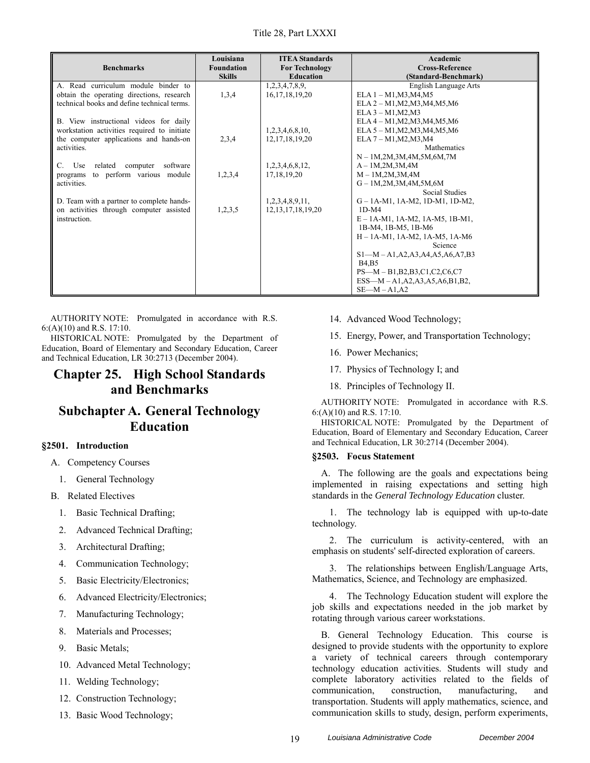| <b>Benchmarks</b>                           | Louisiana<br><b>Foundation</b><br><b>Skills</b> | <b>ITEA Standards</b><br><b>For Technology</b><br><b>Education</b> | Academic<br><b>Cross-Reference</b><br>(Standard-Benchmark) |
|---------------------------------------------|-------------------------------------------------|--------------------------------------------------------------------|------------------------------------------------------------|
| A. Read curriculum module binder to         |                                                 | 1,2,3,4,7,8,9,                                                     | English Language Arts                                      |
| obtain the operating directions, research   | 1,3,4                                           | 16, 17, 18, 19, 20                                                 | $ELA 1 - M1, M3, M4, M5$                                   |
| technical books and define technical terms. |                                                 |                                                                    | $ELA 2 - M1, M2, M3, M4, M5, M6$                           |
|                                             |                                                 |                                                                    | $ELA 3 - M1, M2, M3$                                       |
| B. View instructional videos for daily      |                                                 |                                                                    | ELA 4 - M1, M2, M3, M4, M5, M6                             |
| workstation activities required to initiate |                                                 | 1,2,3,4,6,8,10,                                                    | ELA 5 - M1, M2, M3, M4, M5, M6                             |
| the computer applications and hands-on      | 2,3,4                                           | 12, 17, 18, 19, 20                                                 | $ELA 7 - M1, M2, M3, M4$                                   |
| activities.                                 |                                                 |                                                                    | Mathematics                                                |
|                                             |                                                 |                                                                    | $N - 1M, 2M, 3M, 4M, 5M, 6M, 7M$                           |
| computer software<br>C. Use<br>related      |                                                 | 1,2,3,4,6,8,12,                                                    | $A - 1M, 2M, 3M, 4M$                                       |
| to perform various module<br>programs       | 1,2,3,4                                         | 17, 18, 19, 20                                                     | $M - 1M, 2M, 3M, 4M$                                       |
| activities.                                 |                                                 |                                                                    | $G - 1M, 2M, 3M, 4M, 5M, 6M$                               |
|                                             |                                                 |                                                                    | Social Studies                                             |
| D. Team with a partner to complete hands-   |                                                 | 1,2,3,4,8,9,11,                                                    | $G - 1A-M1$ , 1A-M2, 1D-M1, 1D-M2,                         |
| on activities through computer assisted     | 1,2,3,5                                         | 12, 13, 17, 18, 19, 20                                             | $1D-M4$                                                    |
| instruction.                                |                                                 |                                                                    | $E - 1A-M1$ , 1A-M2, 1A-M5, 1B-M1,                         |
|                                             |                                                 |                                                                    | 1B-M4, 1B-M5, 1B-M6                                        |
|                                             |                                                 |                                                                    | $H - 1A-M1$ , 1A-M2, 1A-M5, 1A-M6                          |
|                                             |                                                 |                                                                    | Science                                                    |
|                                             |                                                 |                                                                    | $S1-M-A1, A2, A3, A4, A5, A6, A7, B3$                      |
|                                             |                                                 |                                                                    | <b>B4, B5</b>                                              |
|                                             |                                                 |                                                                    | $PS-M - B1,B2,B3,C1,C2,C6,C7$                              |
|                                             |                                                 |                                                                    | $ESS-M - A1, A2, A3, A5, A6, B1, B2,$                      |
|                                             |                                                 |                                                                    | $SE-M - A1, A2$                                            |

HISTORICAL NOTE: Promulgated by the Department of Education, Board of Elementary and Secondary Education, Career and Technical Education, LR 30:2713 (December 2004).

### **Chapter 25. High School Standards and Benchmarks**

## **Subchapter A. General Technology Education**

### **§2501. Introduction**

- A. Competency Courses
	- 1. General Technology
- B. Related Electives
	- 1. Basic Technical Drafting;
	- 2. Advanced Technical Drafting;
	- 3. Architectural Drafting;
	- 4. Communication Technology;
	- 5. Basic Electricity/Electronics;
	- 6. Advanced Electricity/Electronics;
	- 7. Manufacturing Technology;
	- 8. Materials and Processes;
	- 9. Basic Metals;
	- 10. Advanced Metal Technology;
	- 11. Welding Technology;
	- 12. Construction Technology;
	- 13. Basic Wood Technology;
- 14. Advanced Wood Technology;
- 15. Energy, Power, and Transportation Technology;
- 16. Power Mechanics;
- 17. Physics of Technology I; and
- 18. Principles of Technology II.

AUTHORITY NOTE: Promulgated in accordance with R.S. 6:(A)(10) and R.S. 17:10.

HISTORICAL NOTE: Promulgated by the Department of Education, Board of Elementary and Secondary Education, Career and Technical Education, LR 30:2714 (December 2004).

### **§2503. Focus Statement**

A. The following are the goals and expectations being implemented in raising expectations and setting high standards in the *General Technology Education* cluster.

1. The technology lab is equipped with up-to-date technology.

2. The curriculum is activity-centered, with an emphasis on students' self-directed exploration of careers.

3. The relationships between English/Language Arts, Mathematics, Science, and Technology are emphasized.

4. The Technology Education student will explore the job skills and expectations needed in the job market by rotating through various career workstations.

B. General Technology Education. This course is designed to provide students with the opportunity to explore a variety of technical careers through contemporary technology education activities. Students will study and complete laboratory activities related to the fields of communication, construction, manufacturing, and transportation. Students will apply mathematics, science, and communication skills to study, design, perform experiments,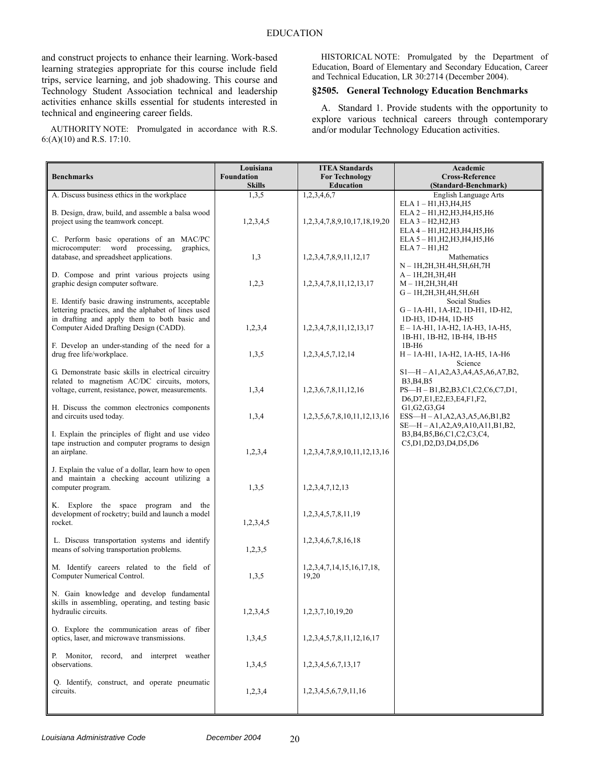and construct projects to enhance their learning. Work-based learning strategies appropriate for this course include field trips, service learning, and job shadowing. This course and Technology Student Association technical and leadership activities enhance skills essential for students interested in technical and engineering career fields.

AUTHORITY NOTE: Promulgated in accordance with R.S. 6:(A)(10) and R.S. 17:10.

HISTORICAL NOTE: Promulgated by the Department of Education, Board of Elementary and Secondary Education, Career and Technical Education, LR 30:2714 (December 2004).

### **§2505. General Technology Education Benchmarks**

A. Standard 1. Provide students with the opportunity to explore various technical careers through contemporary and/or modular Technology Education activities.

| <b>Benchmarks</b>                                                                                                                                        | Louisiana<br>Foundation<br><b>Skills</b> | <b>ITEA Standards</b><br><b>For Technology</b><br><b>Education</b> | Academic<br><b>Cross-Reference</b><br>(Standard-Benchmark)                                                           |
|----------------------------------------------------------------------------------------------------------------------------------------------------------|------------------------------------------|--------------------------------------------------------------------|----------------------------------------------------------------------------------------------------------------------|
| A. Discuss business ethics in the workplace                                                                                                              | 1,3,5                                    | 1,2,3,4,6,7                                                        | English Language Arts                                                                                                |
| B. Design, draw, build, and assemble a balsa wood<br>project using the teamwork concept.                                                                 | 1,2,3,4,5                                | 1,2,3,4,7,8,9,10,17,18,19,20                                       | $ELA 1 - H1, H3, H4, H5$<br>ELA 2 - H1, H2, H3, H4, H5, H6<br>$ELA 3 - H2, H2, H3$<br>ELA 4 - H1, H2, H3, H4, H5, H6 |
| C. Perform basic operations of an MAC/PC<br>microcomputer: word processing,<br>graphics,<br>database, and spreadsheet applications.                      | 1,3                                      | 1, 2, 3, 4, 7, 8, 9, 11, 12, 17                                    | ELA 5 - H1, H2, H3, H4, H5, H6<br>$ELA 7 - H1, H2$<br>Mathematics<br>N - 1H,2H,3H.4H,5H,6H,7H                        |
| D. Compose and print various projects using<br>graphic design computer software.                                                                         | 1,2,3                                    | 1, 2, 3, 4, 7, 8, 11, 12, 13, 17                                   | $A-1H,2H,3H,4H$<br>$M-1H, 2H, 3H, 4H$<br>G - 1H, 2H, 3H, 4H, 5H, 6H                                                  |
| E. Identify basic drawing instruments, acceptable<br>lettering practices, and the alphabet of lines used<br>in drafting and apply them to both basic and |                                          |                                                                    | Social Studies<br>G-1A-H1, 1A-H2, 1D-H1, 1D-H2,<br>1D-H3, 1D-H4, 1D-H5                                               |
| Computer Aided Drafting Design (CADD).<br>F. Develop an under-standing of the need for a<br>drug free life/workplace.                                    | 1,2,3,4<br>1,3,5                         | 1, 2, 3, 4, 7, 8, 11, 12, 13, 17<br>1,2,3,4,5,7,12,14              | $E - 1A - H1$ , 1A-H2, 1A-H3, 1A-H5,<br>1B-H1, 1B-H2, 1B-H4, 1B-H5<br>$1B-H6$<br>H - 1A-H1, 1A-H2, 1A-H5, 1A-H6      |
| G. Demonstrate basic skills in electrical circuitry<br>related to magnetism AC/DC circuits, motors,                                                      |                                          |                                                                    | Science<br>$S1-H - A1, A2, A3, A4, A5, A6, A7, B2,$<br>B3, B4, B5                                                    |
| voltage, current, resistance, power, measurements.                                                                                                       | 1,3,4                                    | 1,2,3,6,7,8,11,12,16                                               | $PS-H-B1,B2,B3,C1,C2,C6,C7,D1,$<br>D6, D7, E1, E2, E3, E4, F1, F2,                                                   |
| H. Discuss the common electronics components<br>and circuits used today.                                                                                 | 1,3,4                                    | 1,2,3,5,6,7,8,10,11,12,13,16                                       | G1, G2, G3, G4<br>$ESS-H - A1, A2, A3, A5, A6, B1, B2$<br>$SE-H - A1, A2, A9, A10, A11, B1, B2,$                     |
| I. Explain the principles of flight and use video<br>tape instruction and computer programs to design<br>an airplane.                                    | 1,2,3,4                                  | 1,2,3,4,7,8,9,10,11,12,13,16                                       | B3, B4, B5, B6, C1, C2, C3, C4,<br>C5,D1,D2,D3,D4,D5,D6                                                              |
| J. Explain the value of a dollar, learn how to open<br>and maintain a checking account utilizing a<br>computer program.                                  | 1,3,5                                    | 1,2,3,4,7,12,13                                                    |                                                                                                                      |
| K. Explore the space program and the<br>development of rocketry; build and launch a model<br>rocket.                                                     | 1,2,3,4,5                                | 1, 2, 3, 4, 5, 7, 8, 11, 19                                        |                                                                                                                      |
| L. Discuss transportation systems and identify<br>means of solving transportation problems.                                                              | 1,2,3,5                                  | 1,2,3,4,6,7,8,16,18                                                |                                                                                                                      |
| M. Identify careers related to the field of<br>Computer Numerical Control.                                                                               | 1,3,5                                    | 1, 2, 3, 4, 7, 14, 15, 16, 17, 18,<br>19,20                        |                                                                                                                      |
| N. Gain knowledge and develop fundamental<br>skills in assembling, operating, and testing basic<br>hydraulic circuits.                                   | 1,2,3,4,5                                | 1,2,3,7,10,19,20                                                   |                                                                                                                      |
| O. Explore the communication areas of fiber<br>optics, laser, and microwave transmissions.                                                               | 1,3,4,5                                  | 1, 2, 3, 4, 5, 7, 8, 11, 12, 16, 17                                |                                                                                                                      |
| P. Monitor, record, and interpret weather<br>observations.                                                                                               | 1,3,4,5                                  | 1,2,3,4,5,6,7,13,17                                                |                                                                                                                      |
| Q. Identify, construct, and operate pneumatic<br>circuits.                                                                                               | 1,2,3,4                                  | 1,2,3,4,5,6,7,9,11,16                                              |                                                                                                                      |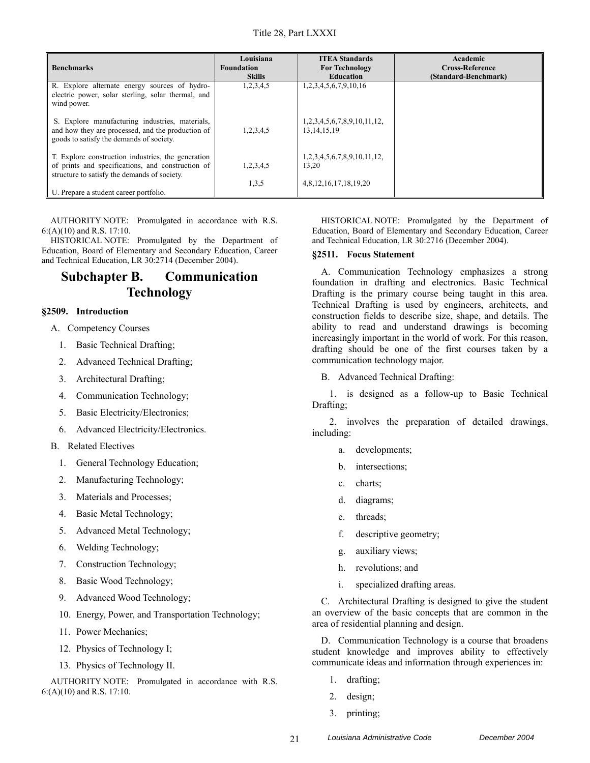| <b>Benchmarks</b>                                                                                                                                       | Louisiana<br><b>Foundation</b><br><b>Skills</b> | <b>ITEA Standards</b><br><b>For Technology</b><br><b>Education</b> | Academic<br><b>Cross-Reference</b><br>(Standard-Benchmark) |
|---------------------------------------------------------------------------------------------------------------------------------------------------------|-------------------------------------------------|--------------------------------------------------------------------|------------------------------------------------------------|
| R. Explore alternate energy sources of hydro-<br>electric power, solar sterling, solar thermal, and<br>wind power.                                      | 1,2,3,4,5                                       | 1,2,3,4,5,6,7,9,10,16                                              |                                                            |
| S. Explore manufacturing industries, materials,<br>and how they are processed, and the production of<br>goods to satisfy the demands of society.        | 1,2,3,4,5                                       | 1,2,3,4,5,6,7,8,9,10,11,12,<br>13, 14, 15, 19                      |                                                            |
| T. Explore construction industries, the generation<br>of prints and specifications, and construction of<br>structure to satisfy the demands of society. | 1,2,3,4,5                                       | 1,2,3,4,5,6,7,8,9,10,11,12,<br>13.20                               |                                                            |
| U. Prepare a student career portfolio.                                                                                                                  | 1,3,5                                           | 4,8,12,16,17,18,19,20                                              |                                                            |

HISTORICAL NOTE: Promulgated by the Department of Education, Board of Elementary and Secondary Education, Career and Technical Education, LR 30:2714 (December 2004).

# **Subchapter B. Communication Technology**

### **§2509. Introduction**

- A. Competency Courses
	- 1. Basic Technical Drafting;
	- 2. Advanced Technical Drafting;
	- 3. Architectural Drafting;
	- 4. Communication Technology;
	- 5. Basic Electricity/Electronics;
	- 6. Advanced Electricity/Electronics.
- B. Related Electives
	- 1. General Technology Education;
	- 2. Manufacturing Technology;
	- 3. Materials and Processes;
	- 4. Basic Metal Technology;
	- 5. Advanced Metal Technology;
	- 6. Welding Technology;
	- 7. Construction Technology;
	- 8. Basic Wood Technology;
	- 9. Advanced Wood Technology;
	- 10. Energy, Power, and Transportation Technology;
	- 11. Power Mechanics;
	- 12. Physics of Technology I;
	- 13. Physics of Technology II.

AUTHORITY NOTE: Promulgated in accordance with R.S. 6:(A)(10) and R.S. 17:10.

HISTORICAL NOTE: Promulgated by the Department of Education, Board of Elementary and Secondary Education, Career and Technical Education, LR 30:2716 (December 2004).

### **§2511. Focus Statement**

A. Communication Technology emphasizes a strong foundation in drafting and electronics. Basic Technical Drafting is the primary course being taught in this area. Technical Drafting is used by engineers, architects, and construction fields to describe size, shape, and details. The ability to read and understand drawings is becoming increasingly important in the world of work. For this reason, drafting should be one of the first courses taken by a communication technology major.

B. Advanced Technical Drafting:

1. is designed as a follow-up to Basic Technical Drafting;

2. involves the preparation of detailed drawings, including:

- a. developments;
- b. intersections;
- c. charts;
- d. diagrams;
- e. threads;
- f. descriptive geometry;
- g. auxiliary views;
- h. revolutions; and
- i. specialized drafting areas.

C. Architectural Drafting is designed to give the student an overview of the basic concepts that are common in the area of residential planning and design.

D. Communication Technology is a course that broadens student knowledge and improves ability to effectively communicate ideas and information through experiences in:

- 1. drafting;
- 2. design;
- 3. printing;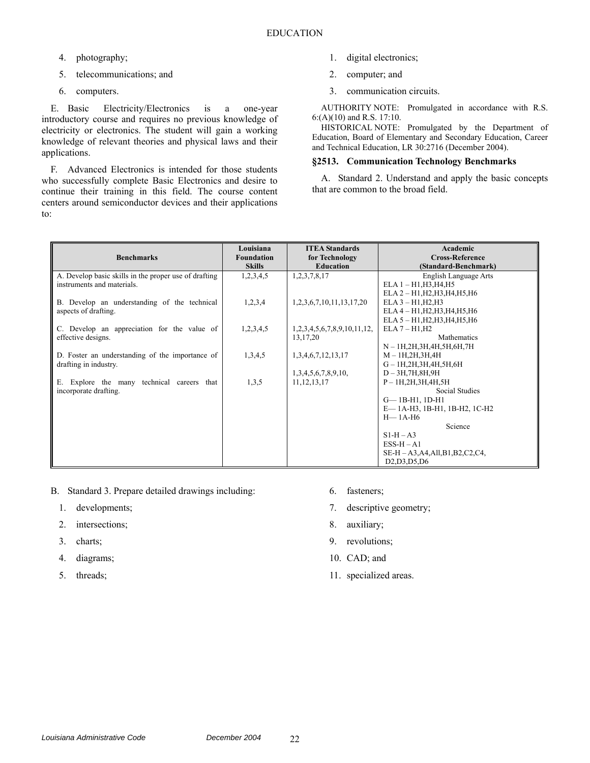- 4. photography;
- 5. telecommunications; and
- 6. computers.

E. Basic Electricity/Electronics is a one-year introductory course and requires no previous knowledge of electricity or electronics. The student will gain a working knowledge of relevant theories and physical laws and their applications.

F. Advanced Electronics is intended for those students who successfully complete Basic Electronics and desire to continue their training in this field. The course content centers around semiconductor devices and their applications to:

- 1. digital electronics;
- 2. computer; and
- 3. communication circuits.

AUTHORITY NOTE: Promulgated in accordance with R.S. 6:(A)(10) and R.S. 17:10.

HISTORICAL NOTE: Promulgated by the Department of Education, Board of Elementary and Secondary Education, Career and Technical Education, LR 30:2716 (December 2004).

### **§2513. Communication Technology Benchmarks**

A. Standard 2. Understand and apply the basic concepts that are common to the broad field.

|                                                       | Louisiana         | <b>ITEA Standards</b>             | Academic                              |
|-------------------------------------------------------|-------------------|-----------------------------------|---------------------------------------|
| <b>Benchmarks</b>                                     | <b>Foundation</b> | for Technology                    | <b>Cross-Reference</b>                |
|                                                       | <b>Skills</b>     | <b>Education</b>                  | (Standard-Benchmark)                  |
| A. Develop basic skills in the proper use of drafting | 1,2,3,4,5         | 1,2,3,7,8,17                      | English Language Arts                 |
| instruments and materials.                            |                   |                                   | $ELA 1 - H1, H3, H4, H5$              |
|                                                       |                   |                                   | ELA 2 - H1, H2, H3, H4, H5, H6        |
| B. Develop an understanding of the technical          | 1,2,3,4           | 1, 2, 3, 6, 7, 10, 11, 13, 17, 20 | $ELA 3 - H1, H2, H3$                  |
| aspects of drafting.                                  |                   |                                   | ELA 4 - H1, H2, H3, H4, H5, H6        |
|                                                       |                   |                                   | ELA 5 - H1, H2, H3, H4, H5, H6        |
| C. Develop an appreciation for the value of           | 1,2,3,4,5         | 1,2,3,4,5,6,7,8,9,10,11,12,       | $ELA 7 - H1, H2$                      |
| effective designs.                                    |                   | 13,17,20                          | Mathematics                           |
|                                                       |                   |                                   | N - 1H, 2H, 3H, 4H, 5H, 6H, 7H        |
| D. Foster an understanding of the importance of       | 1,3,4,5           | 1,3,4,6,7,12,13,17                | $M - 1H, 2H, 3H, 4H$                  |
| drafting in industry.                                 |                   |                                   | $G - 1H, 2H, 3H, 4H, 5H, 6H$          |
|                                                       |                   | 1,3,4,5,6,7,8,9,10,               | $D - 3H, 7H, 8H, 9H$                  |
| E. Explore the many technical careers that            | 1,3,5             | 11, 12, 13, 17                    | $P - 1H, 2H, 3H, 4H, 5H$              |
| incorporate drafting.                                 |                   |                                   | Social Studies                        |
|                                                       |                   |                                   | $G - 1B - H1$ , 1D-H1                 |
|                                                       |                   |                                   | E-1A-H3, 1B-H1, 1B-H2, 1C-H2          |
|                                                       |                   |                                   | $H-1A-H6$                             |
|                                                       |                   |                                   | Science                               |
|                                                       |                   |                                   | $S1-H-A3$                             |
|                                                       |                   |                                   | $ESS-H-A1$                            |
|                                                       |                   |                                   | $SE-H - A3, A4, All, B1, B2, C2, C4,$ |
|                                                       |                   |                                   | D2,D3,D5,D6                           |

- B. Standard 3. Prepare detailed drawings including:
	- 1. developments;
	- 2. intersections;
	- 3. charts;
	- 4. diagrams;
	- 5. threads;
- 6. fasteners;
- 7. descriptive geometry;
- 8. auxiliary;
- 9. revolutions;
- 10. CAD; and
- 11. specialized areas.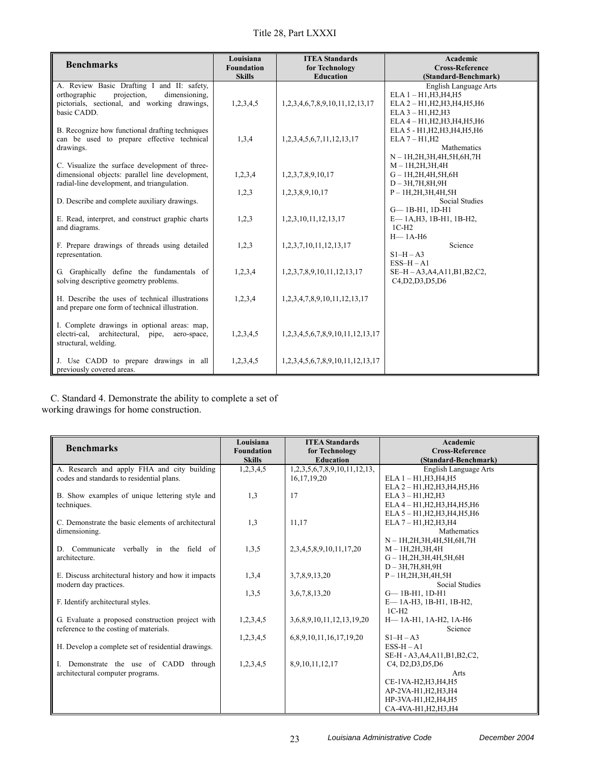| <b>Benchmarks</b>                                                                                                                                         | Louisiana<br><b>Foundation</b><br><b>Skills</b> | <b>ITEA Standards</b><br>for Technology<br><b>Education</b> | Academic<br><b>Cross-Reference</b><br>(Standard-Benchmark)                                                                                    |
|-----------------------------------------------------------------------------------------------------------------------------------------------------------|-------------------------------------------------|-------------------------------------------------------------|-----------------------------------------------------------------------------------------------------------------------------------------------|
| A. Review Basic Drafting I and II: safety,<br>dimensioning,<br>orthographic<br>projection,<br>pictorials, sectional, and working drawings,<br>basic CADD. | 1,2,3,4,5                                       | 1,2,3,4,6,7,8,9,10,11,12,13,17                              | English Language Arts<br>$ELA 1 - H1, H3, H4, H5$<br>ELA 2 - H1, H2, H3, H4, H5, H6<br>$ELA 3 - H1, H2, H3$<br>ELA 4 - H1, H2, H3, H4, H5, H6 |
| B. Recognize how functional drafting techniques<br>can be used to prepare effective technical<br>drawings.                                                | 1,3,4                                           | 1,2,3,4,5,6,7,11,12,13,17                                   | ELA 5 - H1, H2, H3, H4, H5, H6<br>$ELA 7 - H1, H2$<br><b>Mathematics</b><br>$N-1H, 2H, 3H, 4H, 5H, 6H, 7H$                                    |
| C. Visualize the surface development of three-<br>dimensional objects: parallel line development,<br>radial-line development, and triangulation.          | 1,2,3,4                                         | 1,2,3,7,8,9,10,17                                           | $M - 1H, 2H, 3H, 4H$<br>$G - 1H, 2H, 4H, 5H, 6H$<br>$D-3H,7H,8H,9H$                                                                           |
| D. Describe and complete auxiliary drawings.                                                                                                              | 1,2,3                                           | 1,2,3,8,9,10,17                                             | $P - 1H, 2H, 3H, 4H, 5H$<br><b>Social Studies</b><br>$G - 1B - H1$ , $1D - H1$                                                                |
| E. Read, interpret, and construct graphic charts<br>and diagrams.                                                                                         | 1,2,3                                           | 1,2,3,10,11,12,13,17                                        | E-1A, H3, 1B-H1, 1B-H2,<br>$1C-H2$<br>$H-1A-H6$                                                                                               |
| F. Prepare drawings of threads using detailed<br>representation.                                                                                          | 1,2,3                                           | 1,2,3,7,10,11,12,13,17                                      | Science<br>$S1-H-A3$<br>$ESS-H - A1$                                                                                                          |
| G. Graphically define the fundamentals of<br>solving descriptive geometry problems.                                                                       | 1,2,3,4                                         | 1,2,3,7,8,9,10,11,12,13,17                                  | SE-H - A3, A4, A11, B1, B2, C2,<br>C4,D2,D3,D5,D6                                                                                             |
| H. Describe the uses of technical illustrations<br>and prepare one form of technical illustration.                                                        | 1,2,3,4                                         | 1, 2, 3, 4, 7, 8, 9, 10, 11, 12, 13, 17                     |                                                                                                                                               |
| I. Complete drawings in optional areas: map,<br>electri-cal, architectural, pipe,<br>aero-space,<br>structural, welding.                                  | 1,2,3,4,5                                       | 1,2,3,4,5,6,7,8,9,10,11,12,13,17                            |                                                                                                                                               |
| J. Use CADD to prepare drawings in all<br>previously covered areas.                                                                                       | 1,2,3,4,5                                       | 1,2,3,4,5,6,7,8,9,10,11,12,13,17                            |                                                                                                                                               |

C. Standard 4. Demonstrate the ability to complete a set of working drawings for home construction.

| <b>Benchmarks</b>                                   | Louisiana<br><b>Foundation</b> | <b>ITEA Standards</b><br>for Technology | Academic<br><b>Cross-Reference</b> |
|-----------------------------------------------------|--------------------------------|-----------------------------------------|------------------------------------|
|                                                     | <b>Skills</b>                  | <b>Education</b>                        | (Standard-Benchmark)               |
| A. Research and apply FHA and city building         | 1,2,3,4,5                      | 1,2,3,5,6,7,8,9,10,11,12,13,            | English Language Arts              |
| codes and standards to residential plans.           |                                | 16, 17, 19, 20                          | $ELA 1 - H1.H3.H4.H5$              |
|                                                     |                                |                                         | ELA 2 - H1, H2, H3, H4, H5, H6     |
| B. Show examples of unique lettering style and      | 1,3                            | 17                                      | ELA $3 - H1, H2, H3$               |
| techniques.                                         |                                |                                         | ELA 4 - H1, H2, H3, H4, H5, H6     |
|                                                     |                                |                                         | ELA 5 - H1, H2, H3, H4, H5, H6     |
| C. Demonstrate the basic elements of architectural  | 1,3                            | 11.17                                   | ELA 7 - H1, H2, H3, H4             |
| dimensioning.                                       |                                |                                         | Mathematics                        |
|                                                     |                                |                                         | N - 1H, 2H, 3H, 4H, 5H, 6H, 7H     |
| D. Communicate verbally in the field of             | 1,3,5                          | 2, 3, 4, 5, 8, 9, 10, 11, 17, 20        | $M-1H, 2H, 3H, 4H$                 |
| architecture.                                       |                                |                                         | $G - 1H, 2H, 3H, 4H, 5H, 6H$       |
|                                                     |                                |                                         | $D-3H,7H,8H,9H$                    |
| E. Discuss architectural history and how it impacts | 1,3,4                          | 3,7,8,9,13,20                           | $P - 1H, 2H, 3H, 4H, 5H$           |
| modern day practices.                               |                                |                                         | Social Studies                     |
|                                                     | 1,3,5                          | 3,6,7,8,13,20                           | $G - 1B - H1$ , $1D - H1$          |
| F. Identify architectural styles.                   |                                |                                         | E-1A-H3, 1B-H1, 1B-H2,             |
|                                                     |                                |                                         | $1C-H2$                            |
| G. Evaluate a proposed construction project with    | 1,2,3,4,5                      | 3.6.8.9.10.11.12.13.19.20               | Н-1А-Н1, 1А-Н2, 1А-Н6              |
| reference to the costing of materials.              |                                |                                         | Science                            |
|                                                     | 1,2,3,4,5                      | 6,8,9,10,11,16,17,19,20                 | $S1-H-A3$                          |
| H. Develop a complete set of residential drawings.  |                                |                                         | $ESS-H - A1$                       |
|                                                     |                                |                                         | SE-H - A3, A4, A11, B1, B2, C2,    |
| I. Demonstrate the use of CADD through              | 1,2,3,4,5                      | 8,9,10,11,12,17                         | C4, D2, D3, D5, D6                 |
| architectural computer programs.                    |                                |                                         | Arts                               |
|                                                     |                                |                                         | CE-1VA-H2, H3, H4, H5              |
|                                                     |                                |                                         | AP-2VA-H1, H2, H3, H4              |
|                                                     |                                |                                         | HP-3VA-H1, H2, H4, H5              |
|                                                     |                                |                                         | CA-4VA-H1.H2.H3.H4                 |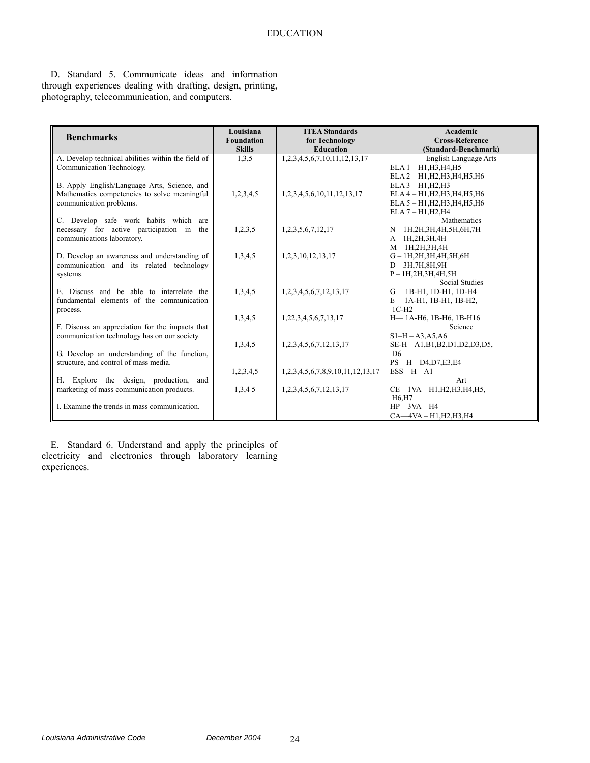D. Standard 5. Communicate ideas and information through experiences dealing with drafting, design, printing, photography, telecommunication, and computers.

| <b>Benchmarks</b>                                  | Louisiana<br><b>Foundation</b> | <b>ITEA Standards</b><br>for Technology | Academic<br><b>Cross-Reference</b> |
|----------------------------------------------------|--------------------------------|-----------------------------------------|------------------------------------|
|                                                    | <b>Skills</b>                  | <b>Education</b>                        | (Standard-Benchmark)               |
| A. Develop technical abilities within the field of | 1,3,5                          | 1,2,3,4,5,6,7,10,11,12,13,17            | English Language Arts              |
| Communication Technology.                          |                                |                                         | $ELA 1 - H1, H3, H4, H5$           |
|                                                    |                                |                                         | ELA 2 - H1, H2, H3, H4, H5, H6     |
| B. Apply English/Language Arts, Science, and       |                                |                                         | $ELA 3 - H1, H2, H3$               |
| Mathematics competencies to solve meaningful       | 1,2,3,4,5                      | 1,2,3,4,5,6,10,11,12,13,17              | ELA 4 - H1, H2, H3, H4, H5, H6     |
| communication problems.                            |                                |                                         | ELA 5 - H1, H2, H3, H4, H5, H6     |
|                                                    |                                |                                         | $ELA 7 - H1, H2, H4$               |
| C. Develop safe work habits which<br>are           |                                |                                         | Mathematics                        |
| necessary for active participation in the          | 1,2,3,5                        | 1,2,3,5,6,7,12,17                       | N - 1H, 2H, 3H, 4H, 5H, 6H, 7H     |
| communications laboratory.                         |                                |                                         | $A-1H,2H,3H,4H$                    |
|                                                    |                                |                                         | $M-1H, 2H, 3H, 4H$                 |
| D. Develop an awareness and understanding of       | 1,3,4,5                        | 1,2,3,10,12,13,17                       | $G - 1H, 2H, 3H, 4H, 5H, 6H$       |
| communication and its related technology           |                                |                                         | $D-3H,7H,8H,9H$                    |
| systems.                                           |                                |                                         | $P - 1H, 2H, 3H, 4H, 5H$           |
|                                                    |                                |                                         | <b>Social Studies</b>              |
| E. Discuss and be able to interrelate the          | 1,3,4,5                        | 1,2,3,4,5,6,7,12,13,17                  | G-1B-H1, 1D-H1, 1D-H4              |
| fundamental elements of the communication          |                                |                                         | E-1A-H1, 1B-H1, 1B-H2,             |
| process.                                           |                                |                                         | $1C-H2$                            |
|                                                    | 1,3,4,5                        | 1,22,3,4,5,6,7,13,17                    | H-1A-H6, 1B-H6, 1B-H16             |
| F. Discuss an appreciation for the impacts that    |                                |                                         | Science                            |
| communication technology has on our society.       |                                |                                         | $S1-H - A3, A5, A6$                |
|                                                    | 1,3,4,5                        | 1,2,3,4,5,6,7,12,13,17                  | SE-H - A1, B1, B2, D1, D2, D3, D5, |
| G. Develop an understanding of the function,       |                                |                                         | D <sub>6</sub>                     |
| structure, and control of mass media.              |                                |                                         | $PS-H-D4,D7,E3,E4$                 |
|                                                    | 1,2,3,4,5                      | 1,2,3,4,5,6,7,8,9,10,11,12,13,17        | $ESS-H-A1$                         |
| H. Explore the design, production,<br>and          |                                |                                         | Art                                |
| marketing of mass communication products.          | 1,3,45                         | 1,2,3,4,5,6,7,12,13,17                  | $CE$ —1VA – H1, H2, H3, H4, H5,    |
|                                                    |                                |                                         | H6,H7                              |
| I. Examine the trends in mass communication.       |                                |                                         | $HP$ -3VA - H4                     |
|                                                    |                                |                                         | $CA - 4VA - H1, H2, H3, H4$        |

E. Standard 6. Understand and apply the principles of electricity and electronics through laboratory learning experiences.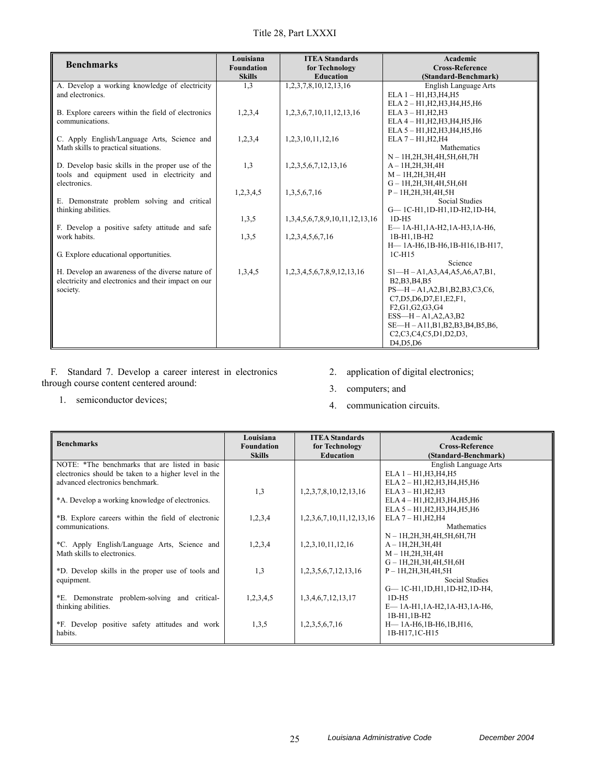| <b>Benchmarks</b>                                                     | Louisiana<br><b>Foundation</b> | <b>ITEA Standards</b><br>for Technology | Academic<br><b>Cross-Reference</b>                                                                               |
|-----------------------------------------------------------------------|--------------------------------|-----------------------------------------|------------------------------------------------------------------------------------------------------------------|
|                                                                       | <b>Skills</b>                  | <b>Education</b>                        | (Standard-Benchmark)                                                                                             |
| A. Develop a working knowledge of electricity                         | 1,3                            | 1, 2, 3, 7, 8, 10, 12, 13, 16           | English Language Arts                                                                                            |
| and electronics.                                                      |                                |                                         | $ELA 1 - H1, H3, H4, H5$                                                                                         |
|                                                                       |                                |                                         | ELA 2 - H1, H2, H3, H4, H5, H6<br>$ELA 3 - H1, H2, H3$                                                           |
| B. Explore careers within the field of electronics<br>communications. | 1,2,3,4                        | 1,2,3,6,7,10,11,12,13,16                | ELA 4 - H1, H2, H3, H4, H5, H6                                                                                   |
|                                                                       |                                |                                         | ELA 5 - H1, H2, H3, H4, H5, H6                                                                                   |
| C. Apply English/Language Arts, Science and                           | 1,2,3,4                        | 1,2,3,10,11,12,16                       | $ELA 7 - H1, H2, H4$                                                                                             |
| Math skills to practical situations.                                  |                                |                                         | Mathematics                                                                                                      |
|                                                                       |                                |                                         | N - 1H, 2H, 3H, 4H, 5H, 6H, 7H                                                                                   |
| D. Develop basic skills in the proper use of the                      | 1,3                            | 1,2,3,5,6,7,12,13,16                    | $A-1H,2H,3H,4H$                                                                                                  |
| tools and equipment used in electricity and                           |                                |                                         | $M-1H, 2H, 3H, 4H$                                                                                               |
| electronics.                                                          |                                |                                         | $G - 1H, 2H, 3H, 4H, 5H, 6H$                                                                                     |
|                                                                       | 1,2,3,4,5                      | 1,3,5,6,7,16                            | $P - 1H, 2H, 3H, 4H, 5H$                                                                                         |
| E. Demonstrate problem solving and critical                           |                                |                                         | Social Studies                                                                                                   |
| thinking abilities.                                                   |                                |                                         | G-1C-H1,1D-H1,1D-H2,1D-H4,                                                                                       |
|                                                                       | 1,3,5                          | 1,3,4,5,6,7,8,9,10,11,12,13,16          | $1D-H5$                                                                                                          |
| F. Develop a positive safety attitude and safe                        |                                |                                         | E-1A-H1,1A-H2,1A-H3,1A-H6,                                                                                       |
| work habits.                                                          | 1,3,5                          | 1,2,3,4,5,6,7,16                        | 1B-H1.1B-H2                                                                                                      |
|                                                                       |                                |                                         | H-1A-H6,1B-H6,1B-H16,1B-H17,                                                                                     |
| G. Explore educational opportunities.                                 |                                |                                         | $1C-H15$                                                                                                         |
|                                                                       |                                |                                         | Science                                                                                                          |
| H. Develop an awareness of the diverse nature of                      | 1,3,4,5                        | 1,2,3,4,5,6,7,8,9,12,13,16              | $S1-H-A1, A3, A4, A5, A6, A7, B1,$                                                                               |
| electricity and electronics and their impact on our                   |                                |                                         | B <sub>2</sub> , B <sub>3</sub> , B <sub>4</sub> , B <sub>5</sub>                                                |
| society.                                                              |                                |                                         | $PS-H - A1, A2, B1, B2, B3, C3, C6,$                                                                             |
|                                                                       |                                |                                         | C7, D5, D6, D7, E1, E2, F1,                                                                                      |
|                                                                       |                                |                                         | F2,G1,G2,G3,G4<br>$ESS-H-A1,A2,A3,B2$                                                                            |
|                                                                       |                                |                                         | SE—H – A11,B1,B2,B3,B4,B5,B6,                                                                                    |
|                                                                       |                                |                                         | C <sub>2</sub> ,C <sub>3</sub> ,C <sub>4</sub> ,C <sub>5</sub> ,D <sub>1</sub> ,D <sub>2</sub> ,D <sub>3</sub> , |
|                                                                       |                                |                                         | D <sub>4</sub> .D <sub>5</sub> .D <sub>6</sub>                                                                   |
|                                                                       |                                |                                         |                                                                                                                  |

F. Standard 7. Develop a career interest in electronics through course content centered around:

1. semiconductor devices;

- 2. application of digital electronics;
- 3. computers; and
- 4. communication circuits.

| <b>Benchmarks</b>                                    | Louisiana<br><b>Foundation</b><br><b>Skills</b> | <b>ITEA Standards</b><br>for Technology<br><b>Education</b> | Academic<br><b>Cross-Reference</b><br>(Standard-Benchmark) |
|------------------------------------------------------|-------------------------------------------------|-------------------------------------------------------------|------------------------------------------------------------|
| NOTE: *The benchmarks that are listed in basic       |                                                 |                                                             | English Language Arts                                      |
| electronics should be taken to a higher level in the |                                                 |                                                             | ELA 1 - H1, H3, H4, H5                                     |
| advanced electronics benchmark.                      |                                                 |                                                             | ELA 2 - H1, H2, H3, H4, H5, H6                             |
|                                                      | 1,3                                             | 1, 2, 3, 7, 8, 10, 12, 13, 16                               | $ELA 3 - H1, H2, H3$                                       |
| *A. Develop a working knowledge of electronics.      |                                                 |                                                             | ELA 4 - H1, H2, H3, H4, H5, H6                             |
|                                                      |                                                 |                                                             | ELA 5 - H1, H2, H3, H4, H5, H6                             |
| *B. Explore careers within the field of electronic   | 1,2,3,4                                         | 1,2,3,6,7,10,11,12,13,16                                    | $ELA 7 - H1, H2, H4$                                       |
| communications.                                      |                                                 |                                                             | <b>Mathematics</b>                                         |
|                                                      |                                                 |                                                             | N - 1H, 2H, 3H, 4H, 5H, 6H, 7H                             |
| *C. Apply English/Language Arts, Science and         | 1,2,3,4                                         | 1,2,3,10,11,12,16                                           | $A-1H,2H,3H,4H$                                            |
| Math skills to electronics.                          |                                                 |                                                             | $M - 1H, 2H, 3H, 4H$                                       |
|                                                      |                                                 |                                                             | $G - 1H, 2H, 3H, 4H, 5H, 6H$                               |
| *D. Develop skills in the proper use of tools and    | 1,3                                             | 1,2,3,5,6,7,12,13,16                                        | $P - 1H_{2}H_{3}H_{4}H_{5}H$                               |
| equipment.                                           |                                                 |                                                             | Social Studies                                             |
|                                                      |                                                 |                                                             | $G-1C-H1, 1D,H1, 1D-H2, 1D-H4,$                            |
| *E. Demonstrate problem-solving and critical-        | 1,2,3,4,5                                       | 1,3,4,6,7,12,13,17                                          | $1D-H5$                                                    |
| thinking abilities.                                  |                                                 |                                                             | $E$ — 1A-H1,1A-H2,1A-H3,1A-H6,                             |
|                                                      |                                                 |                                                             | 1B-H1,1B-H2                                                |
| *F. Develop positive safety attitudes and work       | 1,3,5                                           | 1,2,3,5,6,7,16                                              | $H$ — 1A-H6,1B-H6,1B,H16,                                  |
| habits.                                              |                                                 |                                                             | 1B-H17,1C-H15                                              |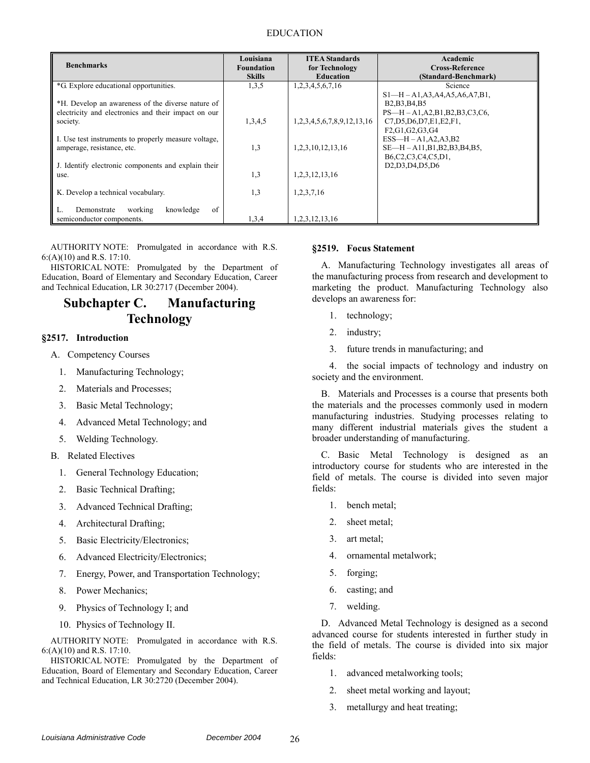| <b>Benchmarks</b>                                                                                        | Louisiana<br><b>Foundation</b><br><b>Skills</b> | <b>ITEA Standards</b><br>for Technology<br><b>Education</b> | Academic<br><b>Cross-Reference</b><br>(Standard-Benchmark)                                                                                      |
|----------------------------------------------------------------------------------------------------------|-------------------------------------------------|-------------------------------------------------------------|-------------------------------------------------------------------------------------------------------------------------------------------------|
| *G. Explore educational opportunities.                                                                   | 1,3,5                                           | 1,2,3,4,5,6,7,16                                            | Science                                                                                                                                         |
| *H. Develop an awareness of the diverse nature of<br>electricity and electronics and their impact on our |                                                 |                                                             | $S1-H-A1, A3, A4, A5, A6, A7, B1,$<br>B <sub>2</sub> , B <sub>3</sub> , B <sub>4</sub> , B <sub>5</sub><br>$PS-H - A1, A2, B1, B2, B3, C3, C6,$ |
| society.                                                                                                 | 1,3,4,5                                         | 1,2,3,4,5,6,7,8,9,12,13,16                                  | C7, D5, D6, D7, E1, E2, F1,                                                                                                                     |
| I. Use test instruments to properly measure voltage,<br>amperage, resistance, etc.                       | 1,3                                             | 1,2,3,10,12,13,16                                           | F2,G1,G2,G3,G4<br>$ESS—H-A1,A2,A3,B2$<br>SE—H – A11,B1,B2,B3,B4,B5,                                                                             |
| J. Identify electronic components and explain their<br>use.                                              | 1,3                                             | 1, 2, 3, 12, 13, 16                                         | B6,C2,C3,C4,C5,D1,<br>D <sub>2</sub> , D <sub>3</sub> , D <sub>4</sub> , D <sub>5</sub> , D <sub>6</sub>                                        |
| K. Develop a technical vocabulary.                                                                       | 1,3                                             | 1,2,3,7,16                                                  |                                                                                                                                                 |
| of<br>working<br>knowledge<br>L.<br>Demonstrate<br>semiconductor components.                             | 1,3,4                                           | 1,2,3,12,13,16                                              |                                                                                                                                                 |

HISTORICAL NOTE: Promulgated by the Department of Education, Board of Elementary and Secondary Education, Career and Technical Education, LR 30:2717 (December 2004).

# **Subchapter C. Manufacturing Technology**

#### **§2517. Introduction**

- A. Competency Courses
	- 1. Manufacturing Technology;
	- 2. Materials and Processes;
	- 3. Basic Metal Technology;
	- 4. Advanced Metal Technology; and
	- 5. Welding Technology.
- B. Related Electives
	- 1. General Technology Education;
	- 2. Basic Technical Drafting;
	- 3. Advanced Technical Drafting;
	- 4. Architectural Drafting;
	- 5. Basic Electricity/Electronics;
	- 6. Advanced Electricity/Electronics;
	- 7. Energy, Power, and Transportation Technology;
	- 8. Power Mechanics;
	- 9. Physics of Technology I; and
	- 10. Physics of Technology II.

AUTHORITY NOTE: Promulgated in accordance with R.S. 6:(A)(10) and R.S. 17:10.

HISTORICAL NOTE: Promulgated by the Department of Education, Board of Elementary and Secondary Education, Career and Technical Education, LR 30:2720 (December 2004).

#### **§2519. Focus Statement**

A. Manufacturing Technology investigates all areas of the manufacturing process from research and development to marketing the product. Manufacturing Technology also develops an awareness for:

- 1. technology;
- 2. industry;
- 3. future trends in manufacturing; and

4. the social impacts of technology and industry on society and the environment.

B. Materials and Processes is a course that presents both the materials and the processes commonly used in modern manufacturing industries. Studying processes relating to many different industrial materials gives the student a broader understanding of manufacturing.

C. Basic Metal Technology is designed as an introductory course for students who are interested in the field of metals. The course is divided into seven major fields:

- 1. bench metal;
- 2. sheet metal;
- 3. art metal;
- 4. ornamental metalwork;
- 5. forging;
- 6. casting; and
- 7. welding.

D. Advanced Metal Technology is designed as a second advanced course for students interested in further study in the field of metals. The course is divided into six major fields:

- 1. advanced metalworking tools;
- 2. sheet metal working and layout;
- 3. metallurgy and heat treating;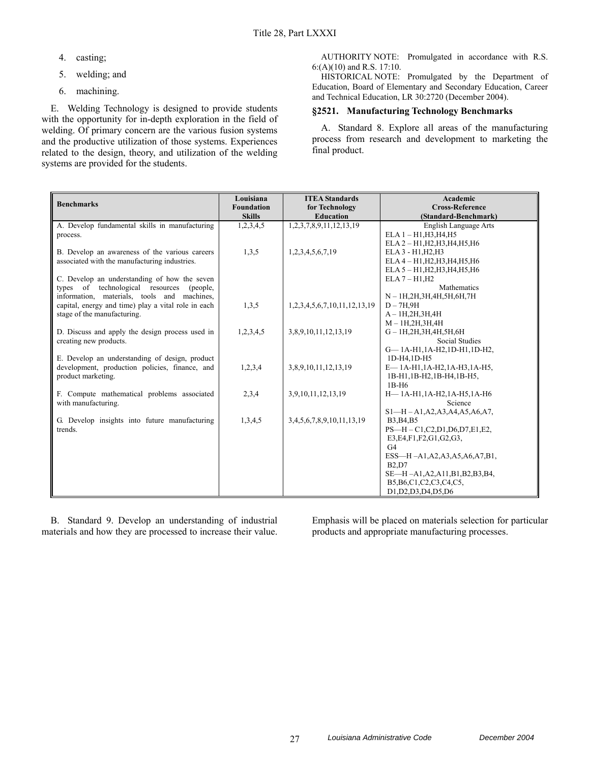- 4. casting;
- 5. welding; and
- 6. machining.

E. Welding Technology is designed to provide students with the opportunity for in-depth exploration in the field of welding. Of primary concern are the various fusion systems and the productive utilization of those systems. Experiences related to the design, theory, and utilization of the welding systems are provided for the students.

AUTHORITY NOTE: Promulgated in accordance with R.S. 6:(A)(10) and R.S. 17:10.

HISTORICAL NOTE: Promulgated by the Department of Education, Board of Elementary and Secondary Education, Career and Technical Education, LR 30:2720 (December 2004).

### **§2521. Manufacturing Technology Benchmarks**

A. Standard 8. Explore all areas of the manufacturing process from research and development to marketing the final product.

| <b>Benchmarks</b>                                                  | Louisiana<br><b>Foundation</b> | <b>ITEA Standards</b><br>for Technology | Academic<br><b>Cross-Reference</b>     |
|--------------------------------------------------------------------|--------------------------------|-----------------------------------------|----------------------------------------|
|                                                                    | <b>Skills</b>                  | <b>Education</b>                        | (Standard-Benchmark)                   |
| A. Develop fundamental skills in manufacturing                     | 1,2,3,4,5                      | 1, 2, 3, 7, 8, 9, 11, 12, 13, 19        | English Language Arts                  |
| process.                                                           |                                |                                         | $ELA 1 - H1, H3, H4, H5$               |
|                                                                    |                                |                                         | ELA 2 - H1, H2, H3, H4, H5, H6         |
| B. Develop an awareness of the various careers                     | 1,3,5                          | 1,2,3,4,5,6,7,19                        | ELA 3 - H1, H2, H3                     |
| associated with the manufacturing industries.                      |                                |                                         | ELA 4 - H1, H2, H3, H4, H5, H6         |
|                                                                    |                                |                                         | ELA 5 - H1, H2, H3, H4, H5, H6         |
| C. Develop an understanding of how the seven                       |                                |                                         | $ELA 7 - H1, H2$                       |
| types of technological resources (people,                          |                                |                                         | Mathematics                            |
| information, materials, tools and machines,                        |                                |                                         | $N-1H, 2H, 3H, 4H, 5H, 6H, 7H$         |
| capital, energy and time) play a vital role in each                | 1,3,5                          | 1,2,3,4,5,6,7,10,11,12,13,19            | $D - 7H, 9H$                           |
| stage of the manufacturing.                                        |                                |                                         | $A-1H,2H,3H,4H$                        |
|                                                                    |                                |                                         | $M - 1H, 2H, 3H, 4H$                   |
| D. Discuss and apply the design process used in                    | 1,2,3,4,5                      | 3,8,9,10,11,12,13,19                    | $G - 1H, 2H, 3H, 4H, 5H, 6H$           |
| creating new products.                                             |                                |                                         | <b>Social Studies</b>                  |
|                                                                    |                                |                                         | G-1A-H1,1A-H2,1D-H1,1D-H2,             |
| E. Develop an understanding of design, product                     |                                |                                         | 1D-H4,1D-H5                            |
| development, production policies, finance, and                     | 1,2,3,4                        | 3,8,9,10,11,12,13,19                    | E-1A-H1,1A-H2,1A-H3,1A-H5,             |
| product marketing.                                                 |                                |                                         | 1B-H1,1B-H2,1B-H4,1B-H5,               |
|                                                                    |                                |                                         | 1B-H <sub>6</sub>                      |
| F. Compute mathematical problems associated<br>with manufacturing. | 2,3,4                          | 3,9,10,11,12,13,19                      | H-1A-H1,1A-H2,1A-H5,1A-H6<br>Science   |
|                                                                    |                                |                                         | $S1 - H - A1, A2, A3, A4, A5, A6, A7,$ |
| G. Develop insights into future manufacturing                      | 1,3,4,5                        | 3, 4, 5, 6, 7, 8, 9, 10, 11, 13, 19     | <b>B3, B4, B5</b>                      |
| trends.                                                            |                                |                                         | PS-H-C1,C2,D1,D6,D7,E1,E2,             |
|                                                                    |                                |                                         | E3, E4, F1, F2, G1, G2, G3,            |
|                                                                    |                                |                                         | G <sub>4</sub>                         |
|                                                                    |                                |                                         | ESS-H-A1, A2, A3, A5, A6, A7, B1,      |
|                                                                    |                                |                                         | <b>B2.D7</b>                           |
|                                                                    |                                |                                         | SE-H-A1, A2, A11, B1, B2, B3, B4,      |
|                                                                    |                                |                                         | B5, B6, C1, C2, C3, C4, C5,            |
|                                                                    |                                |                                         | D1, D2, D3, D4, D5, D6                 |
|                                                                    |                                |                                         |                                        |

B. Standard 9. Develop an understanding of industrial materials and how they are processed to increase their value.

Emphasis will be placed on materials selection for particular products and appropriate manufacturing processes.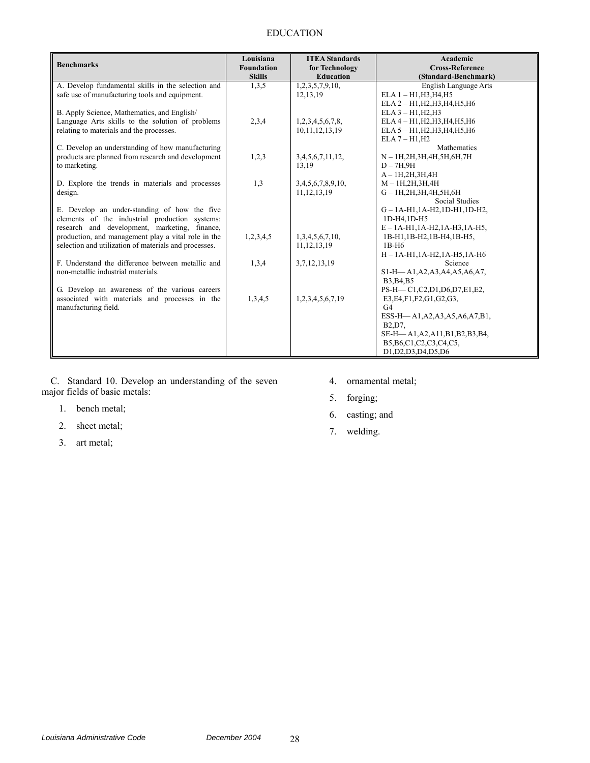### EDUCATION

| <b>Benchmarks</b>                                     | Louisiana<br><b>Foundation</b> | <b>ITEA Standards</b><br>for Technology | Academic<br><b>Cross-Reference</b>                    |
|-------------------------------------------------------|--------------------------------|-----------------------------------------|-------------------------------------------------------|
|                                                       | <b>Skills</b>                  | <b>Education</b>                        | (Standard-Benchmark)                                  |
| A. Develop fundamental skills in the selection and    | 1,3,5                          | 1,2,3,5,7,9,10,                         | English Language Arts                                 |
| safe use of manufacturing tools and equipment.        |                                | 12, 13, 19                              | $ELA 1 - H1, H3, H4, H5$                              |
|                                                       |                                |                                         | ELA 2 - H1, H2, H3, H4, H5, H6                        |
| B. Apply Science, Mathematics, and English/           |                                |                                         | $ELA 3 - H1, H2, H3$                                  |
| Language Arts skills to the solution of problems      | 2,3,4                          | 1,2,3,4,5,6,7,8,                        | ELA 4 - H1, H2, H3, H4, H5, H6                        |
| relating to materials and the processes.              |                                | 10, 11, 12, 13, 19                      | ELA 5 - H1, H2, H3, H4, H5, H6                        |
|                                                       |                                |                                         | $ELA 7 - H1, H2$                                      |
| C. Develop an understanding of how manufacturing      |                                |                                         | Mathematics                                           |
| products are planned from research and development    | 1,2,3                          | 3,4,5,6,7,11,12,                        | N - 1H, 2H, 3H, 4H, 5H, 6H, 7H                        |
| to marketing.                                         |                                | 13,19                                   | $D - 7H, 9H$                                          |
|                                                       |                                |                                         | $A-1H, 2H, 3H, 4H$                                    |
| D. Explore the trends in materials and processes      | 1,3                            | 3,4,5,6,7,8,9,10,                       | $M - 1H, 2H, 3H, 4H$                                  |
| design.                                               |                                | 11, 12, 13, 19                          | $G - 1H, 2H, 3H, 4H, 5H, 6H$<br><b>Social Studies</b> |
| E. Develop an under-standing of how the five          |                                |                                         | $G - 1A - H1$ , $1A - H2$ , $1D - H1$ , $1D - H2$ ,   |
| elements of the industrial production systems:        |                                |                                         | 1D-H4,1D-H5                                           |
| research and development, marketing, finance,         |                                |                                         | $E - 1A - H1$ , $1A - H2$ , $1A - H3$ , $1A - H5$ ,   |
| production, and management play a vital role in the   | 1,2,3,4,5                      | 1,3,4,5,6,7,10,                         | 1B-H1,1B-H2,1B-H4,1B-H5,                              |
| selection and utilization of materials and processes. |                                | 11, 12, 13, 19                          | $1B-H6$                                               |
|                                                       |                                |                                         | $H - 1A - H1, 1A - H2, 1A - H5, 1A - H6$              |
| F. Understand the difference between metallic and     | 1,3,4                          | 3,7,12,13,19                            | Science                                               |
| non-metallic industrial materials.                    |                                |                                         | S1-H-A1, A2, A3, A4, A5, A6, A7,                      |
|                                                       |                                |                                         | B3, B4, B5                                            |
| G. Develop an awareness of the various careers        |                                |                                         | PS-H-C1,C2,D1,D6,D7,E1,E2,                            |
| associated with materials and processes in the        | 1,3,4,5                        | 1,2,3,4,5,6,7,19                        | E3, E4, F1, F2, G1, G2, G3,                           |
| manufacturing field.                                  |                                |                                         | G <sub>4</sub>                                        |
|                                                       |                                |                                         | ESS-H-A1, A2, A3, A5, A6, A7, B1,                     |
|                                                       |                                |                                         | B <sub>2</sub> .D <sub>7</sub> .                      |
|                                                       |                                |                                         | SE-H-A1, A2, A11, B1, B2, B3, B4,                     |
|                                                       |                                |                                         | B5, B6, C1, C2, C3, C4, C5,                           |
|                                                       |                                |                                         | D1, D2, D3, D4, D5, D6                                |

C. Standard 10. Develop an understanding of the seven major fields of basic metals:

- 1. bench metal;
- 2. sheet metal;
- 3. art metal;
- 4. ornamental metal;
- 5. forging;
- 6. casting; and
- 7. welding.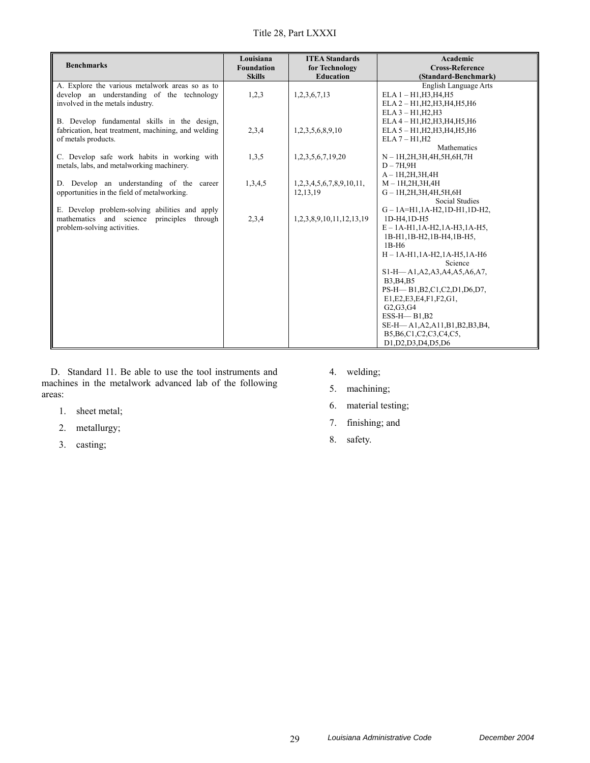| <b>Benchmarks</b>                                                                                                                 | Louisiana<br><b>Foundation</b><br><b>Skills</b> | <b>ITEA Standards</b><br>for Technology<br><b>Education</b> | Academic<br><b>Cross-Reference</b><br>(Standard-Benchmark)                                                                                                                                                                                                           |
|-----------------------------------------------------------------------------------------------------------------------------------|-------------------------------------------------|-------------------------------------------------------------|----------------------------------------------------------------------------------------------------------------------------------------------------------------------------------------------------------------------------------------------------------------------|
| A. Explore the various metalwork areas so as to<br>develop an understanding of the technology<br>involved in the metals industry. | 1,2,3                                           | 1,2,3,6,7,13                                                | English Language Arts<br>$ELA 1 - H1, H3, H4, H5$<br>ELA 2 - H1, H2, H3, H4, H5, H6<br>$ELA 3 - H1, H2, H3$                                                                                                                                                          |
| B. Develop fundamental skills in the design,<br>fabrication, heat treatment, machining, and welding<br>of metals products.        | 2,3,4                                           | 1,2,3,5,6,8,9,10                                            | ELA 4 - H1, H2, H3, H4, H5, H6<br>ELA 5 - H1, H2, H3, H4, H5, H6<br>$ELA 7 - H1, H2$                                                                                                                                                                                 |
| C. Develop safe work habits in working with<br>metals, labs, and metalworking machinery.                                          | 1,3,5                                           | 1,2,3,5,6,7,19,20                                           | Mathematics<br>N - 1H, 2H, 3H, 4H, 5H, 6H, 7H<br>$D-7H.9H$<br>$A - 1H, 2H, 3H, 4H$                                                                                                                                                                                   |
| D. Develop an understanding of the career<br>opportunities in the field of metalworking.                                          | 1,3,4,5                                         | 1,2,3,4,5,6,7,8,9,10,11,<br>12, 13, 19                      | $M - 1H, 2H, 3H, 4H$<br>$G - 1H, 2H, 3H, 4H, 5H, 6H$<br>Social Studies                                                                                                                                                                                               |
| E. Develop problem-solving abilities and apply<br>mathematics and science<br>principles through<br>problem-solving activities.    | 2,3,4                                           | 1,2,3,8,9,10,11,12,13,19                                    | $G - 1A = H1, 1A - H2, 1D - H1, 1D - H2,$<br>1D-H4.1D-H5<br>$E - 1A - H1$ , $1A - H2$ , $1A - H3$ , $1A - H5$ ,<br>1B-H1,1B-H2,1B-H4,1B-H5,<br>1B-H <sub>6</sub><br>$H - 1A - H1$ , $1A - H2$ , $1A - H5$ , $1A - H6$<br>Science<br>S1-H-A1, A2, A3, A4, A5, A6, A7, |
|                                                                                                                                   |                                                 |                                                             | B3, B4, B5<br>PS-H-B1, B2, C1, C2, D1, D6, D7,<br>E1, E2, E3, E4, F1, F2, G1,<br>G2, G3, G4<br>$ESS-H$ -B1,B2<br>SE-H-A1, A2, A11, B1, B2, B3, B4,<br>B5, B6, C1, C2, C3, C4, C5,<br>D1, D2, D3, D4, D5, D6                                                          |

D. Standard 11. Be able to use the tool instruments and machines in the metalwork advanced lab of the following areas:

- 1. sheet metal;
- 2. metallurgy;
- 3. casting;
- 4. welding;
- 5. machining;
- 6. material testing;
- 7. finishing; and
- 8. safety.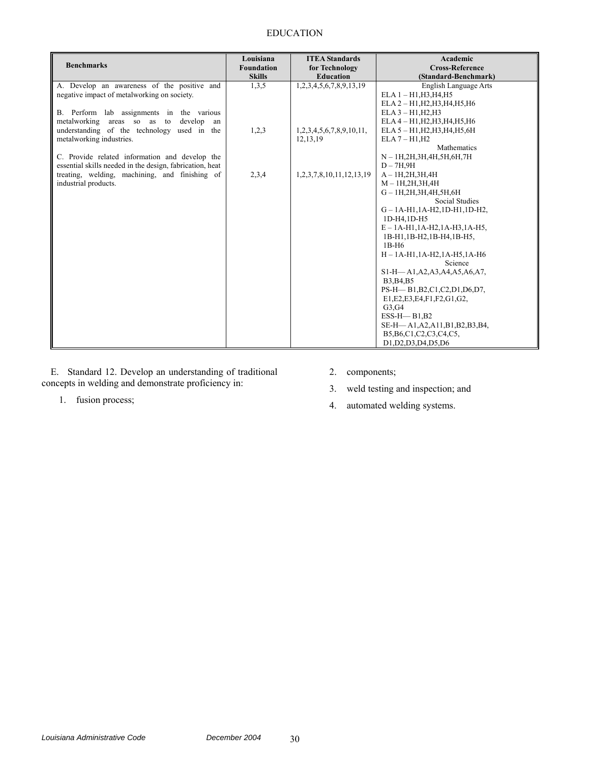### EDUCATION

| <b>Benchmarks</b>                                        | Louisiana<br><b>Foundation</b><br><b>Skills</b> | <b>ITEA Standards</b><br>for Technology<br><b>Education</b> | Academic<br><b>Cross-Reference</b><br>(Standard-Benchmark) |
|----------------------------------------------------------|-------------------------------------------------|-------------------------------------------------------------|------------------------------------------------------------|
| A. Develop an awareness of the positive and              | 1,3,5                                           | 1,2,3,4,5,6,7,8,9,13,19                                     | English Language Arts                                      |
| negative impact of metalworking on society.              |                                                 |                                                             | $ELA 1 - H1, H3, H4, H5$                                   |
|                                                          |                                                 |                                                             | ELA 2 - H1, H2, H3, H4, H5, H6                             |
| B. Perform lab assignments in the various                |                                                 |                                                             | $ELA 3 - H1.H2.H3$                                         |
| develop<br>metalworking areas so as to<br>an             |                                                 |                                                             | ELA 4 - H1, H2, H3, H4, H5, H6                             |
| understanding of the technology used in the              | 1,2,3                                           | 1,2,3,4,5,6,7,8,9,10,11,                                    | ELA 5 - H1, H2, H3, H4, H5, 6H                             |
| metalworking industries.                                 |                                                 | 12, 13, 19                                                  | $ELA 7 - H1, H2$                                           |
|                                                          |                                                 |                                                             | Mathematics                                                |
| C. Provide related information and develop the           |                                                 |                                                             | N - 1H, 2H, 3H, 4H, 5H, 6H, 7H                             |
| essential skills needed in the design, fabrication, heat |                                                 |                                                             | $D-7H,9H$                                                  |
| treating, welding, machining, and finishing of           | 2,3,4                                           | 1,2,3,7,8,10,11,12,13,19                                    | $A-1H, 2H, 3H, 4H$                                         |
| industrial products.                                     |                                                 |                                                             | $M - 1H, 2H, 3H, 4H$                                       |
|                                                          |                                                 |                                                             | $G - 1H, 2H, 3H, 4H, 5H, 6H$                               |
|                                                          |                                                 |                                                             | <b>Social Studies</b>                                      |
|                                                          |                                                 |                                                             | $G - 1A - H1$ , $1A - H2$ , $1D - H1$ , $1D - H2$ ,        |
|                                                          |                                                 |                                                             | 1D-H4.1D-H5                                                |
|                                                          |                                                 |                                                             | $E - 1A - H1$ , $1A - H2$ , $1A - H3$ , $1A - H5$ ,        |
|                                                          |                                                 |                                                             | 1B-H1,1B-H2,1B-H4,1B-H5,                                   |
|                                                          |                                                 |                                                             | $1B-H6$                                                    |
|                                                          |                                                 |                                                             | $H - 1A - H1, 1A - H2, 1A - H5, 1A - H6$                   |
|                                                          |                                                 |                                                             | Science                                                    |
|                                                          |                                                 |                                                             | S1-H-A1, A2, A3, A4, A5, A6, A7,                           |
|                                                          |                                                 |                                                             | B3, B4, B5                                                 |
|                                                          |                                                 |                                                             | PS-H-B1, B2, C1, C2, D1, D6, D7,                           |
|                                                          |                                                 |                                                             | E1, E2, E3, E4, F1, F2, G1, G2,                            |
|                                                          |                                                 |                                                             | G3,G4                                                      |
|                                                          |                                                 |                                                             | $ESS-H$ -B1,B2                                             |
|                                                          |                                                 |                                                             | SE-H-A1, A2, A11, B1, B2, B3, B4,                          |
|                                                          |                                                 |                                                             | B5, B6, C1, C2, C3, C4, C5,                                |
|                                                          |                                                 |                                                             | D1, D2, D3, D4, D5, D6                                     |

E. Standard 12. Develop an understanding of traditional concepts in welding and demonstrate proficiency in:

1. fusion process;

- 2. components;
- 3. weld testing and inspection; and
- 4. automated welding systems.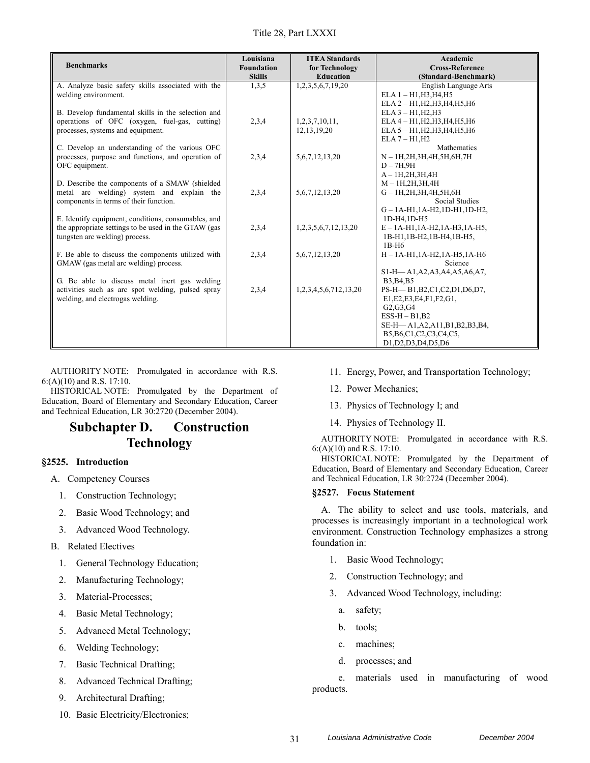| <b>Benchmarks</b>                                                                           | Louisiana<br><b>Foundation</b><br><b>Skills</b> | <b>ITEA Standards</b><br>for Technology<br><b>Education</b> | Academic<br><b>Cross-Reference</b><br>(Standard-Benchmark) |
|---------------------------------------------------------------------------------------------|-------------------------------------------------|-------------------------------------------------------------|------------------------------------------------------------|
| A. Analyze basic safety skills associated with the                                          | 1,3,5                                           | 1,2,3,5,6,7,19,20                                           | English Language Arts                                      |
| welding environment.                                                                        |                                                 |                                                             | $ELA 1 - H1, H3, H4, H5$                                   |
|                                                                                             |                                                 |                                                             | ELA 2 - H1, H2, H3, H4, H5, H6                             |
| B. Develop fundamental skills in the selection and                                          |                                                 |                                                             | $ELA 3 - H1, H2, H3$                                       |
| operations of OFC (oxygen, fuel-gas, cutting)                                               | 2,3,4                                           | 1,2,3,7,10,11,                                              | ELA 4 - H1, H2, H3, H4, H5, H6                             |
| processes, systems and equipment.                                                           |                                                 | 12, 13, 19, 20                                              | ELA 5 - H1, H2, H3, H4, H5, H6                             |
|                                                                                             |                                                 |                                                             | $ELA 7 - H1, H2$                                           |
| C. Develop an understanding of the various OFC                                              |                                                 |                                                             | Mathematics                                                |
| processes, purpose and functions, and operation of                                          | 2,3,4                                           | 5, 6, 7, 12, 13, 20                                         | $N-1H, 2H, 3H, 4H, 5H, 6H, 7H$                             |
| OFC equipment.                                                                              |                                                 |                                                             | $D-7H.9H$                                                  |
|                                                                                             |                                                 |                                                             | $A - 1H, 2H, 3H, 4H$<br>$M - 1H, 2H, 3H, 4H$               |
| D. Describe the components of a SMAW (shielded<br>metal arc welding) system and explain the | 2,3,4                                           | 5, 6, 7, 12, 13, 20                                         | $G - 1H, 2H, 3H, 4H, 5H, 6H$                               |
| components in terms of their function.                                                      |                                                 |                                                             | Social Studies                                             |
|                                                                                             |                                                 |                                                             | $G - 1A - H1$ , $1A - H2$ , $1D - H1$ , $1D - H2$ ,        |
| E. Identify equipment, conditions, consumables, and                                         |                                                 |                                                             | 1D-H4.1D-H5                                                |
| the appropriate settings to be used in the GTAW (gas                                        | 2,3,4                                           | 1,2,3,5,6,7,12,13,20                                        | $E - 1A - H1$ , $1A - H2$ , $1A - H3$ , $1A - H5$ ,        |
| tungsten arc welding) process.                                                              |                                                 |                                                             | 1B-H1,1B-H2,1B-H4,1B-H5,                                   |
|                                                                                             |                                                 |                                                             | $1B-H6$                                                    |
| F. Be able to discuss the components utilized with                                          | 2,3,4                                           | 5, 6, 7, 12, 13, 20                                         | $H - 1A - H1$ , $1A - H2$ , $1A - H5$ , $1A - H6$          |
| GMAW (gas metal arc welding) process.                                                       |                                                 |                                                             | Science                                                    |
|                                                                                             |                                                 |                                                             | S1-H-A1, A2, A3, A4, A5, A6, A7,                           |
| G. Be able to discuss metal inert gas welding                                               |                                                 |                                                             | <b>B3.B4.B5</b>                                            |
| activities such as arc spot welding, pulsed spray                                           | 2,3,4                                           | 1,2,3,4,5,6,712,13,20                                       | PS-H-B1, B2, C1, C2, D1, D6, D7,                           |
| welding, and electrogas welding.                                                            |                                                 |                                                             | E1, E2, E3, E4, F1, F2, G1,                                |
|                                                                                             |                                                 |                                                             | G2, G3, G4                                                 |
|                                                                                             |                                                 |                                                             | $ESS-H-B1,B2$                                              |
|                                                                                             |                                                 |                                                             | SE-H-A1, A2, A11, B1, B2, B3, B4,                          |
|                                                                                             |                                                 |                                                             | B5, B6, C1, C2, C3, C4, C5,                                |
|                                                                                             |                                                 |                                                             | D1, D2, D3, D4, D5, D6                                     |

HISTORICAL NOTE: Promulgated by the Department of Education, Board of Elementary and Secondary Education, Career and Technical Education, LR 30:2720 (December 2004).

# **Subchapter D. Construction Technology**

### **§2525. Introduction**

- A. Competency Courses
	- 1. Construction Technology;
	- 2. Basic Wood Technology; and
	- 3. Advanced Wood Technology.
- B. Related Electives
	- 1. General Technology Education;
	- 2. Manufacturing Technology;
	- 3. Material-Processes;
	- 4. Basic Metal Technology;
	- 5. Advanced Metal Technology;
	- 6. Welding Technology;
	- 7. Basic Technical Drafting;
	- 8. Advanced Technical Drafting;
	- 9. Architectural Drafting;
	- 10. Basic Electricity/Electronics;
- 11. Energy, Power, and Transportation Technology;
- 12. Power Mechanics;
- 13. Physics of Technology I; and
- 14. Physics of Technology II.

AUTHORITY NOTE: Promulgated in accordance with R.S. 6:(A)(10) and R.S. 17:10.

HISTORICAL NOTE: Promulgated by the Department of Education, Board of Elementary and Secondary Education, Career and Technical Education, LR 30:2724 (December 2004).

### **§2527. Focus Statement**

A. The ability to select and use tools, materials, and processes is increasingly important in a technological work environment. Construction Technology emphasizes a strong foundation in:

- 1. Basic Wood Technology;
- 2. Construction Technology; and
- 3. Advanced Wood Technology, including:
	- a. safety;
	- b. tools;
	- c. machines;
	- d. processes; and

e. materials used in manufacturing of wood products.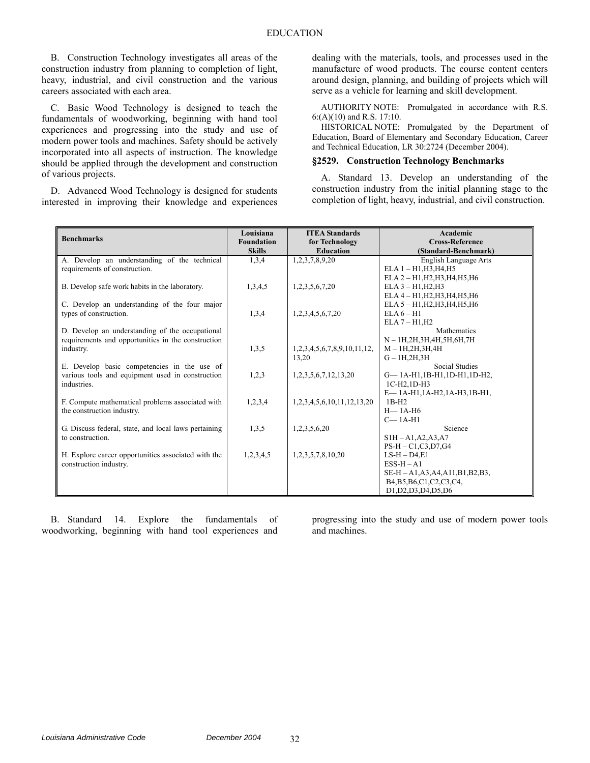B. Construction Technology investigates all areas of the construction industry from planning to completion of light, heavy, industrial, and civil construction and the various careers associated with each area.

C. Basic Wood Technology is designed to teach the fundamentals of woodworking, beginning with hand tool experiences and progressing into the study and use of modern power tools and machines. Safety should be actively incorporated into all aspects of instruction. The knowledge should be applied through the development and construction of various projects.

D. Advanced Wood Technology is designed for students interested in improving their knowledge and experiences dealing with the materials, tools, and processes used in the manufacture of wood products. The course content centers around design, planning, and building of projects which will serve as a vehicle for learning and skill development.

AUTHORITY NOTE: Promulgated in accordance with R.S. 6:(A)(10) and R.S. 17:10.

HISTORICAL NOTE: Promulgated by the Department of Education, Board of Elementary and Secondary Education, Career and Technical Education, LR 30:2724 (December 2004).

#### **§2529. Construction Technology Benchmarks**

A. Standard 13. Develop an understanding of the construction industry from the initial planning stage to the completion of light, heavy, industrial, and civil construction.

| <b>Benchmarks</b>                                    | Louisiana<br><b>Foundation</b><br><b>Skills</b> | <b>ITEA Standards</b><br>for Technology<br><b>Education</b> | Academic<br><b>Cross-Reference</b><br>(Standard-Benchmark) |
|------------------------------------------------------|-------------------------------------------------|-------------------------------------------------------------|------------------------------------------------------------|
| A. Develop an understanding of the technical         | 1,3,4                                           | 1,2,3,7,8,9,20                                              | English Language Arts                                      |
| requirements of construction.                        |                                                 |                                                             | $ELA 1 - H1, H3, H4, H5$                                   |
|                                                      |                                                 |                                                             | ELA 2 - H1, H2, H3, H4, H5, H6                             |
| B. Develop safe work habits in the laboratory.       | 1,3,4,5                                         | 1,2,3,5,6,7,20                                              | $ELA 3 - H1, H2, H3$                                       |
|                                                      |                                                 |                                                             | ELA 4 - H1, H2, H3, H4, H5, H6                             |
| C. Develop an understanding of the four major        |                                                 |                                                             | ELA 5 - H1, H2, H3, H4, H5, H6                             |
| types of construction.                               | 1,3,4                                           | 1,2,3,4,5,6,7,20                                            | $ELA 6-H1$                                                 |
|                                                      |                                                 |                                                             | $ELA 7 - H1, H2$                                           |
| D. Develop an understanding of the occupational      |                                                 |                                                             | <b>Mathematics</b>                                         |
| requirements and opportunities in the construction   |                                                 |                                                             | N - 1H, 2H, 3H, 4H, 5H, 6H, 7H                             |
| industry.                                            | 1,3,5                                           | 1,2,3,4,5,6,7,8,9,10,11,12,                                 | $M - 1H, 2H, 3H, 4H$                                       |
| E. Develop basic competencies in the use of          |                                                 | 13,20                                                       | $G-1H,2H,3H$<br><b>Social Studies</b>                      |
| various tools and equipment used in construction     | 1,2,3                                           | 1, 2, 3, 5, 6, 7, 12, 13, 20                                | G-1A-H1,1B-H1,1D-H1,1D-H2,                                 |
| industries.                                          |                                                 |                                                             | 1C-H2.1D-H3                                                |
|                                                      |                                                 |                                                             | E-1A-H1,1A-H2,1A-H3,1B-H1,                                 |
| F. Compute mathematical problems associated with     | 1,2,3,4                                         | 1,2,3,4,5,6,10,11,12,13,20                                  | $1B-H2$                                                    |
| the construction industry.                           |                                                 |                                                             | $H-1A-H6$                                                  |
|                                                      |                                                 |                                                             | $C-1A-H1$                                                  |
| G. Discuss federal, state, and local laws pertaining | 1,3,5                                           | 1,2,3,5,6,20                                                | Science                                                    |
| to construction.                                     |                                                 |                                                             | $SIH - A1, A2, A3, A7$                                     |
|                                                      |                                                 |                                                             | $PS-H - C1, C3, D7, G4$                                    |
| H. Explore career opportunities associated with the  | 1,2,3,4,5                                       | 1,2,3,5,7,8,10,20                                           | $LS-H-D4,E1$                                               |
| construction industry.                               |                                                 |                                                             | $ESS-H-A1$                                                 |
|                                                      |                                                 |                                                             | SE-H - A1, A3, A4, A11, B1, B2, B3,                        |
|                                                      |                                                 |                                                             | B4, B5, B6, C1, C2, C3, C4,                                |
|                                                      |                                                 |                                                             | D1, D2, D3, D4, D5, D6                                     |

B. Standard 14. Explore the fundamentals of woodworking, beginning with hand tool experiences and progressing into the study and use of modern power tools and machines.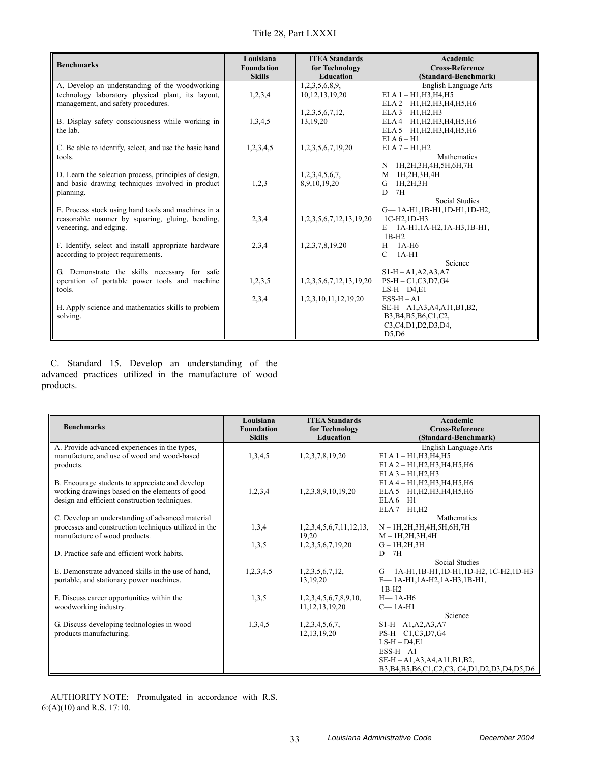Title 28, Part LXXXI

| <b>Benchmarks</b>                                      | Louisiana<br><b>Foundation</b><br><b>Skills</b> | <b>ITEA Standards</b><br>for Technology<br><b>Education</b> | Academic<br><b>Cross-Reference</b><br>(Standard-Benchmark) |
|--------------------------------------------------------|-------------------------------------------------|-------------------------------------------------------------|------------------------------------------------------------|
| A. Develop an understanding of the woodworking         |                                                 | 1,2,3,5,6,8,9,                                              | English Language Arts                                      |
| technology laboratory physical plant, its layout,      | 1,2,3,4                                         | 10, 12, 13, 19, 20                                          | $ELA 1 - H1, H3, H4, H5$                                   |
| management, and safety procedures.                     |                                                 |                                                             | ELA 2 - H1, H2, H3, H4, H5, H6                             |
|                                                        |                                                 | 1,2,3,5,6,7,12,                                             | $ELA 3 - H1, H2, H3$                                       |
| B. Display safety consciousness while working in       | 1,3,4,5                                         | 13,19,20                                                    | ELA 4 - H1, H2, H3, H4, H5, H6                             |
| the lab.                                               |                                                 |                                                             | ELA 5 - H1, H2, H3, H4, H5, H6                             |
|                                                        |                                                 |                                                             | $ELA 6 - H1$                                               |
| C. Be able to identify, select, and use the basic hand | 1,2,3,4,5                                       | 1,2,3,5,6,7,19,20                                           | $ELA 7 - H1, H2$                                           |
| tools.                                                 |                                                 |                                                             | <b>Mathematics</b>                                         |
|                                                        |                                                 |                                                             | N - 1H, 2H, 3H, 4H, 5H, 6H, 7H                             |
| D. Learn the selection process, principles of design,  |                                                 | 1,2,3,4,5,6,7,                                              | $M - 1H, 2H, 3H, 4H$                                       |
| and basic drawing techniques involved in product       | 1,2,3                                           | 8,9,10,19,20                                                | $G-1H,2H,3H$                                               |
| planning.                                              |                                                 |                                                             | $D - 7H$                                                   |
|                                                        |                                                 |                                                             | <b>Social Studies</b>                                      |
| E. Process stock using hand tools and machines in a    |                                                 |                                                             | G-1A-H1,1B-H1,1D-H1,1D-H2,                                 |
| reasonable manner by squaring, gluing, bending,        | 2,3,4                                           | 1, 2, 3, 5, 6, 7, 12, 13, 19, 20                            | 1C-H2.1D-H3                                                |
| veneering, and edging.                                 |                                                 |                                                             | E-1A-H1,1A-H2,1A-H3,1B-H1,                                 |
|                                                        |                                                 |                                                             | $1B-H2$                                                    |
| F. Identify, select and install appropriate hardware   | 2,3,4                                           | 1,2,3,7,8,19,20                                             | $H - 1A - H6$                                              |
| according to project requirements.                     |                                                 |                                                             | $C-1A-H1$                                                  |
|                                                        |                                                 |                                                             | Science                                                    |
| G. Demonstrate the skills necessary for safe           |                                                 |                                                             | $S1-H - A1, A2, A3, A7$                                    |
| operation of portable power tools and machine          | 1,2,3,5                                         | 1,2,3,5,6,7,12,13,19,20                                     | $PS-H - C1, C3, D7, G4$                                    |
| tools.                                                 |                                                 |                                                             | $LS-H-D4,E1$                                               |
|                                                        | 2,3,4                                           | 1,2,3,10,11,12,19,20                                        | $ESS-H - A1$                                               |
| H. Apply science and mathematics skills to problem     |                                                 |                                                             | SE-H-A1, A3, A4, A11, B1, B2,                              |
| solving.                                               |                                                 |                                                             | B3, B4, B5, B6, C1, C2,                                    |
|                                                        |                                                 |                                                             | C3,C4,D1,D2,D3,D4,                                         |
|                                                        |                                                 |                                                             | D5,D6                                                      |

C. Standard 15. Develop an understanding of the advanced practices utilized in the manufacture of wood products.

| <b>Benchmarks</b>                                     | Louisiana<br><b>Foundation</b><br><b>Skills</b> | <b>ITEA Standards</b><br>for Technology<br><b>Education</b> | <b>Academic</b><br><b>Cross-Reference</b><br>(Standard-Benchmark) |
|-------------------------------------------------------|-------------------------------------------------|-------------------------------------------------------------|-------------------------------------------------------------------|
| A. Provide advanced experiences in the types,         |                                                 |                                                             | English Language Arts                                             |
| manufacture, and use of wood and wood-based           | 1,3,4,5                                         | 1,2,3,7,8,19,20                                             | $ELA 1 - H1, H3, H4, H5$                                          |
| products.                                             |                                                 |                                                             | ELA 2 - H1, H2, H3, H4, H5, H6                                    |
|                                                       |                                                 |                                                             | $ELA 3 - H1, H2, H3$                                              |
| B. Encourage students to appreciate and develop       |                                                 |                                                             | ELA 4 - H1, H2, H3, H4, H5, H6                                    |
| working drawings based on the elements of good        | 1,2,3,4                                         | 1,2,3,8,9,10,19,20                                          | ELA 5 - H1, H2, H3, H4, H5, H6                                    |
| design and efficient construction techniques.         |                                                 |                                                             | $ELA 6 - H1$                                                      |
|                                                       |                                                 |                                                             | $ELA 7 - H1, H2$                                                  |
| C. Develop an understanding of advanced material      |                                                 |                                                             | <b>Mathematics</b>                                                |
| processes and construction techniques utilized in the | 1,3,4                                           | 1,2,3,4,5,6,7,11,12,13,                                     | $N-1H, 2H, 3H, 4H, 5H, 6H, 7H$                                    |
| manufacture of wood products.                         |                                                 | 19.20                                                       | $M-1H, 2H, 3H, 4H$                                                |
|                                                       | 1,3,5                                           | 1,2,3,5,6,7,19,20                                           | $G - 1H, 2H, 3H$                                                  |
| D. Practice safe and efficient work habits.           |                                                 |                                                             | $D - 7H$                                                          |
|                                                       |                                                 |                                                             | <b>Social Studies</b>                                             |
| E. Demonstrate advanced skills in the use of hand,    | 1,2,3,4,5                                       | 1,2,3,5,6,7,12,                                             | G-1A-H1,1B-H1,1D-H1,1D-H2, 1C-H2,1D-H3                            |
| portable, and stationary power machines.              |                                                 | 13.19.20                                                    | E-1A-H1,1A-H2,1A-H3,1B-H1,<br>$1B-H2$                             |
| F. Discuss career opportunities within the            | 1,3,5                                           | 1,2,3,4,5,6,7,8,9,10,                                       | $H-1A-H6$                                                         |
| woodworking industry.                                 |                                                 | 11, 12, 13, 19, 20                                          | $C-1A-H1$                                                         |
|                                                       |                                                 |                                                             | Science                                                           |
| G. Discuss developing technologies in wood            | 1,3,4,5                                         | 1,2,3,4,5,6,7,                                              | $S1-H - A1, A2, A3, A7$                                           |
| products manufacturing.                               |                                                 | 12, 13, 19, 20                                              | $PS-H - C1, C3, D7, G4$                                           |
|                                                       |                                                 |                                                             | $LS-H-D4.E1$                                                      |
|                                                       |                                                 |                                                             | $ESS-H-A1$                                                        |
|                                                       |                                                 |                                                             | SE-H - A1, A3, A4, A11, B1, B2,                                   |
|                                                       |                                                 |                                                             | B3, B4, B5, B6, C1, C2, C3, C4, D1, D2, D3, D4, D5, D6            |

AUTHORITY NOTE: Promulgated in accordance with R.S. 6:(A)(10) and R.S. 17:10.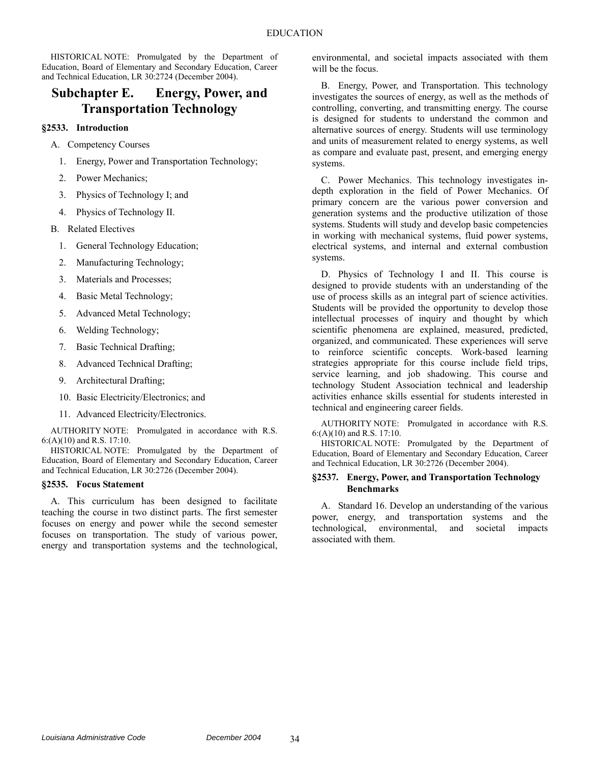HISTORICAL NOTE: Promulgated by the Department of Education, Board of Elementary and Secondary Education, Career and Technical Education, LR 30:2724 (December 2004).

## **Subchapter E. Energy, Power, and Transportation Technology**

### **§2533. Introduction**

- A. Competency Courses
	- 1. Energy, Power and Transportation Technology;
	- 2. Power Mechanics;
	- 3. Physics of Technology I; and
	- 4. Physics of Technology II.
- B. Related Electives
	- 1. General Technology Education;
	- 2. Manufacturing Technology;
	- 3. Materials and Processes;
	- 4. Basic Metal Technology;
	- 5. Advanced Metal Technology;
	- 6. Welding Technology;
	- 7. Basic Technical Drafting;
	- 8. Advanced Technical Drafting;
	- 9. Architectural Drafting;
	- 10. Basic Electricity/Electronics; and
	- 11. Advanced Electricity/Electronics.

AUTHORITY NOTE: Promulgated in accordance with R.S. 6:(A)(10) and R.S. 17:10.

HISTORICAL NOTE: Promulgated by the Department of Education, Board of Elementary and Secondary Education, Career and Technical Education, LR 30:2726 (December 2004).

### **§2535. Focus Statement**

A. This curriculum has been designed to facilitate teaching the course in two distinct parts. The first semester focuses on energy and power while the second semester focuses on transportation. The study of various power, energy and transportation systems and the technological, environmental, and societal impacts associated with them will be the focus.

B. Energy, Power, and Transportation. This technology investigates the sources of energy, as well as the methods of controlling, converting, and transmitting energy. The course is designed for students to understand the common and alternative sources of energy. Students will use terminology and units of measurement related to energy systems, as well as compare and evaluate past, present, and emerging energy systems.

C. Power Mechanics. This technology investigates indepth exploration in the field of Power Mechanics. Of primary concern are the various power conversion and generation systems and the productive utilization of those systems. Students will study and develop basic competencies in working with mechanical systems, fluid power systems, electrical systems, and internal and external combustion systems.

D. Physics of Technology I and II. This course is designed to provide students with an understanding of the use of process skills as an integral part of science activities. Students will be provided the opportunity to develop those intellectual processes of inquiry and thought by which scientific phenomena are explained, measured, predicted, organized, and communicated. These experiences will serve to reinforce scientific concepts. Work-based learning strategies appropriate for this course include field trips, service learning, and job shadowing. This course and technology Student Association technical and leadership activities enhance skills essential for students interested in technical and engineering career fields.

AUTHORITY NOTE: Promulgated in accordance with R.S. 6:(A)(10) and R.S. 17:10.

HISTORICAL NOTE: Promulgated by the Department of Education, Board of Elementary and Secondary Education, Career and Technical Education, LR 30:2726 (December 2004).

### **§2537. Energy, Power, and Transportation Technology Benchmarks**

A. Standard 16. Develop an understanding of the various power, energy, and transportation systems and the technological, environmental, and societal impacts associated with them.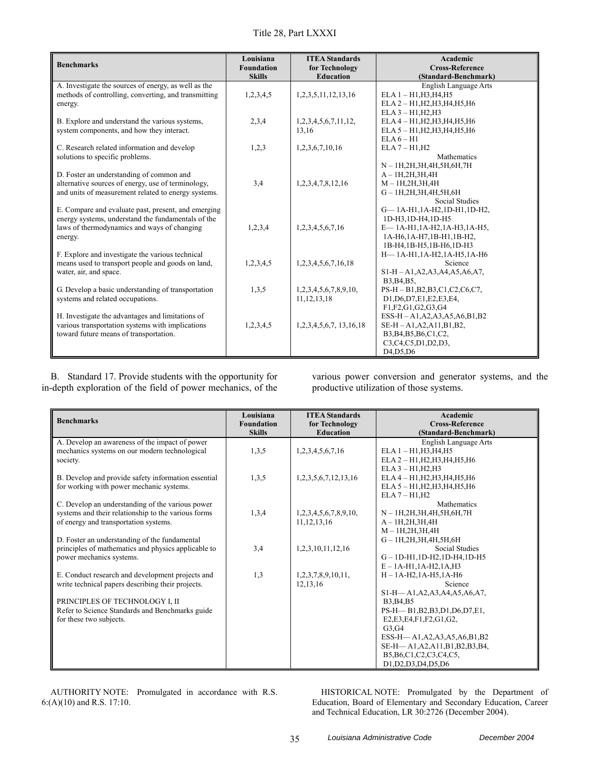|  |  | Title 28, Part LXXXI |
|--|--|----------------------|
|--|--|----------------------|

| <b>Benchmarks</b>                                                                                                                                                   | Louisiana<br><b>Foundation</b><br><b>Skills</b> | <b>ITEA Standards</b><br>for Technology<br><b>Education</b> | Academic<br><b>Cross-Reference</b><br>(Standard-Benchmark)                                                                                                                      |
|---------------------------------------------------------------------------------------------------------------------------------------------------------------------|-------------------------------------------------|-------------------------------------------------------------|---------------------------------------------------------------------------------------------------------------------------------------------------------------------------------|
| A. Investigate the sources of energy, as well as the<br>methods of controlling, converting, and transmitting<br>energy.                                             | 1,2,3,4,5                                       | 1,2,3,5,11,12,13,16                                         | English Language Arts<br>$ELA 1 - H1, H3, H4, H5$<br>ELA 2 - H1, H2, H3, H4, H5, H6                                                                                             |
| B. Explore and understand the various systems,<br>system components, and how they interact.                                                                         | 2,3,4                                           | 1,2,3,4,5,6,7,11,12,<br>13.16                               | $ELA 3 - H1, H2, H3$<br>ELA 4 - H1, H2, H3, H4, H5, H6<br>ELA 5 - H1, H2, H3, H4, H5, H6<br>$ELA6 - H1$                                                                         |
| C. Research related information and develop<br>solutions to specific problems.                                                                                      | 1,2,3                                           | 1,2,3,6,7,10,16                                             | $ELA 7 - H1, H2$<br>Mathematics<br>$N-1H, 2H, 3H, 4H, 5H, 6H, 7H$                                                                                                               |
| D. Foster an understanding of common and<br>alternative sources of energy, use of terminology,<br>and units of measurement related to energy systems.               | 3,4                                             | 1,2,3,4,7,8,12,16                                           | $A - 1H, 2H, 3H, 4H$<br>$M - 1H, 2H, 3H, 4H$<br>$G - 1H, 2H, 3H, 4H, 5H, 6H$<br><b>Social Studies</b>                                                                           |
| E. Compare and evaluate past, present, and emerging<br>energy systems, understand the fundamentals of the<br>laws of thermodynamics and ways of changing<br>energy. | 1,2,3,4                                         | 1,2,3,4,5,6,7,16                                            | G-1A-H1,1A-H2,1D-H1,1D-H2,<br>1D-H3,1D-H4,1D-H5<br>E-1A-H1,1A-H2,1A-H3,1A-H5,<br>1A-H6,1A-H7,1B-H1,1B-H2,<br>1B-H4,1B-H5,1B-H6,1D-H3                                            |
| F. Explore and investigate the various technical<br>means used to transport people and goods on land,<br>water, air, and space.                                     | 1,2,3,4,5                                       | 1,2,3,4,5,6,7,16,18                                         | H-1A-H1,1A-H2,1A-H5,1A-H6<br>Science<br>$S1-H - A1, A2, A3, A4, A5, A6, A7,$<br>B3, B4, B5,                                                                                     |
| G. Develop a basic understanding of transportation<br>systems and related occupations.                                                                              | 1,3,5                                           | 1,2,3,4,5,6,7,8,9,10,<br>11, 12, 13, 18                     | PS-H-B1,B2,B3,C1,C2,C6,C7,<br>D1, D6, D7, E1, E2, E3, E4,<br>F1, F2, G1, G2, G3, G4                                                                                             |
| H. Investigate the advantages and limitations of<br>various transportation systems with implications<br>toward future means of transportation.                      | 1,2,3,4,5                                       | 1, 2, 3, 4, 5, 6, 7, 13, 16, 18                             | $ESS-H - A1, A2, A3, A5, A6, B1, B2$<br>$SE-H - A1, A2, A11, B1, B2,$<br>B3, B4, B5, B6, C1, C2,<br>C3, C4, C5, D1, D2, D3,<br>D <sub>4</sub> , D <sub>5</sub> , D <sub>6</sub> |

B. Standard 17. Provide students with the opportunity for in-depth exploration of the field of power mechanics, of the various power conversion and generator systems, and the productive utilization of those systems.

| <b>Benchmarks</b>                                   | Louisiana<br><b>Foundation</b> | <b>ITEA Standards</b><br>for Technology | Academic<br><b>Cross-Reference</b>                     |
|-----------------------------------------------------|--------------------------------|-----------------------------------------|--------------------------------------------------------|
|                                                     | <b>Skills</b>                  | <b>Education</b>                        | (Standard-Benchmark)                                   |
| A. Develop an awareness of the impact of power      |                                |                                         | English Language Arts                                  |
| mechanics systems on our modern technological       | 1,3,5                          | 1,2,3,4,5,6,7,16                        | $ELA1 - H1.H3.H4.H5$                                   |
| society.                                            |                                |                                         | ELA 2 - H1, H2, H3, H4, H5, H6                         |
|                                                     |                                |                                         | $ELA 3 - H1, H2, H3$                                   |
| B. Develop and provide safety information essential | 1,3,5                          | 1,2,3,5,6,7,12,13,16                    | ELA 4 - H1, H2, H3, H4, H5, H6                         |
| for working with power mechanic systems.            |                                |                                         | ELA 5 - H1, H2, H3, H4, H5, H6                         |
|                                                     |                                |                                         | $ELA 7 - H1, H2$                                       |
| C. Develop an understanding of the various power    | 1,3,4                          |                                         | Mathematics                                            |
| systems and their relationship to the various forms |                                | 1,2,3,4,5,6,7,8,9,10,<br>11, 12, 13, 16 | N - 1H, 2H, 3H, 4H, 5H, 6H, 7H<br>$A - 1H, 2H, 3H, 4H$ |
| of energy and transportation systems.               |                                |                                         | $M - 1H, 2H, 3H, 4H$                                   |
| D. Foster an understanding of the fundamental       |                                |                                         | $G-1H, 2H, 3H, 4H, 5H, 6H$                             |
| principles of mathematics and physics applicable to | 3,4                            | 1,2,3,10,11,12,16                       | <b>Social Studies</b>                                  |
| power mechanics systems.                            |                                |                                         | $G - 1D - H1$ , $1D - H2$ , $1D - H4$ , $1D - H5$      |
|                                                     |                                |                                         | $E - 1A - H1, 1A - H2, 1A, H3$                         |
| E. Conduct research and development projects and    | 1,3                            | 1,2,3,7,8,9,10,11,                      | $H - 1A - H2$ , $1A - H5$ , $1A - H6$                  |
| write technical papers describing their projects.   |                                | 12,13,16                                | Science                                                |
|                                                     |                                |                                         | S1-H-A1, A2, A3, A4, A5, A6, A7,                       |
| PRINCIPLES OF TECHNOLOGY I, II                      |                                |                                         | B3, B4, B5                                             |
| Refer to Science Standards and Benchmarks guide     |                                |                                         | PS-H-B1, B2, B3, D1, D6, D7, E1,                       |
| for these two subjects.                             |                                |                                         | E2, E3, E4, F1, F2, G1, G2,                            |
|                                                     |                                |                                         | G3,G4                                                  |
|                                                     |                                |                                         | ESS-H-A1, A2, A3, A5, A6, B1, B2                       |
|                                                     |                                |                                         | SE-H-A1, A2, A11, B1, B2, B3, B4,                      |
|                                                     |                                |                                         | B5, B6, C1, C2, C3, C4, C5,                            |
|                                                     |                                |                                         | D1, D2, D3, D4, D5, D6                                 |

AUTHORITY NOTE: Promulgated in accordance with R.S. 6:(A)(10) and R.S. 17:10.

HISTORICAL NOTE: Promulgated by the Department of Education, Board of Elementary and Secondary Education, Career and Technical Education, LR 30:2726 (December 2004).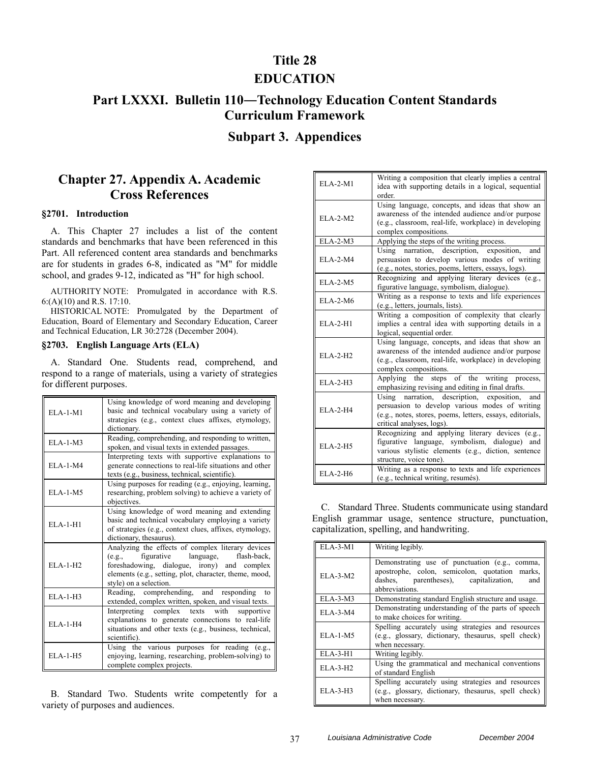## **Title 28**

### **EDUCATION**

# **Part LXXXI. Bulletin 110―Technology Education Content Standards Curriculum Framework**

### **Subpart 3. Appendices**

## **Chapter 27. Appendix A. Academic Cross References**

#### **§2701. Introduction**

A. This Chapter 27 includes a list of the content standards and benchmarks that have been referenced in this Part. All referenced content area standards and benchmarks are for students in grades 6-8, indicated as "M" for middle school, and grades 9-12, indicated as "H" for high school.

AUTHORITY NOTE: Promulgated in accordance with R.S. 6:(A)(10) and R.S. 17:10.

HISTORICAL NOTE: Promulgated by the Department of Education, Board of Elementary and Secondary Education, Career and Technical Education, LR 30:2728 (December 2004).

#### **§2703. English Language Arts (ELA)**

A. Standard One. Students read, comprehend, and respond to a range of materials, using a variety of strategies for different purposes.

| $ELA-1-M1$ | Using knowledge of word meaning and developing<br>basic and technical vocabulary using a variety of<br>strategies (e.g., context clues affixes, etymology,<br>dictionary.                                                                |
|------------|------------------------------------------------------------------------------------------------------------------------------------------------------------------------------------------------------------------------------------------|
| $ELA-1-M3$ | Reading, comprehending, and responding to written,<br>spoken, and visual texts in extended passages.                                                                                                                                     |
| $ELA-1-M4$ | Interpreting texts with supportive explanations to<br>generate connections to real-life situations and other<br>texts (e.g., business, technical, scientific).                                                                           |
| $ELA-1-M5$ | Using purposes for reading (e.g., enjoying, learning,<br>researching, problem solving) to achieve a variety of<br>objectives.                                                                                                            |
| $ELA-1-H1$ | Using knowledge of word meaning and extending<br>basic and technical vocabulary employing a variety<br>of strategies (e.g., context clues, affixes, etymology,<br>dictionary, thesaurus).                                                |
| $ELA-1-H2$ | Analyzing the effects of complex literary devices<br>figurative<br>language,<br>flash-back,<br>(e.g.,<br>foreshadowing, dialogue, irony) and complex<br>elements (e.g., setting, plot, character, theme, mood,<br>style) on a selection. |
| $ELA-1-H3$ | Reading, comprehending, and responding to<br>extended, complex written, spoken, and visual texts.                                                                                                                                        |
| $ELA-1-H4$ | Interpreting<br>complex texts with supportive<br>explanations to generate connections to real-life<br>situations and other texts (e.g., business, technical,<br>scientific).                                                             |
| $ELA-1-H5$ | Using the various purposes for reading (e.g.,<br>enjoying, learning, researching, problem-solving) to<br>complete complex projects.                                                                                                      |

B. Standard Two. Students write competently for a variety of purposes and audiences.

| <b>ELA-2-M1</b> | Writing a composition that clearly implies a central<br>idea with supporting details in a logical, sequential<br>order.                                                                         |
|-----------------|-------------------------------------------------------------------------------------------------------------------------------------------------------------------------------------------------|
| $ELA-2-M2$      | Using language, concepts, and ideas that show an<br>awareness of the intended audience and/or purpose<br>(e.g., classroom, real-life, workplace) in developing<br>complex compositions.         |
| <b>ELA-2-M3</b> | Applying the steps of the writing process.                                                                                                                                                      |
| $ELA-2-M4$      | Using narration, description, exposition,<br>and<br>persuasion to develop various modes of writing<br>(e.g., notes, stories, poems, letters, essays, logs).                                     |
| $ELA-2-M5$      | Recognizing and applying literary devices (e.g.,<br>figurative language, symbolism, dialogue).                                                                                                  |
| $ELA-2-M6$      | Writing as a response to texts and life experiences<br>(e.g., letters, journals, lists).                                                                                                        |
| ELA-2-H1        | Writing a composition of complexity that clearly<br>implies a central idea with supporting details in a<br>logical, sequential order.                                                           |
| <b>ELA-2-H2</b> | Using language, concepts, and ideas that show an<br>awareness of the intended audience and/or purpose<br>(e.g., classroom, real-life, workplace) in developing<br>complex compositions.         |
| $ELA-2-H3$      | Applying the steps of the writing process,<br>emphasizing revising and editing in final drafts.                                                                                                 |
| $ELA-2-H4$      | description, exposition,<br>Using narration,<br>and<br>persuasion to develop various modes of writing<br>(e.g., notes, stores, poems, letters, essays, editorials,<br>critical analyses, logs). |
| $ELA-2-H5$      | Recognizing and applying literary devices (e.g.,<br>figurative language, symbolism, dialogue) and<br>various stylistic elements (e.g., diction, sentence<br>structure, voice tone).             |
| $ELA-2-H6$      | Writing as a response to texts and life experiences<br>(e.g., technical writing, resumés).                                                                                                      |

C. Standard Three. Students communicate using standard English grammar usage, sentence structure, punctuation, capitalization, spelling, and handwriting.

| $ELA-3-M1$ | Writing legibly.                                                                                                                                                   |
|------------|--------------------------------------------------------------------------------------------------------------------------------------------------------------------|
| $ELA-3-M2$ | Demonstrating use of punctuation (e.g., comma,<br>apostrophe, colon, semicolon, quotation marks,<br>dashes, parentheses), capitalization,<br>and<br>abbreviations. |
| $ELA-3-M3$ | Demonstrating standard English structure and usage.                                                                                                                |
| ELA-3-M4   | Demonstrating understanding of the parts of speech<br>to make choices for writing.                                                                                 |
| $ELA-1-M5$ | Spelling accurately using strategies and resources<br>(e.g., glossary, dictionary, thesaurus, spell check)<br>when necessary.                                      |
| $ELA-3-H1$ | Writing legibly.                                                                                                                                                   |
| $ELA-3-H2$ | Using the grammatical and mechanical conventions<br>of standard English                                                                                            |
| $ELA-3-H3$ | Spelling accurately using strategies and resources<br>(e.g., glossary, dictionary, thesaurus, spell check)<br>when necessary.                                      |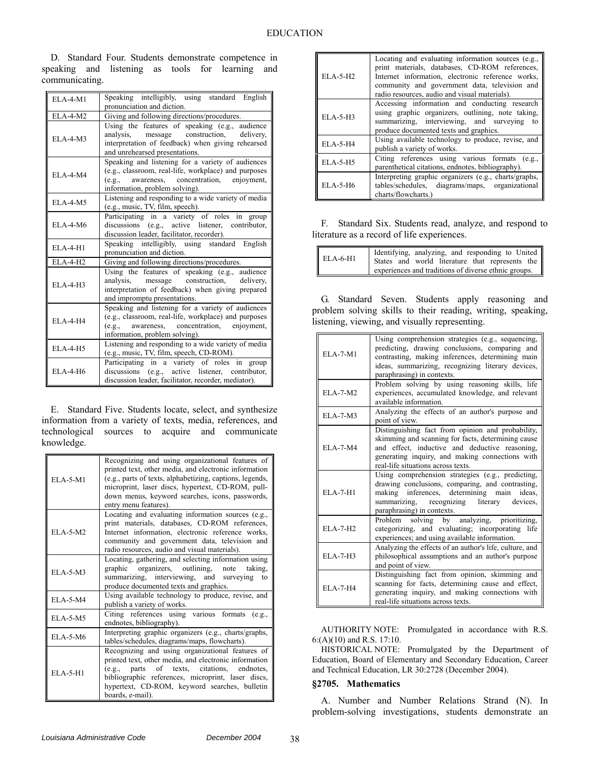D. Standard Four. Students demonstrate competence in speaking and listening as tools for learning and communicating.

| $ELA-4-M1$      | Speaking intelligibly, using standard English                                                                                                                                                 |
|-----------------|-----------------------------------------------------------------------------------------------------------------------------------------------------------------------------------------------|
|                 | pronunciation and diction.                                                                                                                                                                    |
| $ELA-4-M2$      | Giving and following directions/procedures.                                                                                                                                                   |
| $ELA-4-M3$      | Using the features of speaking (e.g., audience<br>analysis, message construction, delivery,<br>interpretation of feedback) when giving rehearsed<br>and unrehearsed presentations.            |
| $ELA-4-M4$      | Speaking and listening for a variety of audiences<br>(e.g., classroom, real-life, workplace) and purposes<br>awareness, concentration, enjoyment,<br>(e.g.,<br>information, problem solving). |
| $ELA-4-M5$      | Listening and responding to a wide variety of media<br>(e.g., music, TV, film, speech).                                                                                                       |
| $ELA-4-M6$      | Participating in a variety of roles in group<br>discussions (e.g., active listener, contributor,<br>discussion leader, facilitator, recorder).                                                |
| $EIA-4-H1$      | Speaking intelligibly, using standard English<br>pronunciation and diction.                                                                                                                   |
| $ELA-4-H2$      | Giving and following directions/procedures.                                                                                                                                                   |
| $ELA-4-H3$      | Using the features of speaking (e.g., audience<br>analysis, message construction, delivery,<br>interpretation of feedback) when giving prepared<br>and impromptu presentations.               |
| $ELA-4-H4$      | Speaking and listening for a variety of audiences<br>(e.g., classroom, real-life, workplace) and purposes<br>awareness, concentration, enjoyment,<br>(e.g.,<br>information, problem solving). |
| <b>ELA-4-H5</b> | Listening and responding to a wide variety of media<br>(e.g., music, TV, film, speech, CD-ROM).                                                                                               |
| $ELA-4-H6$      | Participating in a variety of roles in group<br>discussions (e.g., active listener, contributor,<br>discussion leader, facilitator, recorder, mediator).                                      |

E. Standard Five. Students locate, select, and synthesize information from a variety of texts, media, references, and technological sources to acquire and communicate knowledge.

| $EIA-5-M1$     | Recognizing and using organizational features of<br>printed text, other media, and electronic information<br>(e.g., parts of texts, alphabetizing, captions, legends,<br>microprint, laser discs, hypertext, CD-ROM, pull-<br>down menus, keyword searches, icons, passwords,<br>entry menu features). |
|----------------|--------------------------------------------------------------------------------------------------------------------------------------------------------------------------------------------------------------------------------------------------------------------------------------------------------|
| ELA-5-M2       | Locating and evaluating information sources (e.g.,<br>print materials, databases, CD-ROM references,<br>Internet information, electronic reference works,<br>community and government data, television and<br>radio resources, audio and visual materials).                                            |
| ELA-5-M3       | Locating, gathering, and selecting information using<br>graphic organizers, outlining, note taking,<br>summarizing, interviewing, and surveying to<br>produce documented texts and graphics.                                                                                                           |
| ELA-5-M4       | Using available technology to produce, revise, and<br>publish a variety of works.                                                                                                                                                                                                                      |
| $ELA - 5 - M5$ | Citing references using various formats<br>(e.g.,<br>endnotes, bibliography).                                                                                                                                                                                                                          |
| $ELA-5-M6$     | Interpreting graphic organizers (e.g., charts/graphs,<br>tables/schedules, diagrams/maps, flowcharts).                                                                                                                                                                                                 |
| $ELA-5-H1$     | Recognizing and using organizational features of<br>printed text, other media, and electronic information<br>parts of texts, citations, endnotes,<br>(e.g.,<br>bibliographic references, microprint, laser discs,<br>hypertext, CD-ROM, keyword searches, bulletin<br>boards, e-mail).                 |

| $ELA-5-H2$ | Locating and evaluating information sources (e.g.,<br>print materials, databases, CD-ROM references,<br>Internet information, electronic reference works,<br>community and government data, television and<br>radio resources, audio and visual materials). |
|------------|-------------------------------------------------------------------------------------------------------------------------------------------------------------------------------------------------------------------------------------------------------------|
| $ELA-5-H3$ | Accessing information and conducting research<br>using graphic organizers, outlining, note taking,<br>summarizing, interviewing, and surveying to<br>produce documented texts and graphics.                                                                 |
| $ELA-5-H4$ | Using available technology to produce, revise, and<br>publish a variety of works.                                                                                                                                                                           |
| $ELA-5-H5$ | Citing references using various formats (e.g.,<br>parenthetical citations, endnotes, bibliography).                                                                                                                                                         |
| $EIA-5-H6$ | Interpreting graphic organizers (e.g., charts/graphs,<br>tables/schedules, diagrams/maps, organizational<br>charts/flowcharts.)                                                                                                                             |

F. Standard Six. Students read, analyze, and respond to literature as a record of life experiences.

| <b>ELA-6-H1</b> | Identifying, analyzing, and responding to United<br>States and world literature that represents the |
|-----------------|-----------------------------------------------------------------------------------------------------|
|                 | experiences and traditions of diverse ethnic groups.                                                |

G. Standard Seven. Students apply reasoning and problem solving skills to their reading, writing, speaking, listening, viewing, and visually representing.

| ELA-7-M1   | Using comprehension strategies (e.g., sequencing,<br>predicting, drawing conclusions, comparing and<br>contrasting, making inferences, determining main<br>ideas, summarizing, recognizing literary devices,<br>paraphrasing) in contexts.         |
|------------|----------------------------------------------------------------------------------------------------------------------------------------------------------------------------------------------------------------------------------------------------|
| ELA-7-M2   | Problem solving by using reasoning skills, life<br>experiences, accumulated knowledge, and relevant<br>available information.                                                                                                                      |
| $ELA-7-M3$ | Analyzing the effects of an author's purpose and<br>point of view.                                                                                                                                                                                 |
| ELA-7-M4   | Distinguishing fact from opinion and probability,<br>skimming and scanning for facts, determining cause<br>and effect, inductive and deductive reasoning,<br>generating inquiry, and making connections with<br>real-life situations across texts. |
| $ELA-7-H1$ | Using comprehension strategies (e.g., predicting,<br>drawing conclusions, comparing, and contrasting,<br>making inferences, determining main ideas,<br>summarizing, recognizing literary<br>devices,<br>paraphrasing) in contexts.                 |
| $ELA-7-H2$ | Problem solving by analyzing, prioritizing,<br>categorizing, and evaluating; incorporating life<br>experiences; and using available information.                                                                                                   |
| ELA-7-H3   | Analyzing the effects of an author's life, culture, and<br>philosophical assumptions and an author's purpose<br>and point of view.                                                                                                                 |
| ELA-7-H4   | Distinguishing fact from opinion, skimming and<br>scanning for facts, determining cause and effect,<br>generating inquiry, and making connections with<br>real-life situations across texts.                                                       |

AUTHORITY NOTE: Promulgated in accordance with R.S. 6:(A)(10) and R.S. 17:10.

HISTORICAL NOTE: Promulgated by the Department of Education, Board of Elementary and Secondary Education, Career and Technical Education, LR 30:2728 (December 2004).

### **§2705. Mathematics**

A. Number and Number Relations Strand (N). In problem-solving investigations, students demonstrate an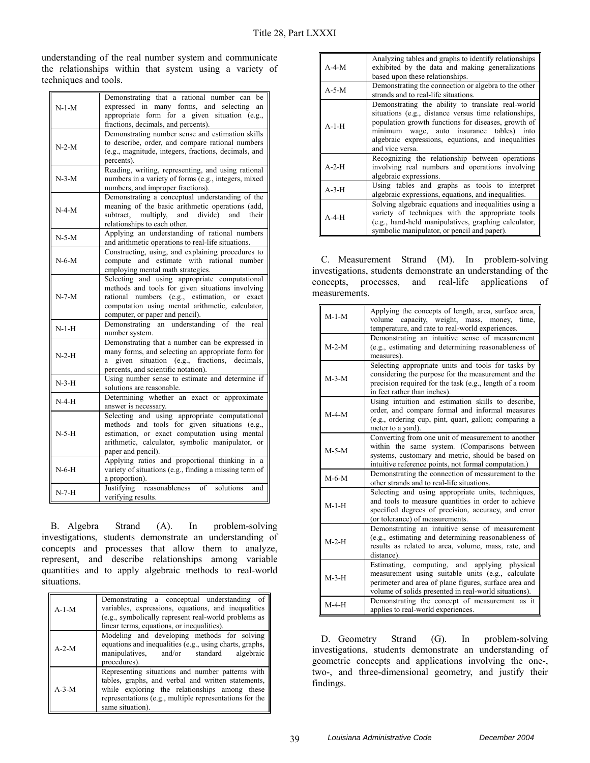understanding of the real number system and communicate the relationships within that system using a variety of techniques and tools.

|         | Demonstrating that a rational number can be                                                    |
|---------|------------------------------------------------------------------------------------------------|
| $N-1-M$ | expressed in many forms, and selecting<br>an                                                   |
|         | appropriate form for a given situation (e.g.,                                                  |
|         | fractions, decimals, and percents).                                                            |
|         | Demonstrating number sense and estimation skills                                               |
| $N-2-M$ | to describe, order, and compare rational numbers                                               |
|         | (e.g., magnitude, integers, fractions, decimals, and                                           |
|         | percents).                                                                                     |
|         | Reading, writing, representing, and using rational                                             |
| $N-3-M$ | numbers in a variety of forms (e.g., integers, mixed                                           |
|         | numbers, and improper fractions).                                                              |
|         | Demonstrating a conceptual understanding of the                                                |
| $N-4-M$ | meaning of the basic arithmetic operations (add,                                               |
|         | multiply, and divide) and<br>subtract,<br>their                                                |
|         | relationships to each other.                                                                   |
| $N-5-M$ | Applying an understanding of rational numbers                                                  |
|         | and arithmetic operations to real-life situations.                                             |
|         | Constructing, using, and explaining procedures to                                              |
| $N-6-M$ | compute and estimate with rational number                                                      |
|         | employing mental math strategies.                                                              |
|         | Selecting and using appropriate computational                                                  |
|         | methods and tools for given situations involving                                               |
| $N-7-M$ | rational numbers (e.g., estimation, or exact                                                   |
|         | computation using mental arithmetic, calculator,                                               |
|         | computer, or paper and pencil).                                                                |
| $N-1-H$ | Demonstrating an understanding of the<br>real                                                  |
|         | number system.                                                                                 |
|         | Demonstrating that a number can be expressed in                                                |
| $N-2-H$ | many forms, and selecting an appropriate form for                                              |
|         | given situation (e.g., fractions, decimals,<br>a                                               |
|         | percents, and scientific notation).                                                            |
| $N-3-H$ | Using number sense to estimate and determine if                                                |
|         | solutions are reasonable.                                                                      |
| $N-4-H$ | Determining whether an exact or approximate                                                    |
|         | answer is necessary.                                                                           |
| $N-5-H$ | Selecting and using appropriate computational<br>methods and tools for given situations (e.g., |
|         | estimation, or exact computation using mental                                                  |
|         | arithmetic, calculator, symbolic manipulator, or                                               |
|         | paper and pencil).                                                                             |
|         | Applying ratios and proportional thinking in a                                                 |
| $N-6-H$ | variety of situations (e.g., finding a missing term of                                         |
|         | a proportion).                                                                                 |
| $N-7-H$ | Justifying reasonableness of solutions<br>and                                                  |
|         | verifying results.                                                                             |
|         |                                                                                                |

B. Algebra Strand (A). In problem-solving investigations, students demonstrate an understanding of concepts and processes that allow them to analyze, represent, and describe relationships among variable quantities and to apply algebraic methods to real-world situations.

| $A-1-M$ | Demonstrating a conceptual understanding of<br>variables, expressions, equations, and inequalities<br>(e.g., symbolically represent real-world problems as<br>linear terms, equations, or inequalities).                               |
|---------|----------------------------------------------------------------------------------------------------------------------------------------------------------------------------------------------------------------------------------------|
| $A-2-M$ | Modeling and developing methods for solving<br>equations and inequalities (e.g., using charts, graphs,<br>manipulatives, and/or standard algebraic<br>procedures).                                                                     |
| $A-3-M$ | Representing situations and number patterns with<br>tables, graphs, and verbal and written statements,<br>while exploring the relationships among these<br>representations (e.g., multiple representations for the<br>same situation). |

| $A-4-M$     | Analyzing tables and graphs to identify relationships<br>exhibited by the data and making generalizations<br>based upon these relationships.                                                                                                                                            |
|-------------|-----------------------------------------------------------------------------------------------------------------------------------------------------------------------------------------------------------------------------------------------------------------------------------------|
| $A-5-M$     | Demonstrating the connection or algebra to the other<br>strands and to real-life situations.                                                                                                                                                                                            |
| $A-1-H$     | Demonstrating the ability to translate real-world<br>situations (e.g., distance versus time relationships,<br>population growth functions for diseases, growth of<br>minimum wage, auto insurance tables) into<br>algebraic expressions, equations, and inequalities<br>and vice versa. |
| $A-2-H$     | Recognizing the relationship between operations<br>involving real numbers and operations involving<br>algebraic expressions.                                                                                                                                                            |
| $A-3-H$     | Using tables and graphs as tools to interpret<br>algebraic expressions, equations, and inequalities.                                                                                                                                                                                    |
| $A - 4 - H$ | Solving algebraic equations and inequalities using a<br>variety of techniques with the appropriate tools<br>(e.g., hand-held manipulatives, graphing calculator,<br>symbolic manipulator, or pencil and paper).                                                                         |

C. Measurement Strand (M). In problem-solving investigations, students demonstrate an understanding of the concepts, processes, and real-life applications of measurements.

| $M-1-M$ | Applying the concepts of length, area, surface area,<br>volume capacity, weight, mass, money, time,<br>temperature, and rate to real-world experiences.                                                                |
|---------|------------------------------------------------------------------------------------------------------------------------------------------------------------------------------------------------------------------------|
| $M-2-M$ | Demonstrating an intuitive sense of measurement<br>(e.g., estimating and determining reasonableness of<br>measures).                                                                                                   |
| $M-3-M$ | Selecting appropriate units and tools for tasks by<br>considering the purpose for the measurement and the<br>precision required for the task (e.g., length of a room<br>in feet rather than inches).                   |
| $M-4-M$ | Using intuition and estimation skills to describe,<br>order, and compare formal and informal measures<br>(e.g., ordering cup, pint, quart, gallon; comparing a<br>meter to a yard).                                    |
| $M-5-M$ | Converting from one unit of measurement to another<br>within the same system. (Comparisons between<br>systems, customary and metric, should be based on<br>intuitive reference points, not formal computation.)        |
| $M-6-M$ | Demonstrating the connection of measurement to the<br>other strands and to real-life situations.                                                                                                                       |
| $M-1-H$ | Selecting and using appropriate units, techniques,<br>and tools to measure quantities in order to achieve<br>specified degrees of precision, accuracy, and error<br>(or tolerance) of measurements.                    |
| $M-2-H$ | Demonstrating an intuitive sense of measurement<br>(e.g., estimating and determining reasonableness of<br>results as related to area, volume, mass, rate, and<br>distance).                                            |
| $M-3-H$ | computing, and applying physical<br>Estimating,<br>measurement using suitable units (e.g., calculate<br>perimeter and area of plane figures, surface area and<br>volume of solids presented in real-world situations). |
| $M-4-H$ | Demonstrating the concept of measurement as it<br>applies to real-world experiences.                                                                                                                                   |

D. Geometry Strand (G). In problem-solving investigations, students demonstrate an understanding of geometric concepts and applications involving the one-, two-, and three-dimensional geometry, and justify their findings.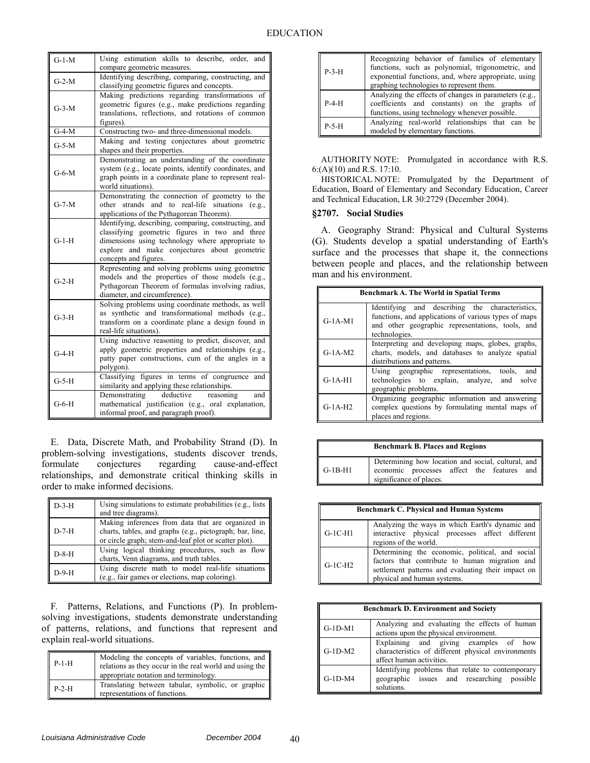| $G-1-M$ | Using estimation skills to describe, order, and<br>compare geometric measures.                                                                                                                                                       |
|---------|--------------------------------------------------------------------------------------------------------------------------------------------------------------------------------------------------------------------------------------|
| $G-2-M$ | Identifying describing, comparing, constructing, and<br>classifying geometric figures and concepts.                                                                                                                                  |
| $G-3-M$ | Making predictions regarding transformations of<br>geometric figures (e.g., make predictions regarding<br>translations, reflections, and rotations of common<br>figures).                                                            |
| $G-4-M$ | Constructing two- and three-dimensional models.                                                                                                                                                                                      |
| $G-5-M$ | Making and testing conjectures about geometric<br>shapes and their properties.                                                                                                                                                       |
| $G-6-M$ | Demonstrating an understanding of the coordinate<br>system (e.g., locate points, identify coordinates, and<br>graph points in a coordinate plane to represent real-<br>world situations).                                            |
| $G-7-M$ | Demonstrating the connection of geometry to the<br>other strands and to real-life situations (e.g.,<br>applications of the Pythagorean Theorem).                                                                                     |
| $G-1-H$ | Identifying, describing, comparing, constructing, and<br>classifying geometric figures in two and three<br>dimensions using technology where appropriate to<br>explore and make conjectures about geometric<br>concepts and figures. |
| $G-2-H$ | Representing and solving problems using geometric<br>models and the properties of those models (e.g.,<br>Pythagorean Theorem of formulas involving radius,<br>diameter, and circumference).                                          |
| $G-3-H$ | Solving problems using coordinate methods, as well<br>as synthetic and transformational methods (e.g.,<br>transform on a coordinate plane a design found in<br>real-life situations).                                                |
| $G-4-H$ | Using inductive reasoning to predict, discover, and<br>apply geometric properties and relationships (e.g.,<br>patty paper constructions, cum of the angles in a<br>polygon).                                                         |
| $G-5-H$ | Classifying figures in terms of congruence<br>and<br>similarity and applying these relationships.                                                                                                                                    |
| $G-6-H$ | deductive reasoning<br>Demonstrating<br>and<br>mathematical justification (e.g., oral explanation,<br>informal proof, and paragraph proof).                                                                                          |

E. Data, Discrete Math, and Probability Strand (D). In problem-solving investigations, students discover trends, formulate conjectures regarding cause-and-effect relationships, and demonstrate critical thinking skills in order to make informed decisions.

| $D-3-H$ | Using simulations to estimate probabilities (e.g., lists<br>and tree diagrams).                                                                                        |
|---------|------------------------------------------------------------------------------------------------------------------------------------------------------------------------|
| $D-7-H$ | Making inferences from data that are organized in<br>charts, tables, and graphs (e.g., pictograph; bar, line,<br>or circle graph; stem-and-leaf plot or scatter plot). |
| $D-8-H$ | Using logical thinking procedures, such as flow<br>charts, Venn diagrams, and truth tables.                                                                            |
| $D-9-H$ | Using discrete math to model real-life situations<br>(e.g., fair games or elections, map coloring).                                                                    |

F. Patterns, Relations, and Functions (P). In problemsolving investigations, students demonstrate understanding of patterns, relations, and functions that represent and explain real-world situations.

| $P-1-H$ | Modeling the concepts of variables, functions, and<br>relations as they occur in the real world and using the<br>appropriate notation and terminology. |
|---------|--------------------------------------------------------------------------------------------------------------------------------------------------------|
| $P-2-H$ | Translating between tabular, symbolic, or graphic<br>representations of functions.                                                                     |

| $P-3-H$ | Recognizing behavior of families of elementary<br>functions, such as polynomial, trigonometric, and<br>exponential functions, and, where appropriate, using<br>graphing technologies to represent them. |
|---------|---------------------------------------------------------------------------------------------------------------------------------------------------------------------------------------------------------|
| $P-4-H$ | Analyzing the effects of changes in parameters (e.g.,<br>coefficients and constants) on the graphs of<br>functions, using technology whenever possible.                                                 |
| $P-5-H$ | Analyzing real-world relationships that can be<br>modeled by elementary functions.                                                                                                                      |

AUTHORITY NOTE: Promulgated in accordance with R.S. 6:(A)(10) and R.S. 17:10.

HISTORICAL NOTE: Promulgated by the Department of Education, Board of Elementary and Secondary Education, Career and Technical Education, LR 30:2729 (December 2004).

### **§2707. Social Studies**

A. Geography Strand: Physical and Cultural Systems (G). Students develop a spatial understanding of Earth's surface and the processes that shape it, the connections between people and places, and the relationship between man and his environment.

| <b>Benchmark A. The World in Spatial Terms</b> |                                                                                                                                                                              |
|------------------------------------------------|------------------------------------------------------------------------------------------------------------------------------------------------------------------------------|
| $G-1A-M1$                                      | Identifying and describing the characteristics,<br>functions, and applications of various types of maps<br>and other geographic representations, tools, and<br>technologies. |
| $G-1A-M2$                                      | Interpreting and developing maps, globes, graphs,<br>charts, models, and databases to analyze spatial<br>distributions and patterns.                                         |
| $G-1A-H1$                                      | Using geographic representations, tools, and<br>technologies to explain, analyze, and solve<br>geographic problems.                                                          |
| $G-1A-H2$                                      | Organizing geographic information and answering<br>complex questions by formulating mental maps of<br>places and regions.                                                    |

| <b>Benchmark B. Places and Regions</b> |                                                                                                                             |
|----------------------------------------|-----------------------------------------------------------------------------------------------------------------------------|
| $G-1B-H1$                              | Determining how location and social, cultural, and<br>economic processes affect the features and<br>significance of places. |

| <b>Benchmark C. Physical and Human Systems</b> |                                                                                                                                                                                        |
|------------------------------------------------|----------------------------------------------------------------------------------------------------------------------------------------------------------------------------------------|
| $G-1C-H1$                                      | Analyzing the ways in which Earth's dynamic and<br>interactive physical processes affect different<br>regions of the world.                                                            |
| $G-1C-H2$                                      | Determining the economic, political, and social<br>factors that contribute to human migration and<br>settlement patterns and evaluating their impact on<br>physical and human systems. |

| <b>Benchmark D. Environment and Society</b> |                                                                                                                         |
|---------------------------------------------|-------------------------------------------------------------------------------------------------------------------------|
| $G-1D-M1$                                   | Analyzing and evaluating the effects of human<br>actions upon the physical environment.                                 |
| $G-1D-M2$                                   | Explaining and giving examples of how<br>characteristics of different physical environments<br>affect human activities. |
| $G-1D-M4$                                   | Identifying problems that relate to contemporary<br>geographic issues and researching possible<br>solutions.            |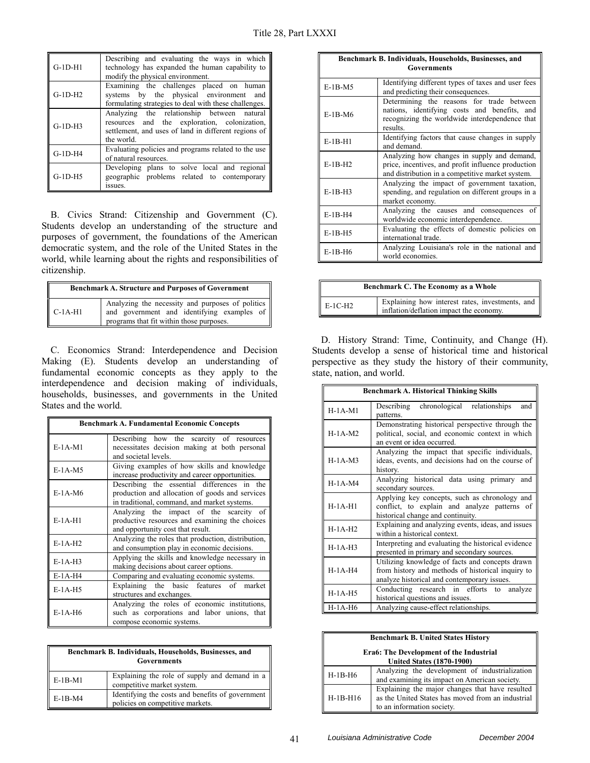| $G-1D-H1$  | Describing and evaluating the ways in which<br>technology has expanded the human capability to<br>modify the physical environment.                               |
|------------|------------------------------------------------------------------------------------------------------------------------------------------------------------------|
| $G-1D-H2$  | Examining the challenges placed on human<br>systems by the physical environment and<br>formulating strategies to deal with these challenges.                     |
| $G-1D-H3$  | Analyzing the relationship between natural<br>resources and the exploration, colonization,<br>settlement, and uses of land in different regions of<br>the world. |
| $G-1D-2H4$ | Evaluating policies and programs related to the use<br>of natural resources.                                                                                     |
| $G-1D-H5$  | Developing plans to solve local and regional<br>geographic problems related to contemporary<br>issues.                                                           |

B. Civics Strand: Citizenship and Government (C). Students develop an understanding of the structure and purposes of government, the foundations of the American democratic system, and the role of the United States in the world, while learning about the rights and responsibilities of citizenship.

| <b>Benchmark A. Structure and Purposes of Government</b> |                                                                                                                                               |
|----------------------------------------------------------|-----------------------------------------------------------------------------------------------------------------------------------------------|
| $C-1A-H1$                                                | Analyzing the necessity and purposes of politics   <br>and government and identifying examples of<br>programs that fit within those purposes. |

C. Economics Strand: Interdependence and Decision Making (E). Students develop an understanding of fundamental economic concepts as they apply to the interdependence and decision making of individuals, households, businesses, and governments in the United States and the world.

| <b>Benchmark A. Fundamental Economic Concepts</b> |                                                                                                                                                |
|---------------------------------------------------|------------------------------------------------------------------------------------------------------------------------------------------------|
| $E-1A-M1$                                         | Describing how the scarcity of resources<br>necessitates decision making at both personal<br>and societal levels.                              |
| $E-1A-M5$                                         | Giving examples of how skills and knowledge<br>increase productivity and career opportunities.                                                 |
| $E-1A-M6$                                         | Describing the essential differences in the<br>production and allocation of goods and services<br>in traditional, command, and market systems. |
| $E-1A-H1$                                         | Analyzing the impact of the scarcity of<br>productive resources and examining the choices<br>and opportunity cost that result.                 |
| $E-1A-H2$                                         | Analyzing the roles that production, distribution,<br>and consumption play in economic decisions.                                              |
| $E-1A-H3$                                         | Applying the skills and knowledge necessary in<br>making decisions about career options.                                                       |
| $E-1A-H4$                                         | Comparing and evaluating economic systems.                                                                                                     |
| $E-1A-H5$                                         | Explaining the basic features of market<br>structures and exchanges.                                                                           |
| $E-1A-H6$                                         | Analyzing the roles of economic institutions,<br>such as corporations and labor unions, that<br>compose economic systems.                      |

| Benchmark B. Individuals, Households, Businesses, and<br><b>Governments</b> |                                                                                      |
|-----------------------------------------------------------------------------|--------------------------------------------------------------------------------------|
| $E-1B-M1$                                                                   | Explaining the role of supply and demand in a<br>competitive market system.          |
| $E-1B-M4$                                                                   | Identifying the costs and benefits of government<br>policies on competitive markets. |

| Benchmark B. Individuals, Households, Businesses, and<br><b>Governments</b> |                                                                                                                                                         |  |
|-----------------------------------------------------------------------------|---------------------------------------------------------------------------------------------------------------------------------------------------------|--|
| $E-1B-M5$                                                                   | Identifying different types of taxes and user fees<br>and predicting their consequences.                                                                |  |
| $E-1B-M6$                                                                   | Determining the reasons for trade between<br>nations, identifying costs and benefits, and<br>recognizing the worldwide interdependence that<br>results. |  |
| $E-1B-H1$                                                                   | Identifying factors that cause changes in supply<br>and demand.                                                                                         |  |
| $E-1B-H2$                                                                   | Analyzing how changes in supply and demand,<br>price, incentives, and profit influence production<br>and distribution in a competitive market system.   |  |
| $E-1B-H3$                                                                   | Analyzing the impact of government taxation,<br>spending, and regulation on different groups in a<br>market economy.                                    |  |
| $E-1B-H4$                                                                   | Analyzing the causes and consequences<br>of<br>worldwide economic interdependence.                                                                      |  |
| $E-1B-H5$                                                                   | Evaluating the effects of domestic policies on<br>international trade.                                                                                  |  |
| $E-1B-H6$                                                                   | Analyzing Louisiana's role in the national and<br>world economies.                                                                                      |  |

| Benchmark C. The Economy as a Whole |                                                                                            |  |
|-------------------------------------|--------------------------------------------------------------------------------------------|--|
| E-1C-H2                             | Explaining how interest rates, investments, and<br>inflation/deflation impact the economy. |  |

D. History Strand: Time, Continuity, and Change (H). Students develop a sense of historical time and historical perspective as they study the history of their community, state, nation, and world.

| <b>Benchmark A. Historical Thinking Skills</b> |                                                                                                                                                     |  |
|------------------------------------------------|-----------------------------------------------------------------------------------------------------------------------------------------------------|--|
| $H-1A-M1$                                      | Describing chronological relationships<br>and<br>patterns.                                                                                          |  |
| $H-1A-M2$                                      | Demonstrating historical perspective through the<br>political, social, and economic context in which<br>an event or idea occurred.                  |  |
| $H-1A-M3$                                      | Analyzing the impact that specific individuals,<br>ideas, events, and decisions had on the course of<br>history.                                    |  |
| $H-1A-M4$                                      | Analyzing historical data using primary<br>and<br>secondary sources.                                                                                |  |
| $H-1A-H1$                                      | Applying key concepts, such as chronology and<br>conflict, to explain and analyze patterns of<br>historical change and continuity.                  |  |
| $H-1A-H2$                                      | Explaining and analyzing events, ideas, and issues<br>within a historical context.                                                                  |  |
| $H-1A-H3$                                      | Interpreting and evaluating the historical evidence<br>presented in primary and secondary sources.                                                  |  |
| $H-1A-H4$                                      | Utilizing knowledge of facts and concepts drawn<br>from history and methods of historical inquiry to<br>analyze historical and contemporary issues. |  |
| $H-1A-H5$                                      | Conducting research in efforts to<br>analyze<br>historical questions and issues.                                                                    |  |
| $H-1A-H6$                                      | Analyzing cause-effect relationships.                                                                                                               |  |

| <b>Benchmark B. United States History</b>                                   |                                                                                                                                    |  |
|-----------------------------------------------------------------------------|------------------------------------------------------------------------------------------------------------------------------------|--|
| Era6: The Development of the Industrial<br><b>United States (1870-1900)</b> |                                                                                                                                    |  |
| $H-1B-H6$                                                                   | Analyzing the development of industrialization<br>and examining its impact on American society.                                    |  |
| $H-1B-H16$                                                                  | Explaining the major changes that have resulted<br>as the United States has moved from an industrial<br>to an information society. |  |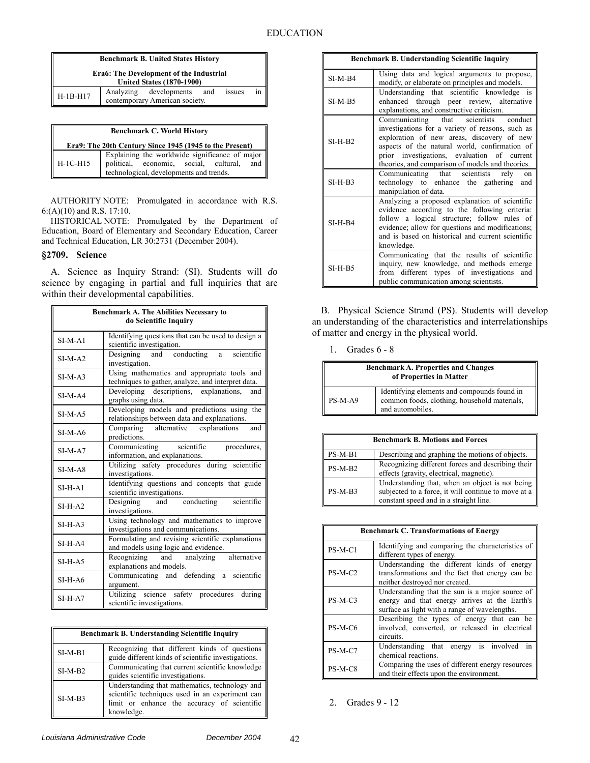| <b>Benchmark B. United States History</b>                                          |  |                                                              |  |        |    |
|------------------------------------------------------------------------------------|--|--------------------------------------------------------------|--|--------|----|
| <b>Era6: The Development of the Industrial</b><br><b>United States (1870-1900)</b> |  |                                                              |  |        |    |
| $H-1B-H17$                                                                         |  | Analyzing developments and<br>contemporary American society. |  | issues | 1n |

| <b>Benchmark C. World History</b><br>Era9: The 20th Century Since 1945 (1945 to the Present) |                                                                                                                                            |  |
|----------------------------------------------------------------------------------------------|--------------------------------------------------------------------------------------------------------------------------------------------|--|
| $H-1C-H15$                                                                                   | Explaining the worldwide significance of major<br>political, economic, social, cultural,<br>and<br>technological, developments and trends. |  |

HISTORICAL NOTE: Promulgated by the Department of Education, Board of Elementary and Secondary Education, Career and Technical Education, LR 30:2731 (December 2004).

### **§2709. Science**

A. Science as Inquiry Strand: (SI). Students will *do*  science by engaging in partial and full inquiries that are within their developmental capabilities.

| <b>Benchmark A. The Abilities Necessary to</b><br>do Scientific Inquiry |                                                                                                   |  |
|-------------------------------------------------------------------------|---------------------------------------------------------------------------------------------------|--|
| $SI-M-A1$                                                               | Identifying questions that can be used to design a<br>scientific investigation.                   |  |
| $SI-M-A2$                                                               | scientific<br>Designing and conducting<br>a —<br>investigation.                                   |  |
| $SI-M-A3$                                                               | Using mathematics and appropriate tools and<br>techniques to gather, analyze, and interpret data. |  |
| $SI-M-A4$                                                               | Developing descriptions, explanations, and<br>graphs using data.                                  |  |
| $SI-M-A5$                                                               | Developing models and predictions using the<br>relationships between data and explanations.       |  |
| $SI-M-A6$                                                               | Comparing alternative explanations<br>and<br>predictions.                                         |  |
| $SI-M-A7$                                                               | Communicating scientific<br>procedures,<br>information, and explanations.                         |  |
| $SI-M-AS$                                                               | Utilizing safety procedures during scientific<br>investigations.                                  |  |
| $SI-H-A1$                                                               | Identifying questions and concepts that guide<br>scientific investigations.                       |  |
| $SI-H-A2$                                                               | Designing and conducting scientific<br>investigations.                                            |  |
| $SI-H-A3$                                                               | Using technology and mathematics to improve<br>investigations and communications.                 |  |
| $SI-H-A4$                                                               | Formulating and revising scientific explanations<br>and models using logic and evidence.          |  |
| $SI-H-A5$                                                               | and analyzing alternative<br>Recognizing<br>explanations and models.                              |  |
| $SI-H-A6$                                                               | Communicating and defending a scientific<br>argument.                                             |  |
| $SI-H-A7$                                                               | Utilizing science safety procedures<br>during<br>scientific investigations.                       |  |

| Benchmark B. Understanding Scientific Inquiry |                                                                                                                                                                |  |
|-----------------------------------------------|----------------------------------------------------------------------------------------------------------------------------------------------------------------|--|
| $SI-M-B1$                                     | Recognizing that different kinds of questions<br>guide different kinds of scientific investigations.                                                           |  |
| $SI-M-B2$                                     | Communicating that current scientific knowledge<br>guides scientific investigations.                                                                           |  |
| $SI-M-B3$                                     | Understanding that mathematics, technology and<br>scientific techniques used in an experiment can<br>limit or enhance the accuracy of scientific<br>knowledge. |  |

| Benchmark B. Understanding Scientific Inquiry |                                                                                                                                                                                                                                                                                             |  |
|-----------------------------------------------|---------------------------------------------------------------------------------------------------------------------------------------------------------------------------------------------------------------------------------------------------------------------------------------------|--|
| $SI-M-B4$                                     | Using data and logical arguments to propose,<br>modify, or elaborate on principles and models.                                                                                                                                                                                              |  |
| $SI-M-B5$                                     | Understanding that scientific knowledge is<br>enhanced through peer review, alternative<br>explanations, and constructive criticism.                                                                                                                                                        |  |
| $SI-H-B2$                                     | Communicating that scientists conduct<br>investigations for a variety of reasons, such as<br>exploration of new areas, discovery of new<br>aspects of the natural world, confirmation of<br>prior investigations, evaluation of current<br>theories, and comparison of models and theories. |  |
| $SI-H-B3$                                     | Communicating that scientists rely on<br>technology to enhance the gathering and<br>manipulation of data.                                                                                                                                                                                   |  |
| $SI-H-B4$                                     | Analyzing a proposed explanation of scientific<br>evidence according to the following criteria:<br>follow a logical structure; follow rules of<br>evidence; allow for questions and modifications;<br>and is based on historical and current scientific<br>knowledge.                       |  |
| $SI-H-B5$                                     | Communicating that the results of scientific<br>inquiry, new knowledge, and methods emerge<br>from different types of investigations and<br>public communication among scientists.                                                                                                          |  |

B. Physical Science Strand (PS). Students will develop an understanding of the characteristics and interrelationships of matter and energy in the physical world.

1. Grades 6 - 8

| <b>Benchmark A. Properties and Changes</b><br>of Properties in Matter |                                                                                                                 |  |
|-----------------------------------------------------------------------|-----------------------------------------------------------------------------------------------------------------|--|
| PS-M-A9                                                               | Identifying elements and compounds found in<br>common foods, clothing, household materials,<br>and automobiles. |  |

| <b>Benchmark B. Motions and Forces</b> |                                                                                                                                                  |  |
|----------------------------------------|--------------------------------------------------------------------------------------------------------------------------------------------------|--|
| $PS-M-B1$                              | Describing and graphing the motions of objects.                                                                                                  |  |
| $PS-M-B2$                              | Recognizing different forces and describing their  <br>effects (gravity, electrical, magnetic).                                                  |  |
| $PS-M-B3$                              | Understanding that, when an object is not being<br>subjected to a force, it will continue to move at a<br>constant speed and in a straight line. |  |

| <b>Benchmark C. Transformations of Energy</b> |                                                                                                                                                   |  |
|-----------------------------------------------|---------------------------------------------------------------------------------------------------------------------------------------------------|--|
| $PS-M-C1$                                     | Identifying and comparing the characteristics of<br>different types of energy.                                                                    |  |
| $PS-M-C2$                                     | Understanding the different kinds of energy<br>transformations and the fact that energy can be<br>neither destroyed nor created.                  |  |
| $PS-M-C3$                                     | Understanding that the sun is a major source of<br>energy and that energy arrives at the Earth's<br>surface as light with a range of wavelengths. |  |
| $PS-M-C6$                                     | Describing the types of energy that can be<br>involved, converted, or released in electrical<br>circuits.                                         |  |
| $PS-M-C7$                                     | Understanding that energy is involved in<br>chemical reactions.                                                                                   |  |
| PS-M-C8                                       | Comparing the uses of different energy resources<br>and their effects upon the environment.                                                       |  |

2. Grades 9 - 12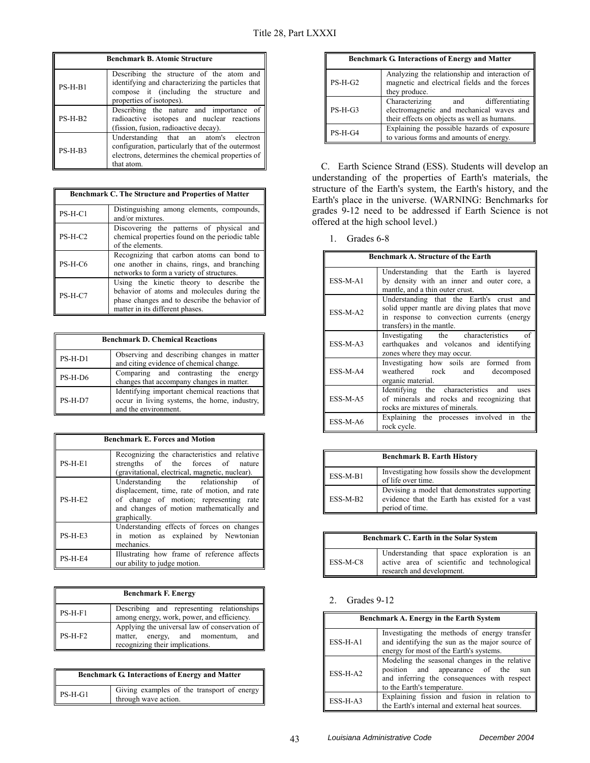| <b>Benchmark B. Atomic Structure</b> |                                                                                                                                                                      |  |
|--------------------------------------|----------------------------------------------------------------------------------------------------------------------------------------------------------------------|--|
| $PS-H-B1$                            | Describing the structure of the atom and<br>identifying and characterizing the particles that<br>compose it (including the structure and<br>properties of isotopes). |  |
| $PS-H-B2$                            | Describing the nature and importance of<br>radioactive isotopes and nuclear reactions<br>(fission, fusion, radioactive decay).                                       |  |
| $PS-H-B3$                            | Understanding that an atom's electron<br>configuration, particularly that of the outermost<br>electrons, determines the chemical properties of<br>that atom.         |  |

| <b>Benchmark C. The Structure and Properties of Matter</b> |                                                                                                                                                                            |  |
|------------------------------------------------------------|----------------------------------------------------------------------------------------------------------------------------------------------------------------------------|--|
| $PS-H-C1$                                                  | Distinguishing among elements, compounds,<br>and/or mixtures.                                                                                                              |  |
| $PS-H-C2$                                                  | Discovering the patterns of physical and<br>chemical properties found on the periodic table<br>of the elements.                                                            |  |
| PS-H-C6                                                    | Recognizing that carbon atoms can bond to<br>one another in chains, rings, and branching<br>networks to form a variety of structures.                                      |  |
| $PS-H-C7$                                                  | Using the kinetic theory to describe the<br>behavior of atoms and molecules during the<br>phase changes and to describe the behavior of<br>matter in its different phases. |  |

| <b>Benchmark D. Chemical Reactions</b> |                                                                                                                       |  |  |
|----------------------------------------|-----------------------------------------------------------------------------------------------------------------------|--|--|
| $PS-H-D1$                              | Observing and describing changes in matter<br>and citing evidence of chemical change.                                 |  |  |
| PS-H-D6                                | Comparing and contrasting the energy<br>changes that accompany changes in matter.                                     |  |  |
| PS-H-D7                                | Identifying important chemical reactions that<br>occur in living systems, the home, industry,<br>and the environment. |  |  |

| <b>Benchmark E. Forces and Motion</b> |                                                                                                                                                                                         |  |
|---------------------------------------|-----------------------------------------------------------------------------------------------------------------------------------------------------------------------------------------|--|
| $PS-H-E1$                             | Recognizing the characteristics and relative<br>strengths of the forces of nature<br>(gravitational, electrical, magnetic, nuclear).                                                    |  |
| $PS-H-E2$                             | Understanding the relationship of<br>displacement, time, rate of motion, and rate<br>of change of motion; representing rate<br>and changes of motion mathematically and<br>graphically. |  |
| $PS-H-E3$                             | Understanding effects of forces on changes<br>in motion as explained by Newtonian<br>mechanics.                                                                                         |  |
| $PS-H-E4$                             | Illustrating how frame of reference affects<br>our ability to judge motion.                                                                                                             |  |

| <b>Benchmark F. Energy</b> |                                                                                                                          |  |
|----------------------------|--------------------------------------------------------------------------------------------------------------------------|--|
| $PS-H-F1$                  | Describing and representing relationships<br>among energy, work, power, and efficiency.                                  |  |
| $PS-H-F2$                  | Applying the universal law of conservation of<br>matter, energy, and momentum,<br>and<br>recognizing their implications. |  |

| <b>Benchmark G. Interactions of Energy and Matter</b> |                                                                    |  |
|-------------------------------------------------------|--------------------------------------------------------------------|--|
| $PS-H-G1$                                             | Giving examples of the transport of energy<br>through wave action. |  |

| <b>Benchmark G. Interactions of Energy and Matter</b> |                                                                                                                                  |  |  |
|-------------------------------------------------------|----------------------------------------------------------------------------------------------------------------------------------|--|--|
| $PS-H-G2$                                             | Analyzing the relationship and interaction of<br>magnetic and electrical fields and the forces<br>they produce.                  |  |  |
| $PS-H-G3$                                             | Characterizing<br>and differentiating<br>electromagnetic and mechanical waves and<br>their effects on objects as well as humans. |  |  |
| $PS-H-G4$                                             | Explaining the possible hazards of exposure<br>to various forms and amounts of energy.                                           |  |  |

C. Earth Science Strand (ESS). Students will develop an understanding of the properties of Earth's materials, the structure of the Earth's system, the Earth's history, and the Earth's place in the universe. (WARNING: Benchmarks for grades 9-12 need to be addressed if Earth Science is not offered at the high school level.)

1. Grades 6-8

| Benchmark A. Structure of the Earth |                                                                                                                                                                       |  |
|-------------------------------------|-----------------------------------------------------------------------------------------------------------------------------------------------------------------------|--|
| ESS-M-A1                            | Understanding that the Earth is layered<br>by density with an inner and outer core, a<br>mantle, and a thin outer crust.                                              |  |
| ESS-M-A2                            | Understanding that the Earth's crust and<br>solid upper mantle are diving plates that move<br>in response to convection currents (energy<br>transfers) in the mantle. |  |
| ESS-M-A3                            | Investigating the characteristics of<br>earthquakes and volcanos and identifying<br>zones where they may occur.                                                       |  |
| ESS-M-A4                            | Investigating how soils are formed from<br>weathered rock and decomposed<br>organic material.                                                                         |  |
| ESS-M-A5                            | Identifying the characteristics and uses<br>of minerals and rocks and recognizing that<br>rocks are mixtures of minerals.                                             |  |
| ESS-M-A6                            | Explaining the processes involved in the<br>rock cycle.                                                                                                               |  |

| <b>Benchmark B. Earth History</b> |                                                                                                                    |  |
|-----------------------------------|--------------------------------------------------------------------------------------------------------------------|--|
| ESS-M-B1                          | Investigating how fossils show the development<br>of life over time.                                               |  |
| ESS-M-B2                          | Devising a model that demonstrates supporting<br>evidence that the Earth has existed for a vast<br>period of time. |  |

| Benchmark C. Earth in the Solar System |                                                                                                                        |  |
|----------------------------------------|------------------------------------------------------------------------------------------------------------------------|--|
| ESS-M-C8                               | Understanding that space exploration is an<br>active area of scientific and technological<br>research and development. |  |

### 2. Grades 9-12

| Benchmark A. Energy in the Earth System |                                                                                                                                                                   |  |
|-----------------------------------------|-------------------------------------------------------------------------------------------------------------------------------------------------------------------|--|
| ESS-H-A1                                | Investigating the methods of energy transfer<br>and identifying the sun as the major source of $\parallel$<br>energy for most of the Earth's systems.             |  |
| $ESS-H-A2$                              | Modeling the seasonal changes in the relative<br>position and appearance of the sun<br>and inferring the consequences with respect<br>to the Earth's temperature. |  |
| ESS-H-A3                                | Explaining fission and fusion in relation to<br>the Earth's internal and external heat sources.                                                                   |  |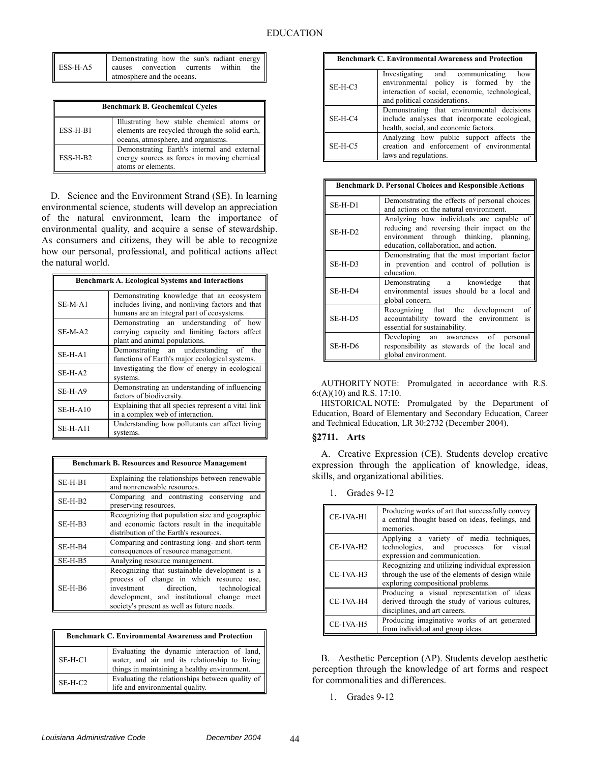|          | Demonstrating how the sun's radiant energy |     |
|----------|--------------------------------------------|-----|
| ESS-H-A5 | causes convection currents within          | the |
|          | atmosphere and the oceans.                 |     |

| <b>Benchmark B. Geochemical Cycles</b> |                                                                                                                                   |
|----------------------------------------|-----------------------------------------------------------------------------------------------------------------------------------|
| ESS-H-B1                               | Illustrating how stable chemical atoms or<br>elements are recycled through the solid earth,<br>oceans, atmosphere, and organisms. |
| $ESS-H-B2$                             | Demonstrating Earth's internal and external<br>energy sources as forces in moving chemical<br>atoms or elements.                  |

D. Science and the Environment Strand (SE). In learning environmental science, students will develop an appreciation of the natural environment, learn the importance of environmental quality, and acquire a sense of stewardship. As consumers and citizens, they will be able to recognize how our personal, professional, and political actions affect the natural world.

| <b>Benchmark A. Ecological Systems and Interactions</b> |                                                                                                                                            |
|---------------------------------------------------------|--------------------------------------------------------------------------------------------------------------------------------------------|
| $SE-M-A1$                                               | Demonstrating knowledge that an ecosystem<br>includes living, and nonliving factors and that<br>humans are an integral part of ecosystems. |
| $SE-M-A2$                                               | Demonstrating an understanding of how<br>carrying capacity and limiting factors affect<br>plant and animal populations.                    |
| $SE-H-A1$                                               | Demonstrating an understanding of the<br>functions of Earth's major ecological systems.                                                    |
| $SE-H-A2$                                               | Investigating the flow of energy in ecological<br>systems.                                                                                 |
| SE-H-A9                                                 | Demonstrating an understanding of influencing<br>factors of biodiversity.                                                                  |
| $SE-H-A10$                                              | Explaining that all species represent a vital link<br>in a complex web of interaction.                                                     |
| $SE-H-A11$                                              | Understanding how pollutants can affect living<br>systems.                                                                                 |

| <b>Benchmark B. Resources and Resource Management</b> |                                                                                                                                                                                                                              |
|-------------------------------------------------------|------------------------------------------------------------------------------------------------------------------------------------------------------------------------------------------------------------------------------|
| $SE-H-B1$                                             | Explaining the relationships between renewable<br>and nonrenewable resources.                                                                                                                                                |
| $SE-H-B2$                                             | Comparing and contrasting conserving<br>and<br>preserving resources.                                                                                                                                                         |
| $SE-H-B3$                                             | Recognizing that population size and geographic<br>and economic factors result in the inequitable<br>distribution of the Earth's resources.                                                                                  |
| $SE-H-B4$                                             | Comparing and contrasting long- and short-term<br>consequences of resource management.                                                                                                                                       |
| SE-H-B5                                               | Analyzing resource management.                                                                                                                                                                                               |
| SE-H-B6                                               | Recognizing that sustainable development is a<br>process of change in which resource use,<br>investment direction, technological<br>development, and institutional change meet<br>society's present as well as future needs. |

| <b>Benchmark C. Environmental Awareness and Protection</b> |                                                                                                                                              |
|------------------------------------------------------------|----------------------------------------------------------------------------------------------------------------------------------------------|
| $SE-H-C1$                                                  | Evaluating the dynamic interaction of land,<br>water, and air and its relationship to living<br>things in maintaining a healthy environment. |
| $SE-H-C2$                                                  | Evaluating the relationships between quality of<br>life and environmental quality.                                                           |

| <b>Benchmark C. Environmental Awareness and Protection</b> |                                                                                                                                                                  |
|------------------------------------------------------------|------------------------------------------------------------------------------------------------------------------------------------------------------------------|
| $SE-H-C3$                                                  | Investigating and communicating how<br>environmental policy is formed by the<br>interaction of social, economic, technological,<br>and political considerations. |
| $SE-H-C4$                                                  | Demonstrating that environmental decisions<br>include analyses that incorporate ecological,<br>health, social, and economic factors.                             |
| $SE-H-C5$                                                  | Analyzing how public support affects the<br>creation and enforcement of environmental<br>laws and regulations.                                                   |

| <b>Benchmark D. Personal Choices and Responsible Actions</b> |                                                                                                                                                                            |
|--------------------------------------------------------------|----------------------------------------------------------------------------------------------------------------------------------------------------------------------------|
| $SE-H-D1$                                                    | Demonstrating the effects of personal choices<br>and actions on the natural environment.                                                                                   |
| $SE-H-D2$                                                    | Analyzing how individuals are capable of<br>reducing and reversing their impact on the<br>environment through thinking, planning,<br>education, collaboration, and action. |
| $SE-H-D3$                                                    | Demonstrating that the most important factor<br>in prevention and control of pollution is<br>education.                                                                    |
| SE-H-D4                                                      | Demonstrating a knowledge<br>that<br>environmental issues should be a local and<br>global concern.                                                                         |
| SE-H-D5                                                      | of<br>Recognizing that the development<br>accountability toward the environment<br>is<br>essential for sustainability.                                                     |
| SE-H-D6                                                      | Developing an awareness of personal<br>responsibility as stewards of the local and<br>global environment.                                                                  |

AUTHORITY NOTE: Promulgated in accordance with R.S. 6:(A)(10) and R.S. 17:10.

HISTORICAL NOTE: Promulgated by the Department of Education, Board of Elementary and Secondary Education, Career and Technical Education, LR 30:2732 (December 2004).

### **§2711. Arts**

A. Creative Expression (CE). Students develop creative expression through the application of knowledge, ideas, skills, and organizational abilities.

1. Grades 9-12

| CE-1VA-H1   | Producing works of art that successfully convey<br>a central thought based on ideas, feelings, and<br>memories.                         |
|-------------|-----------------------------------------------------------------------------------------------------------------------------------------|
| CE-1VA-H2   | Applying a variety of media techniques,<br>technologies, and processes for visual<br>expression and communication.                      |
| $CE-1VA-H3$ | Recognizing and utilizing individual expression<br>through the use of the elements of design while<br>exploring compositional problems. |
| CE-1VA-H4   | Producing a visual representation of ideas<br>derived through the study of various cultures,<br>disciplines, and art careers.           |
| CE-1VA-H5   | Producing imaginative works of art generated<br>from individual and group ideas.                                                        |

B. Aesthetic Perception (AP). Students develop aesthetic perception through the knowledge of art forms and respect for commonalities and differences.

1. Grades 9-12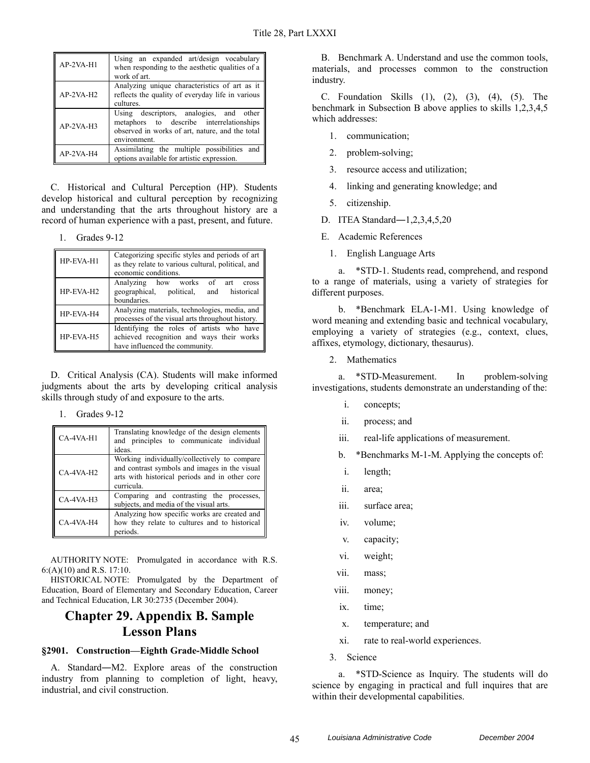| $AP-2VA-H1$ | Using an expanded art/design vocabulary<br>when responding to the aesthetic qualities of a<br>work of art.                                             |
|-------------|--------------------------------------------------------------------------------------------------------------------------------------------------------|
| $AP-2VA-H2$ | Analyzing unique characteristics of art as it<br>reflects the quality of everyday life in various<br>cultures.                                         |
| $AP-2VA-H3$ | Using descriptors, analogies, and other<br>metaphors to describe interrelationships<br>observed in works of art, nature, and the total<br>environment. |
| AP-2VA-H4   | Assimilating the multiple possibilities and<br>options available for artistic expression.                                                              |

C. Historical and Cultural Perception (HP). Students develop historical and cultural perception by recognizing and understanding that the arts throughout history are a record of human experience with a past, present, and future.

1. Grades 9-12

| HP-EVA-H1 | Categorizing specific styles and periods of art<br>as they relate to various cultural, political, and<br>economic conditions. |
|-----------|-------------------------------------------------------------------------------------------------------------------------------|
| HP-EVA-H2 | Analyzing how works of art<br>cross<br>geographical, political, and historical<br>boundaries.                                 |
| HP-EVA-H4 | Analyzing materials, technologies, media, and<br>processes of the visual arts throughout history.                             |
| HP-EVA-H5 | Identifying the roles of artists who have<br>achieved recognition and ways their works<br>have influenced the community.      |

D. Critical Analysis (CA). Students will make informed judgments about the arts by developing critical analysis skills through study of and exposure to the arts.

| Grades 9-12 |  |
|-------------|--|
|-------------|--|

| CA-4VA-H1   | Translating knowledge of the design elements<br>and principles to communicate individual<br>ideas.                                                            |
|-------------|---------------------------------------------------------------------------------------------------------------------------------------------------------------|
| CA-4VA-H2   | Working individually/collectively to compare<br>and contrast symbols and images in the visual<br>arts with historical periods and in other core<br>curricula. |
| $CA-4VA-H3$ | Comparing and contrasting the processes,<br>subjects, and media of the visual arts.                                                                           |
| CA-4VA-H4   | Analyzing how specific works are created and<br>how they relate to cultures and to historical<br>periods.                                                     |

AUTHORITY NOTE: Promulgated in accordance with R.S. 6:(A)(10) and R.S. 17:10.

HISTORICAL NOTE: Promulgated by the Department of Education, Board of Elementary and Secondary Education, Career and Technical Education, LR 30:2735 (December 2004).

# **Chapter 29. Appendix B. Sample Lesson Plans**

### **§2901. Construction—Eighth Grade-Middle School**

A. Standard―M2. Explore areas of the construction industry from planning to completion of light, heavy, industrial, and civil construction.

B. Benchmark A. Understand and use the common tools, materials, and processes common to the construction industry.

C. Foundation Skills (1), (2), (3), (4), (5). The benchmark in Subsection B above applies to skills 1,2,3,4,5 which addresses:

- 1. communication;
- 2. problem-solving;
- 3. resource access and utilization;
- 4. linking and generating knowledge; and
- 5. citizenship.
- D. ITEA Standard―1,2,3,4,5,20
- E. Academic References
	- 1. English Language Arts

a. \*STD-1. Students read, comprehend, and respond to a range of materials, using a variety of strategies for different purposes.

b. \*Benchmark ELA-1-M1. Using knowledge of word meaning and extending basic and technical vocabulary, employing a variety of strategies (e.g., context, clues, affixes, etymology, dictionary, thesaurus).

2. Mathematics

a. \*STD-Measurement. In problem-solving investigations, students demonstrate an understanding of the:

- i. concepts;
- ii. process; and
- iii. real-life applications of measurement.
- b. \*Benchmarks M-1-M. Applying the concepts of:
- i. length;
- ii. area;
- iii. surface area;
- iv. volume;
- v. capacity;
- vi. weight;
- vii. mass;
- viii. money;
- ix. time;
- x. temperature; and
- xi. rate to real-world experiences.
- 3. Science

a. \*STD-Science as Inquiry. The students will do science by engaging in practical and full inquires that are within their developmental capabilities.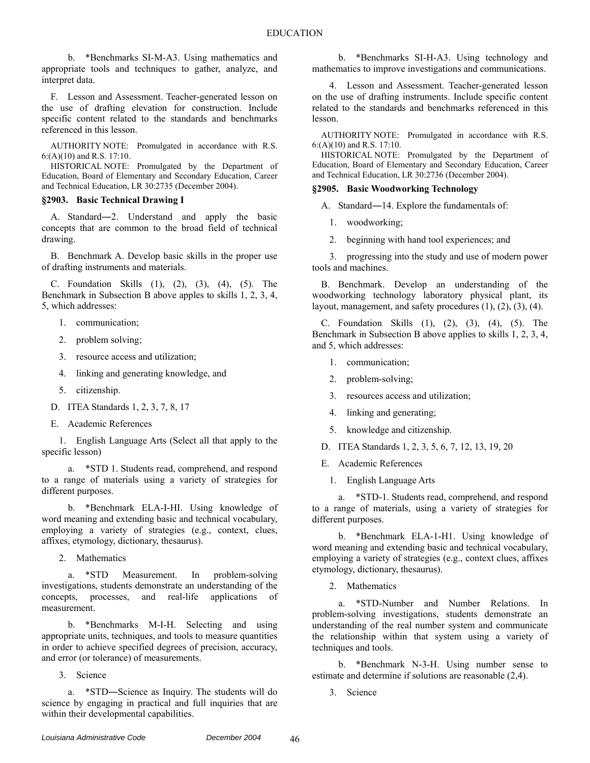b. \*Benchmarks SI-M-A3. Using mathematics and appropriate tools and techniques to gather, analyze, and interpret data.

F. Lesson and Assessment. Teacher-generated lesson on the use of drafting elevation for construction. Include specific content related to the standards and benchmarks referenced in this lesson.

AUTHORITY NOTE: Promulgated in accordance with R.S. 6:(A)(10) and R.S. 17:10.

HISTORICAL NOTE: Promulgated by the Department of Education, Board of Elementary and Secondary Education, Career and Technical Education, LR 30:2735 (December 2004).

### **§2903. Basic Technical Drawing I**

A. Standard―2. Understand and apply the basic concepts that are common to the broad field of technical drawing.

B. Benchmark A. Develop basic skills in the proper use of drafting instruments and materials.

C. Foundation Skills (1), (2), (3), (4), (5). The Benchmark in Subsection B above apples to skills 1, 2, 3, 4, 5, which addresses:

- 1. communication;
- 2. problem solving;
- 3. resource access and utilization;
- 4. linking and generating knowledge, and
- 5. citizenship.
- D. ITEA Standards 1, 2, 3, 7, 8, 17
- E. Academic References

1. English Language Arts (Select all that apply to the specific lesson)

a. \*STD 1. Students read, comprehend, and respond to a range of materials using a variety of strategies for different purposes.

b. \*Benchmark ELA-I-HI. Using knowledge of word meaning and extending basic and technical vocabulary, employing a variety of strategies (e.g., context, clues, affixes, etymology, dictionary, thesaurus).

2. Mathematics

a. \*STD Measurement. In problem-solving investigations, students demonstrate an understanding of the concepts, processes, and real-life applications of measurement.

b. \*Benchmarks M-I-H. Selecting and using appropriate units, techniques, and tools to measure quantities in order to achieve specified degrees of precision, accuracy, and error (or tolerance) of measurements.

3. Science

a. \*STD―Science as Inquiry. The students will do science by engaging in practical and full inquiries that are within their developmental capabilities.

b. \*Benchmarks SI-H-A3. Using technology and mathematics to improve investigations and communications.

4. Lesson and Assessment. Teacher-generated lesson on the use of drafting instruments. Include specific content related to the standards and benchmarks referenced in this lesson.

AUTHORITY NOTE: Promulgated in accordance with R.S. 6:(A)(10) and R.S. 17:10.

HISTORICAL NOTE: Promulgated by the Department of Education, Board of Elementary and Secondary Education, Career and Technical Education, LR 30:2736 (December 2004).

### **§2905. Basic Woodworking Technology**

A. Standard―14. Explore the fundamentals of:

1. woodworking;

2. beginning with hand tool experiences; and

3. progressing into the study and use of modern power tools and machines.

B. Benchmark. Develop an understanding of the woodworking technology laboratory physical plant, its layout, management, and safety procedures  $(1)$ ,  $(2)$ ,  $(3)$ ,  $(4)$ .

C. Foundation Skills (1), (2), (3), (4), (5). The Benchmark in Subsection B above applies to skills 1, 2, 3, 4, and 5, which addresses:

- 1. communication;
- 2. problem-solving;
- 3. resources access and utilization;
- 4. linking and generating;
- 5. knowledge and citizenship.
- D. ITEA Standards 1, 2, 3, 5, 6, 7, 12, 13, 19, 20
- E. Academic References
	- 1. English Language Arts

a. \*STD-1. Students read, comprehend, and respond to a range of materials, using a variety of strategies for different purposes.

b. \*Benchmark ELA-1-H1. Using knowledge of word meaning and extending basic and technical vocabulary, employing a variety of strategies (e.g., context clues, affixes etymology, dictionary, thesaurus).

2. Mathematics

a. \*STD-Number and Number Relations. In problem-solving investigations, students demonstrate an understanding of the real number system and communicate the relationship within that system using a variety of techniques and tools.

b. \*Benchmark N-3-H. Using number sense to estimate and determine if solutions are reasonable (2,4).

3. Science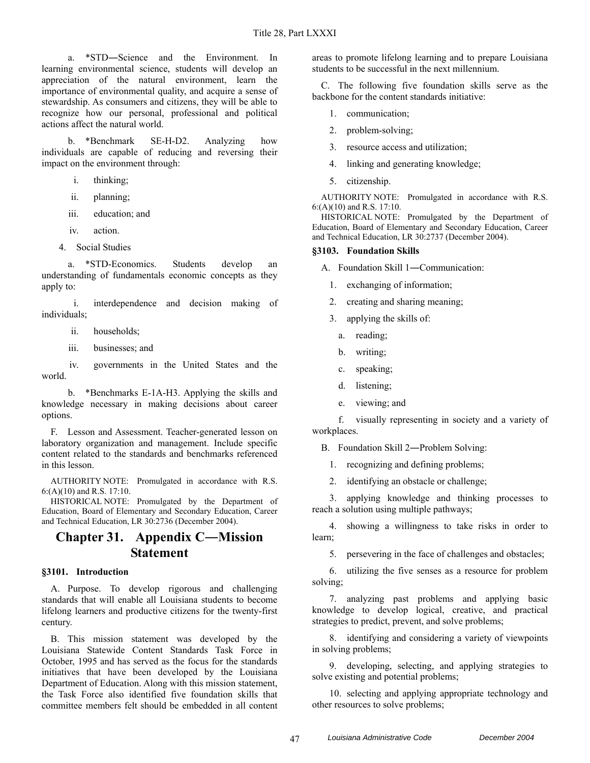a. \*STD―Science and the Environment. In learning environmental science, students will develop an appreciation of the natural environment, learn the importance of environmental quality, and acquire a sense of stewardship. As consumers and citizens, they will be able to recognize how our personal, professional and political actions affect the natural world.

b. \*Benchmark SE-H-D2. Analyzing how individuals are capable of reducing and reversing their impact on the environment through:

- i. thinking;
- ii. planning;
- iii. education; and
- iv. action.
- 4. Social Studies

a. \*STD-Economics. Students develop an understanding of fundamentals economic concepts as they apply to:

 i. interdependence and decision making of individuals;

- ii. households;
- iii. businesses; and

 iv. governments in the United States and the world.

b. \*Benchmarks E-1A-H3. Applying the skills and knowledge necessary in making decisions about career options.

F. Lesson and Assessment. Teacher-generated lesson on laboratory organization and management. Include specific content related to the standards and benchmarks referenced in this lesson.

AUTHORITY NOTE: Promulgated in accordance with R.S. 6:(A)(10) and R.S. 17:10.

HISTORICAL NOTE: Promulgated by the Department of Education, Board of Elementary and Secondary Education, Career and Technical Education, LR 30:2736 (December 2004).

# **Chapter 31. Appendix C―Mission Statement**

### **§3101. Introduction**

A. Purpose. To develop rigorous and challenging standards that will enable all Louisiana students to become lifelong learners and productive citizens for the twenty-first century.

B. This mission statement was developed by the Louisiana Statewide Content Standards Task Force in October, 1995 and has served as the focus for the standards initiatives that have been developed by the Louisiana Department of Education. Along with this mission statement, the Task Force also identified five foundation skills that committee members felt should be embedded in all content

areas to promote lifelong learning and to prepare Louisiana students to be successful in the next millennium.

C. The following five foundation skills serve as the backbone for the content standards initiative:

- 1. communication;
- 2. problem-solving;
- 3. resource access and utilization;
- 4. linking and generating knowledge;
- 5. citizenship.

AUTHORITY NOTE: Promulgated in accordance with R.S. 6:(A)(10) and R.S. 17:10.

HISTORICAL NOTE: Promulgated by the Department of Education, Board of Elementary and Secondary Education, Career and Technical Education, LR 30:2737 (December 2004).

### **§3103. Foundation Skills**

A. Foundation Skill 1―Communication:

- 1. exchanging of information;
- 2. creating and sharing meaning;
- 3. applying the skills of:
	- a. reading;
	- b. writing;
	- c. speaking;
	- d. listening;
	- e. viewing; and

f. visually representing in society and a variety of workplaces.

B. Foundation Skill 2―Problem Solving:

1. recognizing and defining problems;

2. identifying an obstacle or challenge;

3. applying knowledge and thinking processes to reach a solution using multiple pathways;

4. showing a willingness to take risks in order to learn;

5. persevering in the face of challenges and obstacles;

6. utilizing the five senses as a resource for problem solving;

7. analyzing past problems and applying basic knowledge to develop logical, creative, and practical strategies to predict, prevent, and solve problems;

8. identifying and considering a variety of viewpoints in solving problems;

9. developing, selecting, and applying strategies to solve existing and potential problems;

10. selecting and applying appropriate technology and other resources to solve problems;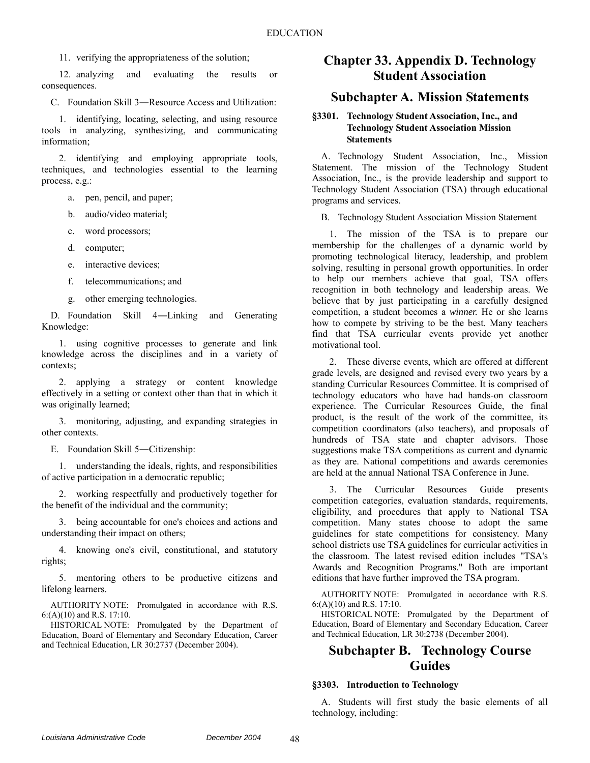11. verifying the appropriateness of the solution;

12. analyzing and evaluating the results or consequences.

C. Foundation Skill 3―Resource Access and Utilization:

1. identifying, locating, selecting, and using resource tools in analyzing, synthesizing, and communicating information;

2. identifying and employing appropriate tools, techniques, and technologies essential to the learning process, e.g.:

a. pen, pencil, and paper;

b. audio/video material;

c. word processors;

d. computer;

e. interactive devices;

f. telecommunications; and

g. other emerging technologies.

D. Foundation Skill 4―Linking and Generating Knowledge:

1. using cognitive processes to generate and link knowledge across the disciplines and in a variety of contexts;

2. applying a strategy or content knowledge effectively in a setting or context other than that in which it was originally learned;

3. monitoring, adjusting, and expanding strategies in other contexts.

E. Foundation Skill 5―Citizenship:

1. understanding the ideals, rights, and responsibilities of active participation in a democratic republic;

2. working respectfully and productively together for the benefit of the individual and the community;

3. being accountable for one's choices and actions and understanding their impact on others;

4. knowing one's civil, constitutional, and statutory rights;

5. mentoring others to be productive citizens and lifelong learners.

AUTHORITY NOTE: Promulgated in accordance with R.S. 6:(A)(10) and R.S. 17:10.

HISTORICAL NOTE: Promulgated by the Department of Education, Board of Elementary and Secondary Education, Career and Technical Education, LR 30:2737 (December 2004).

### **Chapter 33. Appendix D. Technology Student Association**

### **Subchapter A. Mission Statements**

### **§3301. Technology Student Association, Inc., and Technology Student Association Mission Statements**

A. Technology Student Association, Inc., Mission Statement. The mission of the Technology Student Association, Inc., is the provide leadership and support to Technology Student Association (TSA) through educational programs and services.

B. Technology Student Association Mission Statement

1. The mission of the TSA is to prepare our membership for the challenges of a dynamic world by promoting technological literacy, leadership, and problem solving, resulting in personal growth opportunities. In order to help our members achieve that goal, TSA offers recognition in both technology and leadership areas. We believe that by just participating in a carefully designed competition, a student becomes a *winner.* He or she learns how to compete by striving to be the best. Many teachers find that TSA curricular events provide yet another motivational tool.

2. These diverse events, which are offered at different grade levels, are designed and revised every two years by a standing Curricular Resources Committee. It is comprised of technology educators who have had hands-on classroom experience. The Curricular Resources Guide, the final product, is the result of the work of the committee, its competition coordinators (also teachers), and proposals of hundreds of TSA state and chapter advisors. Those suggestions make TSA competitions as current and dynamic as they are. National competitions and awards ceremonies are held at the annual National TSA Conference in June.

3. The Curricular Resources Guide presents competition categories, evaluation standards, requirements, eligibility, and procedures that apply to National TSA competition. Many states choose to adopt the same guidelines for state competitions for consistency. Many school districts use TSA guidelines for curricular activities in the classroom. The latest revised edition includes "TSA's Awards and Recognition Programs." Both are important editions that have further improved the TSA program.

AUTHORITY NOTE: Promulgated in accordance with R.S. 6:(A)(10) and R.S. 17:10.

HISTORICAL NOTE: Promulgated by the Department of Education, Board of Elementary and Secondary Education, Career and Technical Education, LR 30:2738 (December 2004).

## **Subchapter B. Technology Course Guides**

#### **§3303. Introduction to Technology**

A. Students will first study the basic elements of all technology, including: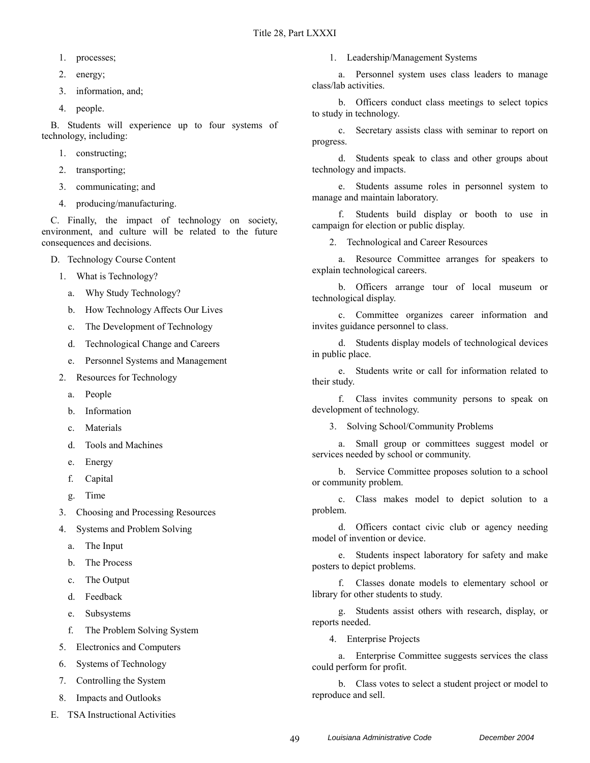- 1. processes;
- 2. energy;
- 3. information, and;
- 4. people.

B. Students will experience up to four systems of technology, including:

- 1. constructing;
- 2. transporting;
- 3. communicating; and
- 4. producing/manufacturing.

C. Finally, the impact of technology on society, environment, and culture will be related to the future consequences and decisions.

- D. Technology Course Content
	- 1. What is Technology?
		- a. Why Study Technology?
		- b. How Technology Affects Our Lives
		- c. The Development of Technology
		- d. Technological Change and Careers
		- e. Personnel Systems and Management
	- 2. Resources for Technology
		- a. People
		- b. Information
		- c. Materials
		- d. Tools and Machines
		- e. Energy
		- f. Capital
		- g. Time
	- 3. Choosing and Processing Resources
	- 4. Systems and Problem Solving
		- a. The Input
		- b. The Process
		- c. The Output
		- d. Feedback
		- e. Subsystems
		- f. The Problem Solving System
	- 5. Electronics and Computers
	- 6. Systems of Technology
	- 7. Controlling the System
	- 8. Impacts and Outlooks
- E. TSA Instructional Activities

1. Leadership/Management Systems

a. Personnel system uses class leaders to manage class/lab activities.

b. Officers conduct class meetings to select topics to study in technology.

c. Secretary assists class with seminar to report on progress.

d. Students speak to class and other groups about technology and impacts.

e. Students assume roles in personnel system to manage and maintain laboratory.

f. Students build display or booth to use in campaign for election or public display.

2. Technological and Career Resources

a. Resource Committee arranges for speakers to explain technological careers.

b. Officers arrange tour of local museum or technological display.

c. Committee organizes career information and invites guidance personnel to class.

d. Students display models of technological devices in public place.

e. Students write or call for information related to their study.

f. Class invites community persons to speak on development of technology.

3. Solving School/Community Problems

a. Small group or committees suggest model or services needed by school or community.

b. Service Committee proposes solution to a school or community problem.

c. Class makes model to depict solution to a problem.

d. Officers contact civic club or agency needing model of invention or device.

e. Students inspect laboratory for safety and make posters to depict problems.

f. Classes donate models to elementary school or library for other students to study.

g. Students assist others with research, display, or reports needed.

4. Enterprise Projects

a. Enterprise Committee suggests services the class could perform for profit.

b. Class votes to select a student project or model to reproduce and sell.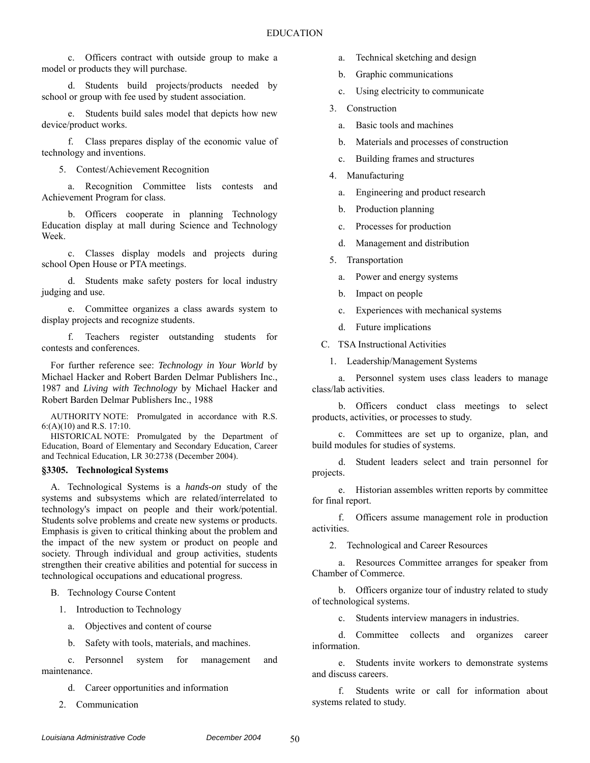c. Officers contract with outside group to make a model or products they will purchase.

d. Students build projects/products needed by school or group with fee used by student association.

e. Students build sales model that depicts how new device/product works.

f. Class prepares display of the economic value of technology and inventions.

5. Contest/Achievement Recognition

a. Recognition Committee lists contests and Achievement Program for class.

b. Officers cooperate in planning Technology Education display at mall during Science and Technology Week.

c. Classes display models and projects during school Open House or PTA meetings.

d. Students make safety posters for local industry judging and use.

e. Committee organizes a class awards system to display projects and recognize students.

f. Teachers register outstanding students for contests and conferences.

For further reference see: *Technology in Your World* by Michael Hacker and Robert Barden Delmar Publishers Inc., 1987 and *Living with Technology* by Michael Hacker and Robert Barden Delmar Publishers Inc., 1988

AUTHORITY NOTE: Promulgated in accordance with R.S. 6:(A)(10) and R.S. 17:10.

HISTORICAL NOTE: Promulgated by the Department of Education, Board of Elementary and Secondary Education, Career and Technical Education, LR 30:2738 (December 2004).

### **§3305. Technological Systems**

A. Technological Systems is a *hands-on* study of the systems and subsystems which are related/interrelated to technology's impact on people and their work/potential. Students solve problems and create new systems or products. Emphasis is given to critical thinking about the problem and the impact of the new system or product on people and society. Through individual and group activities, students strengthen their creative abilities and potential for success in technological occupations and educational progress.

B. Technology Course Content

1. Introduction to Technology

a. Objectives and content of course

b. Safety with tools, materials, and machines.

c. Personnel system for management and maintenance.

d. Career opportunities and information

2. Communication

- a. Technical sketching and design
- b. Graphic communications
- c. Using electricity to communicate
- 3. Construction
	- a. Basic tools and machines
	- b. Materials and processes of construction
	- c. Building frames and structures
- 4. Manufacturing
	- a. Engineering and product research
	- b. Production planning
	- c. Processes for production
	- d. Management and distribution
- 5. Transportation
	- a. Power and energy systems
	- b. Impact on people
	- c. Experiences with mechanical systems
	- d. Future implications

C. TSA Instructional Activities

1. Leadership/Management Systems

a. Personnel system uses class leaders to manage class/lab activities.

b. Officers conduct class meetings to select products, activities, or processes to study.

Committees are set up to organize, plan, and build modules for studies of systems.

d. Student leaders select and train personnel for projects.

e. Historian assembles written reports by committee for final report.

f. Officers assume management role in production activities.

2. Technological and Career Resources

a. Resources Committee arranges for speaker from Chamber of Commerce.

b. Officers organize tour of industry related to study of technological systems.

c. Students interview managers in industries.

d. Committee collects and organizes career information.

e. Students invite workers to demonstrate systems and discuss careers.

f. Students write or call for information about systems related to study.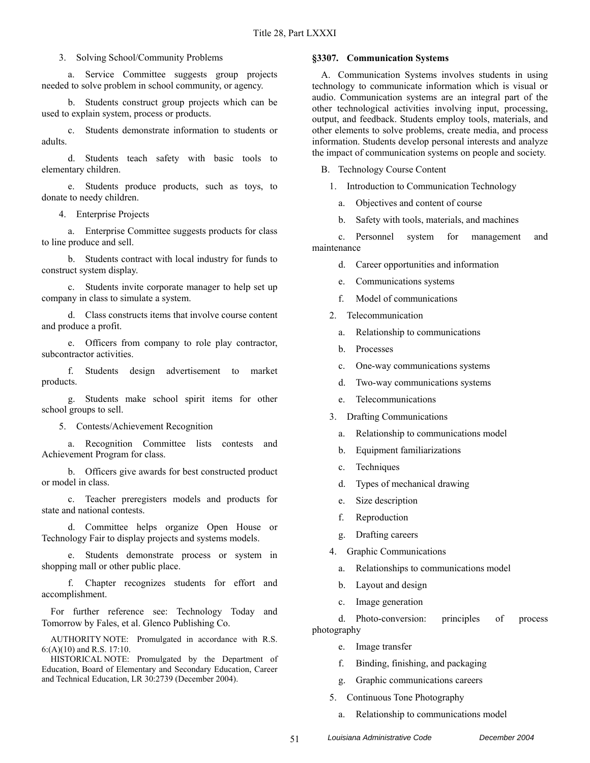### 3. Solving School/Community Problems

a. Service Committee suggests group projects needed to solve problem in school community, or agency.

b. Students construct group projects which can be used to explain system, process or products.

c. Students demonstrate information to students or adults.

d. Students teach safety with basic tools to elementary children.

e. Students produce products, such as toys, to donate to needy children.

4. Enterprise Projects

a. Enterprise Committee suggests products for class to line produce and sell.

b. Students contract with local industry for funds to construct system display.

c. Students invite corporate manager to help set up company in class to simulate a system.

d. Class constructs items that involve course content and produce a profit.

e. Officers from company to role play contractor, subcontractor activities.

f. Students design advertisement to market products.

g. Students make school spirit items for other school groups to sell.

5. Contests/Achievement Recognition

a. Recognition Committee lists contests and Achievement Program for class.

b. Officers give awards for best constructed product or model in class.

c. Teacher preregisters models and products for state and national contests.

d. Committee helps organize Open House or Technology Fair to display projects and systems models.

e. Students demonstrate process or system in shopping mall or other public place.

f. Chapter recognizes students for effort and accomplishment.

For further reference see: Technology Today and Tomorrow by Fales, et al. Glenco Publishing Co.

AUTHORITY NOTE: Promulgated in accordance with R.S. 6:(A)(10) and R.S. 17:10.

HISTORICAL NOTE: Promulgated by the Department of Education, Board of Elementary and Secondary Education, Career and Technical Education, LR 30:2739 (December 2004).

#### **§3307. Communication Systems**

A. Communication Systems involves students in using technology to communicate information which is visual or audio. Communication systems are an integral part of the other technological activities involving input, processing, output, and feedback. Students employ tools, materials, and other elements to solve problems, create media, and process information. Students develop personal interests and analyze the impact of communication systems on people and society.

B. Technology Course Content

1. Introduction to Communication Technology

a. Objectives and content of course

b. Safety with tools, materials, and machines

c. Personnel system for management and maintenance

- d. Career opportunities and information
- e. Communications systems
- f. Model of communications
- 2. Telecommunication
	- a. Relationship to communications
	- b. Processes
	- c. One-way communications systems
	- d. Two-way communications systems
	- e. Telecommunications
- 3. Drafting Communications
	- a. Relationship to communications model
	- b. Equipment familiarizations
	- c. Techniques
	- d. Types of mechanical drawing
	- e. Size description
	- f. Reproduction
	- g. Drafting careers
- 4. Graphic Communications
	- a. Relationships to communications model
	- b. Layout and design
	- c. Image generation

d. Photo-conversion: principles of process photography

- e. Image transfer
- f. Binding, finishing, and packaging
- g. Graphic communications careers
- 5. Continuous Tone Photography
	- a. Relationship to communications model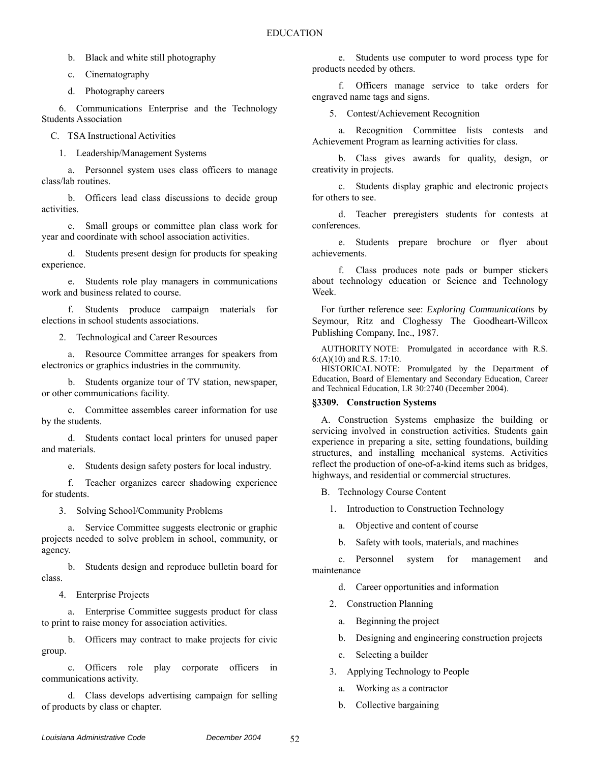b. Black and white still photography

c. Cinematography

d. Photography careers

6. Communications Enterprise and the Technology Students Association

C. TSA Instructional Activities

1. Leadership/Management Systems

a. Personnel system uses class officers to manage class/lab routines.

b. Officers lead class discussions to decide group activities.

c. Small groups or committee plan class work for year and coordinate with school association activities.

d. Students present design for products for speaking experience.

e. Students role play managers in communications work and business related to course.

f. Students produce campaign materials for elections in school students associations.

2. Technological and Career Resources

a. Resource Committee arranges for speakers from electronics or graphics industries in the community.

b. Students organize tour of TV station, newspaper, or other communications facility.

c. Committee assembles career information for use by the students.

d. Students contact local printers for unused paper and materials.

e. Students design safety posters for local industry.

f. Teacher organizes career shadowing experience for students.

3. Solving School/Community Problems

a. Service Committee suggests electronic or graphic projects needed to solve problem in school, community, or agency.

b. Students design and reproduce bulletin board for class.

4. Enterprise Projects

a. Enterprise Committee suggests product for class to print to raise money for association activities.

b. Officers may contract to make projects for civic group.

c. Officers role play corporate officers in communications activity.

d. Class develops advertising campaign for selling of products by class or chapter.

e. Students use computer to word process type for products needed by others.

f. Officers manage service to take orders for engraved name tags and signs.

5. Contest/Achievement Recognition

a. Recognition Committee lists contests and Achievement Program as learning activities for class.

b. Class gives awards for quality, design, or creativity in projects.

c. Students display graphic and electronic projects for others to see.

d. Teacher preregisters students for contests at conferences.

e. Students prepare brochure or flyer about achievements.

f. Class produces note pads or bumper stickers about technology education or Science and Technology Week.

For further reference see: *Exploring Communications* by Seymour, Ritz and Cloghessy The Goodheart-Willcox Publishing Company, Inc., 1987.

AUTHORITY NOTE: Promulgated in accordance with R.S. 6:(A)(10) and R.S. 17:10.

HISTORICAL NOTE: Promulgated by the Department of Education, Board of Elementary and Secondary Education, Career and Technical Education, LR 30:2740 (December 2004).

### **§3309. Construction Systems**

A. Construction Systems emphasize the building or servicing involved in construction activities. Students gain experience in preparing a site, setting foundations, building structures, and installing mechanical systems. Activities reflect the production of one-of-a-kind items such as bridges, highways, and residential or commercial structures.

B. Technology Course Content

1. Introduction to Construction Technology

a. Objective and content of course

b. Safety with tools, materials, and machines

c. Personnel system for management and maintenance

d. Career opportunities and information

2. Construction Planning

- a. Beginning the project
- b. Designing and engineering construction projects
- c. Selecting a builder
- 3. Applying Technology to People
	- a. Working as a contractor
	- b. Collective bargaining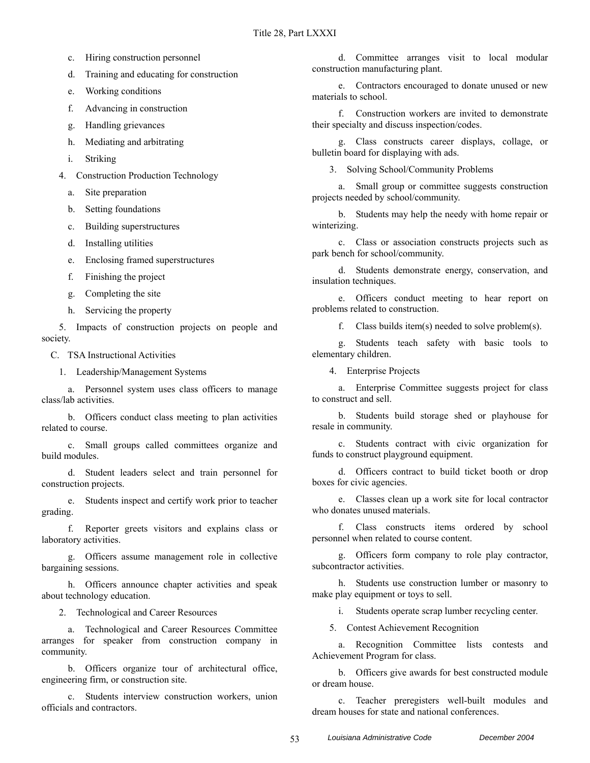- c. Hiring construction personnel
- d. Training and educating for construction
- e. Working conditions
- f. Advancing in construction
- g. Handling grievances
- h. Mediating and arbitrating
- i. Striking
- 4. Construction Production Technology
	- a. Site preparation
	- b. Setting foundations
	- c. Building superstructures
	- d. Installing utilities
	- e. Enclosing framed superstructures
	- f. Finishing the project
	- g. Completing the site
	- h. Servicing the property

5. Impacts of construction projects on people and society.

C. TSA Instructional Activities

1. Leadership/Management Systems

a. Personnel system uses class officers to manage class/lab activities.

b. Officers conduct class meeting to plan activities related to course.

c. Small groups called committees organize and build modules.

d. Student leaders select and train personnel for construction projects.

e. Students inspect and certify work prior to teacher grading.

f. Reporter greets visitors and explains class or laboratory activities.

g. Officers assume management role in collective bargaining sessions.

h. Officers announce chapter activities and speak about technology education.

2. Technological and Career Resources

a. Technological and Career Resources Committee arranges for speaker from construction company in community.

b. Officers organize tour of architectural office, engineering firm, or construction site.

c. Students interview construction workers, union officials and contractors.

d. Committee arranges visit to local modular construction manufacturing plant.

e. Contractors encouraged to donate unused or new materials to school.

f. Construction workers are invited to demonstrate their specialty and discuss inspection/codes.

g. Class constructs career displays, collage, or bulletin board for displaying with ads.

3. Solving School/Community Problems

a. Small group or committee suggests construction projects needed by school/community.

b. Students may help the needy with home repair or winterizing.

c. Class or association constructs projects such as park bench for school/community.

d. Students demonstrate energy, conservation, and insulation techniques.

e. Officers conduct meeting to hear report on problems related to construction.

f. Class builds item(s) needed to solve problem(s).

g. Students teach safety with basic tools to elementary children.

4. Enterprise Projects

a. Enterprise Committee suggests project for class to construct and sell.

b. Students build storage shed or playhouse for resale in community.

c. Students contract with civic organization for funds to construct playground equipment.

d. Officers contract to build ticket booth or drop boxes for civic agencies.

e. Classes clean up a work site for local contractor who donates unused materials.

f. Class constructs items ordered by school personnel when related to course content.

g. Officers form company to role play contractor, subcontractor activities.

h. Students use construction lumber or masonry to make play equipment or toys to sell.

i. Students operate scrap lumber recycling center.

5. Contest Achievement Recognition

a. Recognition Committee lists contests and Achievement Program for class.

b. Officers give awards for best constructed module or dream house.

c. Teacher preregisters well-built modules and dream houses for state and national conferences.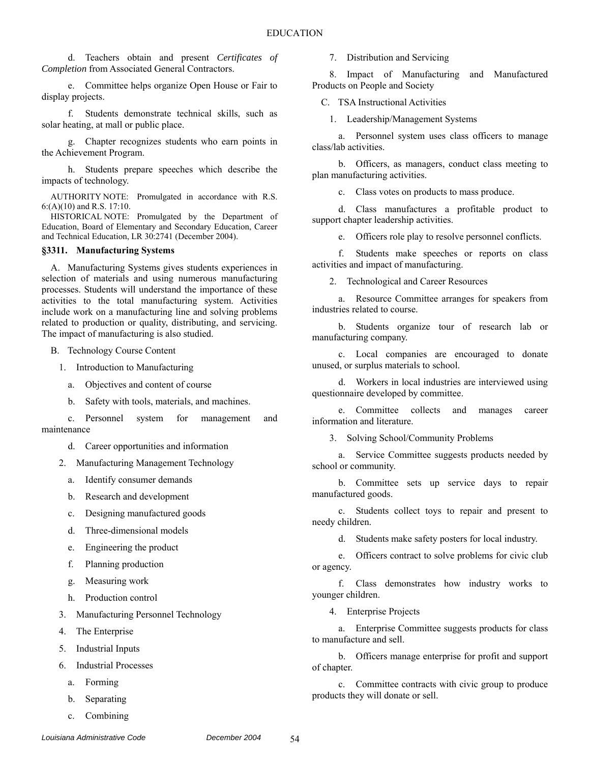d. Teachers obtain and present *Certificates of Completion* from Associated General Contractors.

e. Committee helps organize Open House or Fair to display projects.

f. Students demonstrate technical skills, such as solar heating, at mall or public place.

g. Chapter recognizes students who earn points in the Achievement Program.

h. Students prepare speeches which describe the impacts of technology.

AUTHORITY NOTE: Promulgated in accordance with R.S. 6:(A)(10) and R.S. 17:10.

HISTORICAL NOTE: Promulgated by the Department of Education, Board of Elementary and Secondary Education, Career and Technical Education, LR 30:2741 (December 2004).

#### **§3311. Manufacturing Systems**

A. Manufacturing Systems gives students experiences in selection of materials and using numerous manufacturing processes. Students will understand the importance of these activities to the total manufacturing system. Activities include work on a manufacturing line and solving problems related to production or quality, distributing, and servicing. The impact of manufacturing is also studied.

B. Technology Course Content

- 1. Introduction to Manufacturing
	- a. Objectives and content of course
	- b. Safety with tools, materials, and machines.

c. Personnel system for management and maintenance

d. Career opportunities and information

2. Manufacturing Management Technology

- a. Identify consumer demands
- b. Research and development
- c. Designing manufactured goods
- d. Three-dimensional models
- e. Engineering the product
- f. Planning production
- g. Measuring work
- h. Production control
- 3. Manufacturing Personnel Technology
- 4. The Enterprise
- 5. Industrial Inputs
- 6. Industrial Processes
	- a. Forming
	- b. Separating
	- c. Combining

7. Distribution and Servicing

8. Impact of Manufacturing and Manufactured Products on People and Society

C. TSA Instructional Activities

1. Leadership/Management Systems

a. Personnel system uses class officers to manage class/lab activities.

b. Officers, as managers, conduct class meeting to plan manufacturing activities.

c. Class votes on products to mass produce.

d. Class manufactures a profitable product to support chapter leadership activities.

e. Officers role play to resolve personnel conflicts.

f. Students make speeches or reports on class activities and impact of manufacturing.

2. Technological and Career Resources

a. Resource Committee arranges for speakers from industries related to course.

b. Students organize tour of research lab or manufacturing company.

c. Local companies are encouraged to donate unused, or surplus materials to school.

d. Workers in local industries are interviewed using questionnaire developed by committee.

e. Committee collects and manages career information and literature.

3. Solving School/Community Problems

a. Service Committee suggests products needed by school or community.

b. Committee sets up service days to repair manufactured goods.

c. Students collect toys to repair and present to needy children.

d. Students make safety posters for local industry.

e. Officers contract to solve problems for civic club or agency.

f. Class demonstrates how industry works to younger children.

4. Enterprise Projects

a. Enterprise Committee suggests products for class to manufacture and sell.

b. Officers manage enterprise for profit and support of chapter.

c. Committee contracts with civic group to produce products they will donate or sell.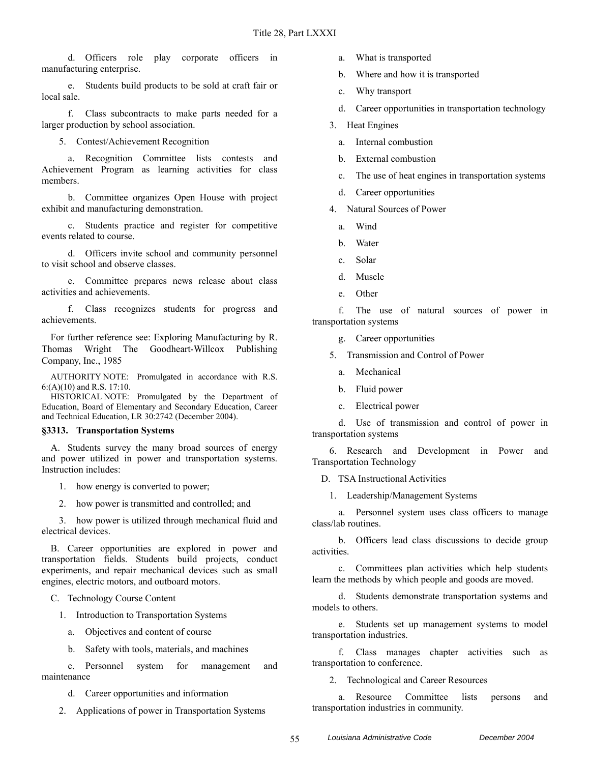d. Officers role play corporate officers in manufacturing enterprise.

e. Students build products to be sold at craft fair or local sale.

f. Class subcontracts to make parts needed for a larger production by school association.

5. Contest/Achievement Recognition

a. Recognition Committee lists contests and Achievement Program as learning activities for class members.

b. Committee organizes Open House with project exhibit and manufacturing demonstration.

c. Students practice and register for competitive events related to course.

d. Officers invite school and community personnel to visit school and observe classes.

e. Committee prepares news release about class activities and achievements.

f. Class recognizes students for progress and achievements.

For further reference see: Exploring Manufacturing by R. Thomas Wright The Goodheart-Willcox Publishing Company, Inc., 1985

AUTHORITY NOTE: Promulgated in accordance with R.S. 6:(A)(10) and R.S. 17:10.

HISTORICAL NOTE: Promulgated by the Department of Education, Board of Elementary and Secondary Education, Career and Technical Education, LR 30:2742 (December 2004).

#### **§3313. Transportation Systems**

A. Students survey the many broad sources of energy and power utilized in power and transportation systems. Instruction includes:

- 1. how energy is converted to power;
- 2. how power is transmitted and controlled; and

3. how power is utilized through mechanical fluid and electrical devices.

B. Career opportunities are explored in power and transportation fields. Students build projects, conduct experiments, and repair mechanical devices such as small engines, electric motors, and outboard motors.

C. Technology Course Content

- 1. Introduction to Transportation Systems
	- a. Objectives and content of course
	- b. Safety with tools, materials, and machines

c. Personnel system for management and maintenance

d. Career opportunities and information

2. Applications of power in Transportation Systems

- a. What is transported
- b. Where and how it is transported
- c. Why transport
- d. Career opportunities in transportation technology
- 3. Heat Engines
	- a. Internal combustion
	- b. External combustion
	- c. The use of heat engines in transportation systems
	- d. Career opportunities
- 4. Natural Sources of Power
	- a. Wind
	- b. Water
	- c. Solar
	- d. Muscle
	- e. Other

f. The use of natural sources of power in transportation systems

g. Career opportunities

- 5. Transmission and Control of Power
	- a. Mechanical
	- b. Fluid power
	- c. Electrical power

d. Use of transmission and control of power in transportation systems

6. Research and Development in Power and Transportation Technology

D. TSA Instructional Activities

1. Leadership/Management Systems

a. Personnel system uses class officers to manage class/lab routines.

b. Officers lead class discussions to decide group activities.

c. Committees plan activities which help students learn the methods by which people and goods are moved.

d. Students demonstrate transportation systems and models to others.

e. Students set up management systems to model transportation industries.

f. Class manages chapter activities such as transportation to conference.

2. Technological and Career Resources

a. Resource Committee lists persons and transportation industries in community.